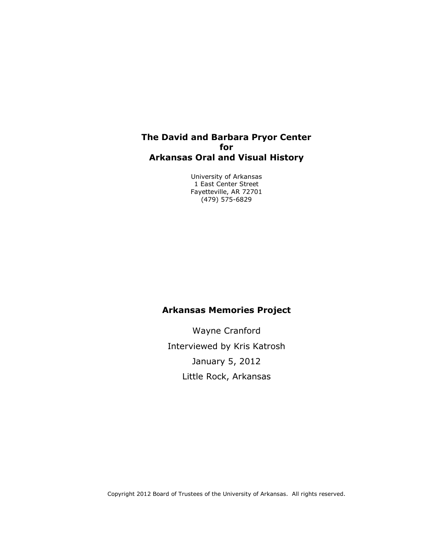#### **The David and Barbara Pryor Center for Arkansas Oral and Visual History**

University of Arkansas 1 East Center Street Fayetteville, AR 72701 (479) 575-6829

#### **Arkansas Memories Project**

Wayne Cranford Interviewed by Kris Katrosh January 5, 2012 Little Rock, Arkansas

Copyright 2012 Board of Trustees of the University of Arkansas. All rights reserved.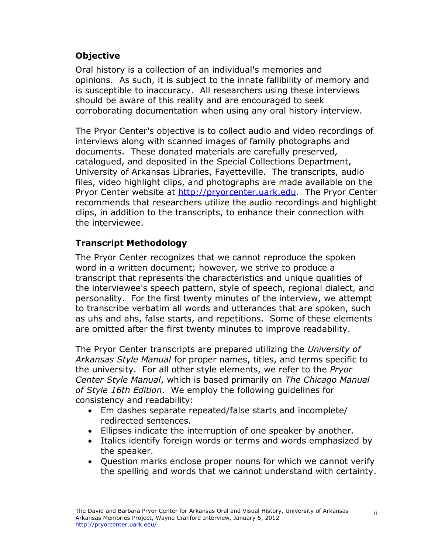## **Objective**

Oral history is a collection of an individual's memories and opinions. As such, it is subject to the innate fallibility of memory and is susceptible to inaccuracy. All researchers using these interviews should be aware of this reality and are encouraged to seek corroborating documentation when using any oral history interview.

The Pryor Center's objective is to collect audio and video recordings of interviews along with scanned images of family photographs and documents. These donated materials are carefully preserved, catalogued, and deposited in the Special Collections Department, University of Arkansas Libraries, Fayetteville. The transcripts, audio files, video highlight clips, and photographs are made available on the Pryor Center website at [http://pryorcenter.uark.edu.](http://pryorcenter.uark.edu/) The Pryor Center recommends that researchers utilize the audio recordings and highlight clips, in addition to the transcripts, to enhance their connection with the interviewee.

## **Transcript Methodology**

The Pryor Center recognizes that we cannot reproduce the spoken word in a written document; however, we strive to produce a transcript that represents the characteristics and unique qualities of the interviewee's speech pattern, style of speech, regional dialect, and personality. For the first twenty minutes of the interview, we attempt to transcribe verbatim all words and utterances that are spoken, such as uhs and ahs, false starts, and repetitions. Some of these elements are omitted after the first twenty minutes to improve readability.

The Pryor Center transcripts are prepared utilizing the *University of Arkansas Style Manual* for proper names, titles, and terms specific to the university. For all other style elements, we refer to the *Pryor Center Style Manual*, which is based primarily on *The Chicago Manual of Style 16th Edition*. We employ the following guidelines for consistency and readability:

- Em dashes separate repeated/false starts and incomplete/ redirected sentences.
- Ellipses indicate the interruption of one speaker by another.
- Italics identify foreign words or terms and words emphasized by the speaker.
- Question marks enclose proper nouns for which we cannot verify the spelling and words that we cannot understand with certainty.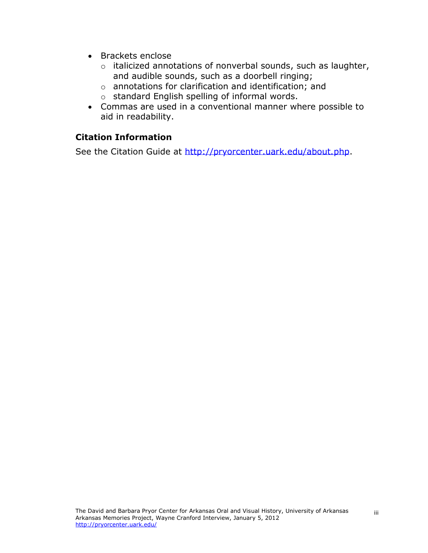- Brackets enclose
	- o italicized annotations of nonverbal sounds, such as laughter, and audible sounds, such as a doorbell ringing;
	- o annotations for clarification and identification; and
	- o standard English spelling of informal words.
- Commas are used in a conventional manner where possible to aid in readability.

## **Citation Information**

See the Citation Guide at [http://pryorcenter.uark.edu/about.p](http://pryorcenter.uark.edu/about.)hp.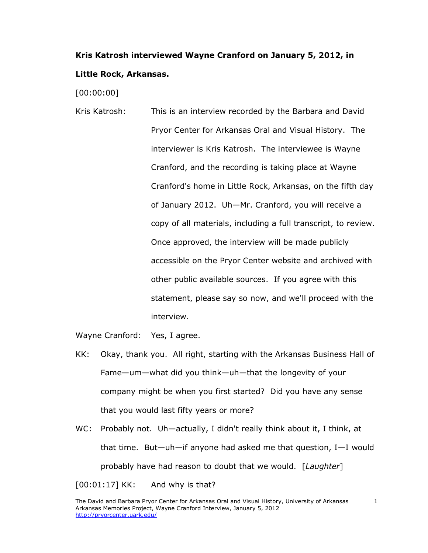# **Kris Katrosh interviewed Wayne Cranford on January 5, 2012, in Little Rock, Arkansas.**

[00:00:00]

Kris Katrosh: This is an interview recorded by the Barbara and David Pryor Center for Arkansas Oral and Visual History. The interviewer is Kris Katrosh. The interviewee is Wayne Cranford, and the recording is taking place at Wayne Cranford's home in Little Rock, Arkansas, on the fifth day of January 2012. Uh—Mr. Cranford, you will receive a copy of all materials, including a full transcript, to review. Once approved, the interview will be made publicly accessible on the Pryor Center website and archived with other public available sources. If you agree with this statement, please say so now, and we'll proceed with the interview.

Wayne Cranford: Yes, I agree.

- KK: Okay, thank you. All right, starting with the Arkansas Business Hall of Fame—um—what did you think—uh—that the longevity of your company might be when you first started? Did you have any sense that you would last fifty years or more?
- WC: Probably not. Uh—actually, I didn't really think about it, I think, at that time. But—uh—if anyone had asked me that question, I—I would probably have had reason to doubt that we would. [*Laughter*]

[00:01:17] KK: And why is that?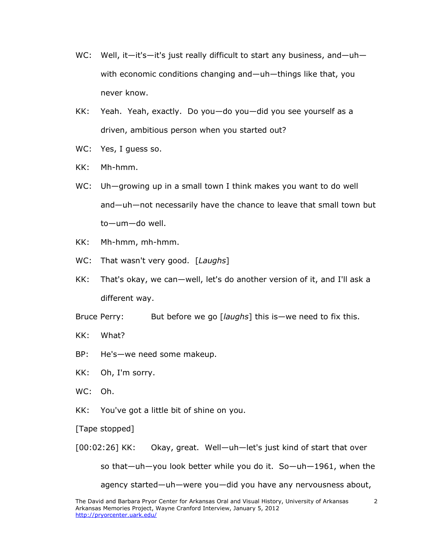- WC: Well, it—it's—it's just really difficult to start any business, and—uh with economic conditions changing and—uh—things like that, you never know.
- KK: Yeah. Yeah, exactly. Do you—do you—did you see yourself as a driven, ambitious person when you started out?
- WC: Yes, I guess so.
- KK: Mh-hmm.
- WC: Uh—growing up in a small town I think makes you want to do well and—uh—not necessarily have the chance to leave that small town but to—um—do well.
- KK: Mh-hmm, mh-hmm.
- WC: That wasn't very good. [*Laughs*]
- KK: That's okay, we can—well, let's do another version of it, and I'll ask a different way.
- Bruce Perry: But before we go [*laughs*] this is—we need to fix this.
- KK: What?
- BP: He's—we need some makeup.
- KK: Oh, I'm sorry.
- WC: Oh.
- KK: You've got a little bit of shine on you.
- [Tape stopped]

[00:02:26] KK: Okay, great. Well—uh—let's just kind of start that over

so that—uh—you look better while you do it. So—uh—1961, when the

agency started—uh—were you—did you have any nervousness about,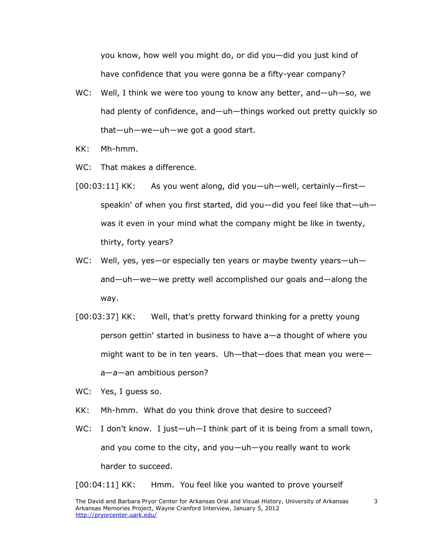you know, how well you might do, or did you—did you just kind of have confidence that you were gonna be a fifty-year company?

- WC: Well, I think we were too young to know any better, and—uh—so, we had plenty of confidence, and—uh—things worked out pretty quickly so that—uh—we—uh—we got a good start.
- KK: Mh-hmm.
- WC: That makes a difference.
- [00:03:11] KK: As you went along, did you—uh—well, certainly—first speakin' of when you first started, did you—did you feel like that—uh was it even in your mind what the company might be like in twenty, thirty, forty years?
- WC: Well, yes, yes—or especially ten years or maybe twenty years—uh and—uh—we—we pretty well accomplished our goals and—along the way.
- [00:03:37] KK: Well, that's pretty forward thinking for a pretty young person gettin' started in business to have a—a thought of where you might want to be in ten years. Uh—that—does that mean you were a—a—an ambitious person?
- WC: Yes, I guess so.
- KK: Mh-hmm. What do you think drove that desire to succeed?
- WC: I don't know. I just—uh—I think part of it is being from a small town, and you come to the city, and you—uh—you really want to work harder to succeed.

[00:04:11] KK: Hmm. You feel like you wanted to prove yourself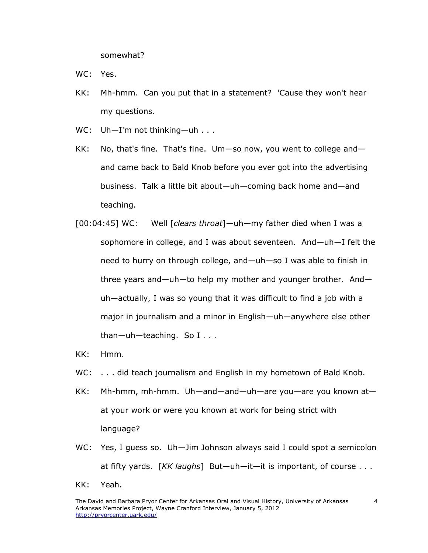somewhat?

WC: Yes.

- KK: Mh-hmm. Can you put that in a statement? 'Cause they won't hear my questions.
- WC: Uh-I'm not thinking-uh . . .
- KK: No, that's fine. That's fine. Um—so now, you went to college and and came back to Bald Knob before you ever got into the advertising business. Talk a little bit about—uh—coming back home and—and teaching.
- [00:04:45] WC: Well [*clears throat*]—uh—my father died when I was a sophomore in college, and I was about seventeen. And—uh—I felt the need to hurry on through college, and—uh—so I was able to finish in three years and—uh—to help my mother and younger brother. And uh—actually, I was so young that it was difficult to find a job with a major in journalism and a minor in English—uh—anywhere else other than—uh—teaching. So I . . .
- KK: Hmm.
- WC: . . . did teach journalism and English in my hometown of Bald Knob.
- KK: Mh-hmm, mh-hmm. Uh—and—and—uh—are you—are you known at at your work or were you known at work for being strict with language?
- WC: Yes, I guess so. Uh-Jim Johnson always said I could spot a semicolon at fifty yards. [*KK laughs*] But—uh—it—it is important, of course . . .
- KK: Yeah.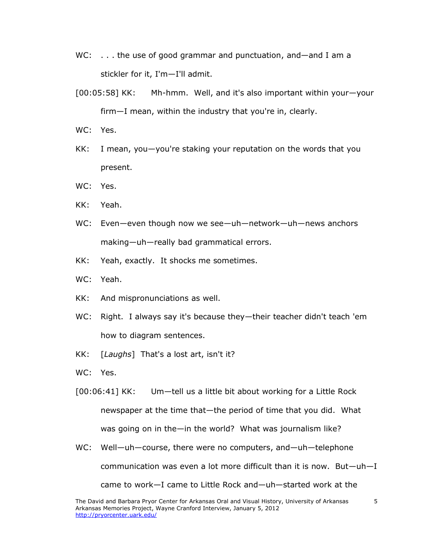- WC: . . . the use of good grammar and punctuation, and—and I am a stickler for it, I'm—I'll admit.
- [00:05:58] KK: Mh-hmm. Well, and it's also important within your—your firm—I mean, within the industry that you're in, clearly.
- WC: Yes.
- KK: I mean, you—you're staking your reputation on the words that you present.
- WC: Yes.
- KK: Yeah.
- WC: Even—even though now we see—uh—network—uh—news anchors making—uh—really bad grammatical errors.
- KK: Yeah, exactly. It shocks me sometimes.
- WC: Yeah.
- KK: And mispronunciations as well.
- WC: Right. I always say it's because they—their teacher didn't teach 'em how to diagram sentences.
- KK: [*Laughs*] That's a lost art, isn't it?
- WC: Yes.
- [00:06:41] KK: Um—tell us a little bit about working for a Little Rock newspaper at the time that—the period of time that you did. What was going on in the—in the world? What was journalism like?
- WC: Well—uh—course, there were no computers, and—uh—telephone communication was even a lot more difficult than it is now. But—uh—I came to work—I came to Little Rock and—uh—started work at the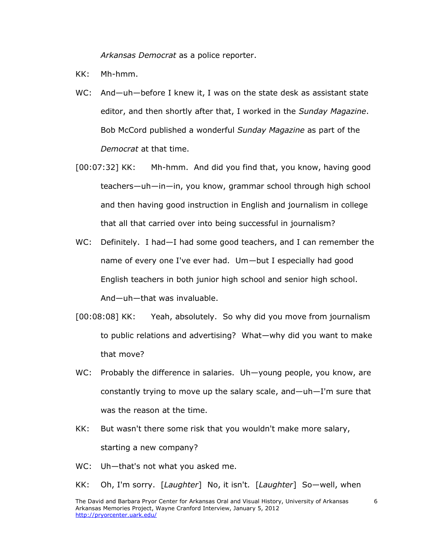*Arkansas Democrat* as a police reporter.

- KK: Mh-hmm.
- WC: And—uh—before I knew it, I was on the state desk as assistant state editor, and then shortly after that, I worked in the *Sunday Magazine*. Bob McCord published a wonderful *Sunday Magazine* as part of the *Democrat* at that time.
- [00:07:32] KK: Mh-hmm. And did you find that, you know, having good teachers—uh—in—in, you know, grammar school through high school and then having good instruction in English and journalism in college that all that carried over into being successful in journalism?
- WC: Definitely. I had-I had some good teachers, and I can remember the name of every one I've ever had. Um—but I especially had good English teachers in both junior high school and senior high school. And—uh—that was invaluable.
- [00:08:08] KK: Yeah, absolutely. So why did you move from journalism to public relations and advertising? What—why did you want to make that move?
- WC: Probably the difference in salaries. Uh—young people, you know, are constantly trying to move up the salary scale, and—uh—I'm sure that was the reason at the time.
- KK: But wasn't there some risk that you wouldn't make more salary, starting a new company?
- WC: Uh-that's not what you asked me.
- KK: Oh, I'm sorry. [*Laughter*] No, it isn't. [*Laughter*] So—well, when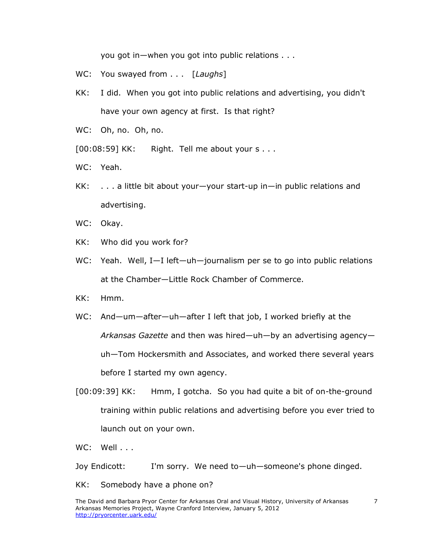you got in—when you got into public relations . . .

- WC: You swayed from . . . [*Laughs*]
- KK: I did. When you got into public relations and advertising, you didn't have your own agency at first. Is that right?
- WC: Oh, no. Oh, no.

[00:08:59] KK: Right. Tell me about your s . . .

- WC: Yeah.
- KK: . . . a little bit about your—your start-up in—in public relations and advertising.
- WC: Okay.
- KK: Who did you work for?
- WC: Yeah. Well, I-I left-uh-journalism per se to go into public relations at the Chamber—Little Rock Chamber of Commerce.
- KK: Hmm.
- WC: And—um—after—uh—after I left that job, I worked briefly at the *Arkansas Gazette* and then was hired—uh—by an advertising agency uh—Tom Hockersmith and Associates, and worked there several years before I started my own agency.
- [00:09:39] KK: Hmm, I gotcha. So you had quite a bit of on-the-ground training within public relations and advertising before you ever tried to launch out on your own.
- WC: Well . . .

Joy Endicott: I'm sorry. We need to—uh—someone's phone dinged.

KK: Somebody have a phone on?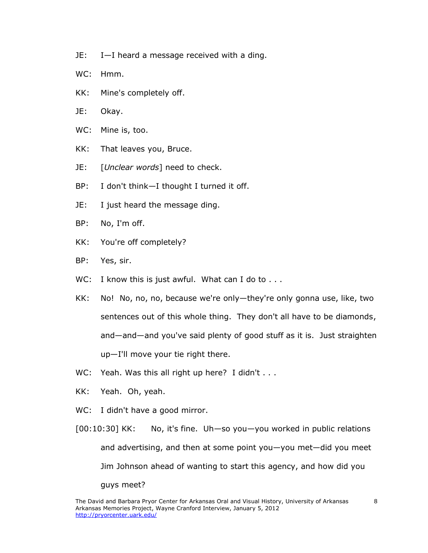- JE: I—I heard a message received with a ding.
- WC: Hmm.
- KK: Mine's completely off.
- JE: Okay.
- WC: Mine is, too.
- KK: That leaves you, Bruce.
- JE: [*Unclear words*] need to check.
- BP: I don't think—I thought I turned it off.
- JE: I just heard the message ding.
- BP: No, I'm off.
- KK: You're off completely?
- BP: Yes, sir.
- WC: I know this is just awful. What can I do to . . .
- KK: No! No, no, no, because we're only—they're only gonna use, like, two sentences out of this whole thing. They don't all have to be diamonds, and—and—and you've said plenty of good stuff as it is. Just straighten up—I'll move your tie right there.
- WC: Yeah. Was this all right up here? I didn't . . .
- KK: Yeah. Oh, yeah.
- WC: I didn't have a good mirror.
- [00:10:30] KK: No, it's fine. Uh—so you—you worked in public relations and advertising, and then at some point you—you met—did you meet Jim Johnson ahead of wanting to start this agency, and how did you guys meet?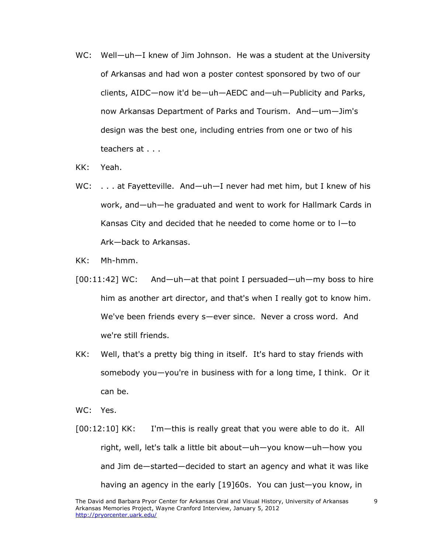- WC: Well—uh—I knew of Jim Johnson. He was a student at the University of Arkansas and had won a poster contest sponsored by two of our clients, AIDC—now it'd be—uh—AEDC and—uh—Publicity and Parks, now Arkansas Department of Parks and Tourism. And—um—Jim's design was the best one, including entries from one or two of his teachers at . . .
- KK: Yeah.
- WC: . . . at Fayetteville. And—uh—I never had met him, but I knew of his work, and—uh—he graduated and went to work for Hallmark Cards in Kansas City and decided that he needed to come home or to l—to Ark—back to Arkansas.
- KK: Mh-hmm.
- [00:11:42] WC: And—uh—at that point I persuaded—uh—my boss to hire him as another art director, and that's when I really got to know him. We've been friends every s—ever since. Never a cross word. And we're still friends.
- KK: Well, that's a pretty big thing in itself. It's hard to stay friends with somebody you—you're in business with for a long time, I think. Or it can be.
- WC: Yes.
- [00:12:10] KK: I'm—this is really great that you were able to do it. All right, well, let's talk a little bit about—uh—you know—uh—how you and Jim de—started—decided to start an agency and what it was like having an agency in the early [19]60s. You can just—you know, in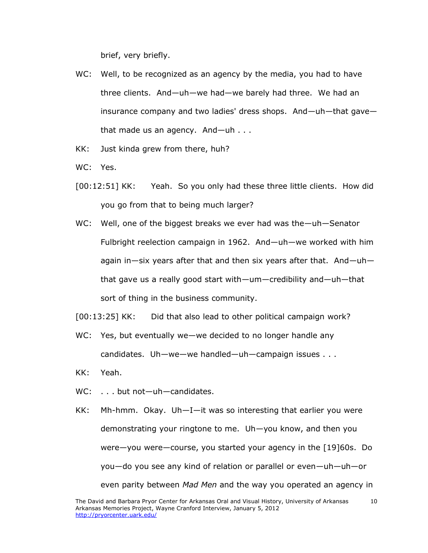brief, very briefly.

- WC: Well, to be recognized as an agency by the media, you had to have three clients. And—uh—we had—we barely had three. We had an insurance company and two ladies' dress shops. And—uh—that gave that made us an agency. And—uh . . .
- KK: Just kinda grew from there, huh?

WC: Yes.

- [00:12:51] KK: Yeah. So you only had these three little clients. How did you go from that to being much larger?
- WC: Well, one of the biggest breaks we ever had was the—uh—Senator Fulbright reelection campaign in 1962. And—uh—we worked with him again in—six years after that and then six years after that. And—uh that gave us a really good start with—um—credibility and—uh—that sort of thing in the business community.
- [00:13:25] KK: Did that also lead to other political campaign work?
- WC: Yes, but eventually we—we decided to no longer handle any candidates. Uh—we—we handled—uh—campaign issues . . .
- KK: Yeah.
- WC: . . . but not-uh-candidates.
- KK: Mh-hmm. Okay. Uh—I—it was so interesting that earlier you were demonstrating your ringtone to me. Uh—you know, and then you were—you were—course, you started your agency in the [19]60s. Do you—do you see any kind of relation or parallel or even—uh—uh—or even parity between *Mad Men* and the way you operated an agency in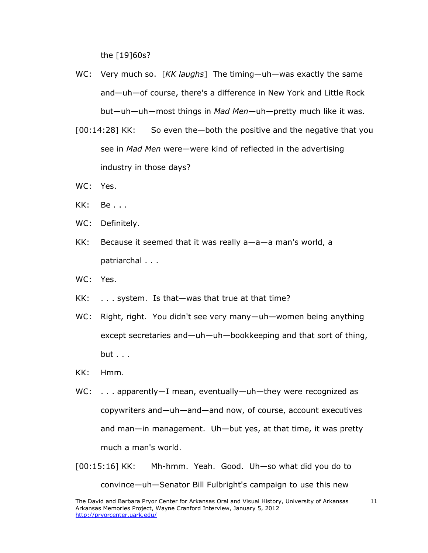the [19]60s?

- WC: Very much so. [*KK laughs*] The timing—uh—was exactly the same and—uh—of course, there's a difference in New York and Little Rock but—uh—uh—most things in *Mad Men*—uh—pretty much like it was.
- [00:14:28] KK: So even the—both the positive and the negative that you see in *Mad Men* were—were kind of reflected in the advertising industry in those days?
- WC: Yes.
- KK: Be . . .
- WC: Definitely.
- KK: Because it seemed that it was really a—a—a man's world, a patriarchal . . .
- WC: Yes.
- KK: . . . system. Is that—was that true at that time?
- WC: Right, right. You didn't see very many—uh—women being anything except secretaries and—uh—uh—bookkeeping and that sort of thing, but . . .
- KK: Hmm.
- WC: . . . apparently—I mean, eventually—uh—they were recognized as copywriters and—uh—and—and now, of course, account executives and man—in management. Uh—but yes, at that time, it was pretty much a man's world.
- [00:15:16] KK: Mh-hmm. Yeah. Good. Uh—so what did you do to convince—uh—Senator Bill Fulbright's campaign to use this new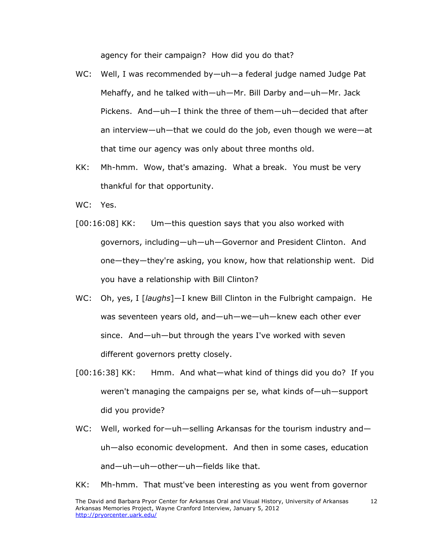agency for their campaign? How did you do that?

- WC: Well, I was recommended by—uh—a federal judge named Judge Pat Mehaffy, and he talked with—uh—Mr. Bill Darby and—uh—Mr. Jack Pickens. And—uh—I think the three of them—uh—decided that after an interview—uh—that we could do the job, even though we were—at that time our agency was only about three months old.
- KK: Mh-hmm. Wow, that's amazing. What a break. You must be very thankful for that opportunity.
- WC: Yes.
- [00:16:08] KK: Um—this question says that you also worked with governors, including—uh—uh—Governor and President Clinton. And one—they—they're asking, you know, how that relationship went. Did you have a relationship with Bill Clinton?
- WC: Oh, yes, I [*laughs*]—I knew Bill Clinton in the Fulbright campaign. He was seventeen years old, and—uh—we—uh—knew each other ever since. And—uh—but through the years I've worked with seven different governors pretty closely.
- [00:16:38] KK: Hmm. And what—what kind of things did you do? If you weren't managing the campaigns per se, what kinds of—uh—support did you provide?
- WC: Well, worked for—uh—selling Arkansas for the tourism industry and uh—also economic development. And then in some cases, education and—uh—uh—other—uh—fields like that.
- KK: Mh-hmm. That must've been interesting as you went from governor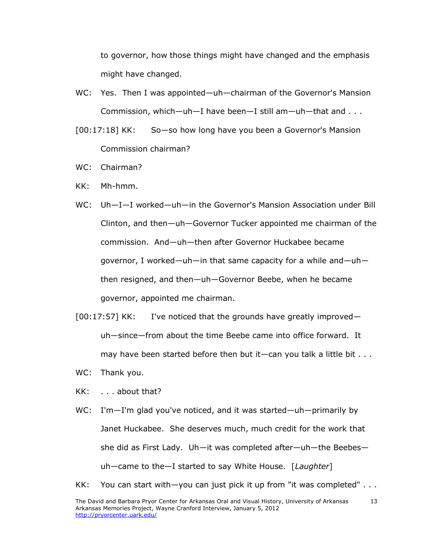to governor, how those things might have changed and the emphasis might have changed.

- WC: Yes. Then I was appointed—uh—chairman of the Governor's Mansion Commission, which—uh—I have been—I still am—uh—that and . . .
- [00:17:18] KK: So—so how long have you been a Governor's Mansion Commission chairman?
- WC: Chairman?
- KK: Mh-hmm.
- WC: Uh—I—I worked—uh—in the Governor's Mansion Association under Bill Clinton, and then—uh—Governor Tucker appointed me chairman of the commission. And—uh—then after Governor Huckabee became governor, I worked—uh—in that same capacity for a while and—uh then resigned, and then—uh—Governor Beebe, when he became governor, appointed me chairman.
- $[00:17:57]$  KK: I've noticed that the grounds have greatly improved uh—since—from about the time Beebe came into office forward. It may have been started before then but it—can you talk a little bit  $\dots$
- WC: Thank you.
- KK: . . . about that?
- WC: I'm—I'm glad you've noticed, and it was started—uh—primarily by Janet Huckabee. She deserves much, much credit for the work that she did as First Lady. Uh—it was completed after—uh—the Beebes uh—came to the—I started to say White House. [*Laughter*]
- KK: You can start with—you can just pick it up from "it was completed" . . .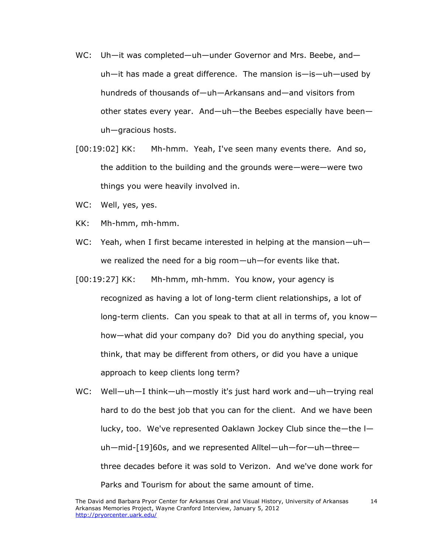- WC: Uh-it was completed—uh—under Governor and Mrs. Beebe, and uh—it has made a great difference. The mansion is—is—uh—used by hundreds of thousands of—uh—Arkansans and—and visitors from other states every year. And—uh—the Beebes especially have been uh—gracious hosts.
- [00:19:02] KK: Mh-hmm. Yeah, I've seen many events there. And so, the addition to the building and the grounds were—were—were two things you were heavily involved in.
- WC: Well, yes, yes.
- KK: Mh-hmm, mh-hmm.
- WC: Yeah, when I first became interested in helping at the mansion—uh we realized the need for a big room—uh—for events like that.
- [00:19:27] KK: Mh-hmm, mh-hmm. You know, your agency is recognized as having a lot of long-term client relationships, a lot of long-term clients. Can you speak to that at all in terms of, you know how—what did your company do? Did you do anything special, you think, that may be different from others, or did you have a unique approach to keep clients long term?
- WC: Well—uh—I think—uh—mostly it's just hard work and—uh—trying real hard to do the best job that you can for the client. And we have been lucky, too. We've represented Oaklawn Jockey Club since the—the l uh—mid-[19]60s, and we represented Alltel—uh—for—uh—three three decades before it was sold to Verizon. And we've done work for Parks and Tourism for about the same amount of time.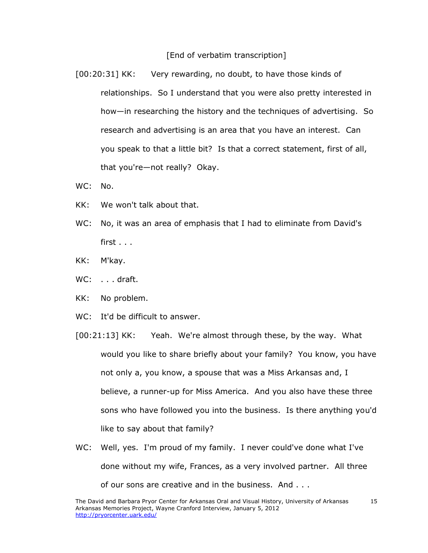#### [End of verbatim transcription]

[00:20:31] KK: Very rewarding, no doubt, to have those kinds of relationships. So I understand that you were also pretty interested in how—in researching the history and the techniques of advertising. So research and advertising is an area that you have an interest. Can you speak to that a little bit? Is that a correct statement, first of all, that you're—not really? Okay.

- WC: No.
- KK: We won't talk about that.
- WC: No, it was an area of emphasis that I had to eliminate from David's first . . .
- KK: M'kay.
- WC: . . . draft.
- KK: No problem.
- WC: It'd be difficult to answer.
- [00:21:13] KK: Yeah. We're almost through these, by the way. What would you like to share briefly about your family? You know, you have not only a, you know, a spouse that was a Miss Arkansas and, I believe, a runner-up for Miss America. And you also have these three sons who have followed you into the business. Is there anything you'd like to say about that family?
- WC: Well, yes. I'm proud of my family. I never could've done what I've done without my wife, Frances, as a very involved partner. All three of our sons are creative and in the business. And . . .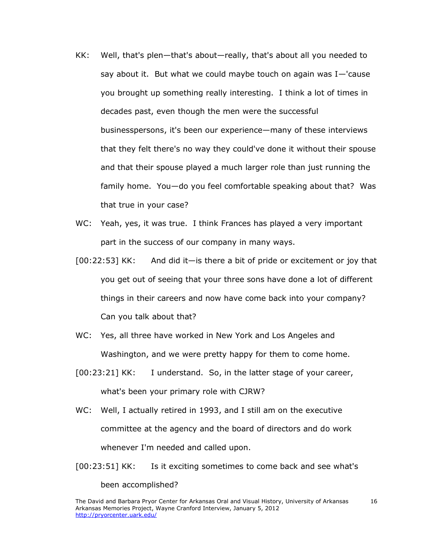- KK: Well, that's plen—that's about—really, that's about all you needed to say about it. But what we could maybe touch on again was  $I-$ 'cause you brought up something really interesting. I think a lot of times in decades past, even though the men were the successful businesspersons, it's been our experience—many of these interviews that they felt there's no way they could've done it without their spouse and that their spouse played a much larger role than just running the family home. You—do you feel comfortable speaking about that? Was that true in your case?
- WC: Yeah, yes, it was true. I think Frances has played a very important part in the success of our company in many ways.
- [00:22:53] KK: And did it—is there a bit of pride or excitement or joy that you get out of seeing that your three sons have done a lot of different things in their careers and now have come back into your company? Can you talk about that?
- WC: Yes, all three have worked in New York and Los Angeles and Washington, and we were pretty happy for them to come home.
- [00:23:21] KK: I understand. So, in the latter stage of your career, what's been your primary role with CJRW?
- WC: Well, I actually retired in 1993, and I still am on the executive committee at the agency and the board of directors and do work whenever I'm needed and called upon.
- [00:23:51] KK: Is it exciting sometimes to come back and see what's been accomplished?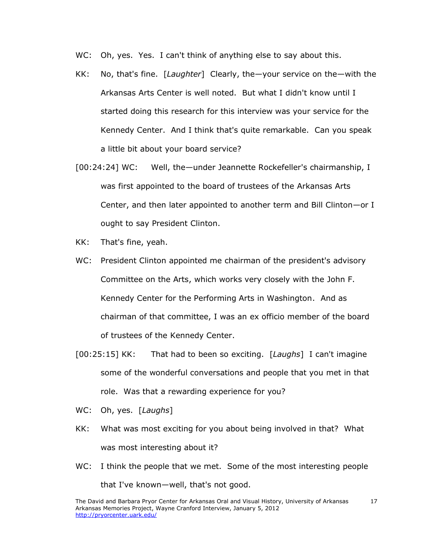- WC: Oh, yes. Yes. I can't think of anything else to say about this.
- KK: No, that's fine. [*Laughter*] Clearly, the—your service on the—with the Arkansas Arts Center is well noted. But what I didn't know until I started doing this research for this interview was your service for the Kennedy Center. And I think that's quite remarkable. Can you speak a little bit about your board service?
- [00:24:24] WC: Well, the—under Jeannette Rockefeller's chairmanship, I was first appointed to the board of trustees of the Arkansas Arts Center, and then later appointed to another term and Bill Clinton—or I ought to say President Clinton.
- KK: That's fine, yeah.
- WC: President Clinton appointed me chairman of the president's advisory Committee on the Arts, which works very closely with the John F. Kennedy Center for the Performing Arts in Washington. And as chairman of that committee, I was an ex officio member of the board of trustees of the Kennedy Center.
- [00:25:15] KK: That had to been so exciting. [*Laughs*] I can't imagine some of the wonderful conversations and people that you met in that role. Was that a rewarding experience for you?
- WC: Oh, yes. [*Laughs*]
- KK: What was most exciting for you about being involved in that? What was most interesting about it?
- WC: I think the people that we met. Some of the most interesting people that I've known—well, that's not good.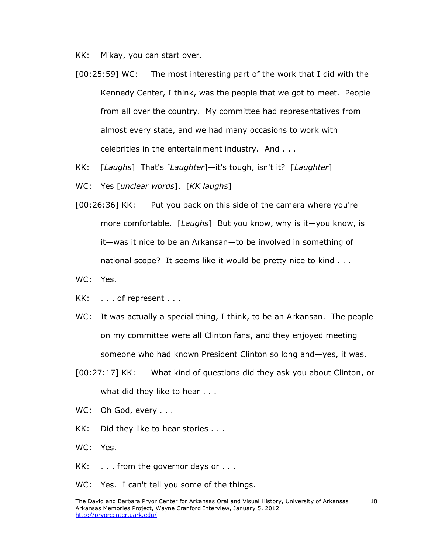KK: M'kay, you can start over.

- [00:25:59] WC: The most interesting part of the work that I did with the Kennedy Center, I think, was the people that we got to meet. People from all over the country. My committee had representatives from almost every state, and we had many occasions to work with celebrities in the entertainment industry. And . . .
- KK: [*Laughs*] That's [*Laughter*]—it's tough, isn't it? [*Laughter*]
- WC: Yes [*unclear words*]. [*KK laughs*]
- [00:26:36] KK: Put you back on this side of the camera where you're more comfortable. [*Laughs*] But you know, why is it—you know, is it—was it nice to be an Arkansan—to be involved in something of national scope? It seems like it would be pretty nice to kind . . .
- WC: Yes.
- KK: . . . of represent . . .
- WC: It was actually a special thing, I think, to be an Arkansan. The people on my committee were all Clinton fans, and they enjoyed meeting someone who had known President Clinton so long and—yes, it was.
- [00:27:17] KK: What kind of questions did they ask you about Clinton, or what did they like to hear . . .
- WC: Oh God, every . . .
- KK: Did they like to hear stories . . .
- WC: Yes.
- $KK:$  ... from the governor days or ...
- WC: Yes. I can't tell you some of the things.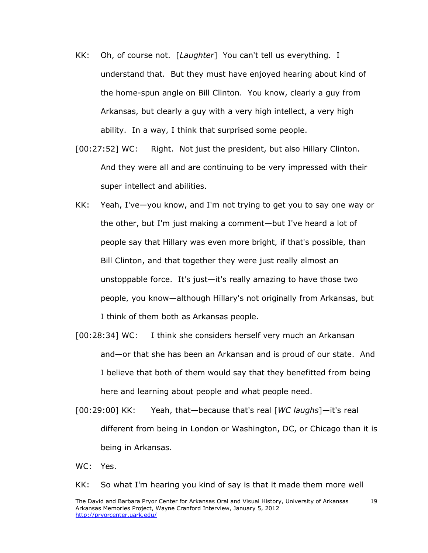- KK: Oh, of course not. [*Laughter*] You can't tell us everything. I understand that. But they must have enjoyed hearing about kind of the home-spun angle on Bill Clinton. You know, clearly a guy from Arkansas, but clearly a guy with a very high intellect, a very high ability. In a way, I think that surprised some people.
- [00:27:52] WC: Right. Not just the president, but also Hillary Clinton. And they were all and are continuing to be very impressed with their super intellect and abilities.
- KK: Yeah, I've—you know, and I'm not trying to get you to say one way or the other, but I'm just making a comment—but I've heard a lot of people say that Hillary was even more bright, if that's possible, than Bill Clinton, and that together they were just really almost an unstoppable force. It's just—it's really amazing to have those two people, you know—although Hillary's not originally from Arkansas, but I think of them both as Arkansas people.
- [00:28:34] WC: I think she considers herself very much an Arkansan and—or that she has been an Arkansan and is proud of our state. And I believe that both of them would say that they benefitted from being here and learning about people and what people need.
- [00:29:00] KK: Yeah, that—because that's real [*WC laughs*]—it's real different from being in London or Washington, DC, or Chicago than it is being in Arkansas.
- WC: Yes.

KK: So what I'm hearing you kind of say is that it made them more well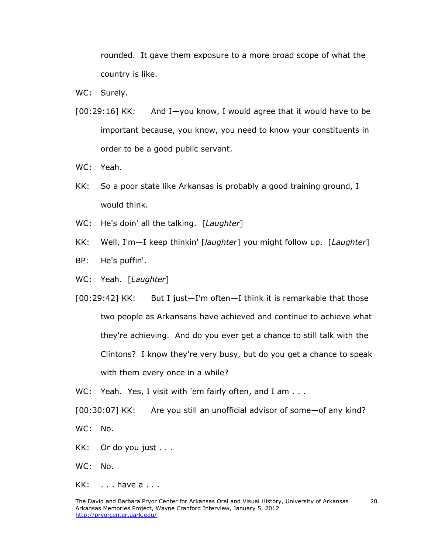rounded. It gave them exposure to a more broad scope of what the country is like.

- WC: Surely.
- [00:29:16] KK: And I—you know, I would agree that it would have to be important because, you know, you need to know your constituents in order to be a good public servant.
- WC: Yeah.
- KK: So a poor state like Arkansas is probably a good training ground, I would think.
- WC: He's doin' all the talking. [*Laughter*]
- KK: Well, I'm—I keep thinkin' [*laughter*] you might follow up. [*Laughter*]
- BP: He's puffin'.
- WC: Yeah. [*Laughter*]

[00:29:42] KK: But I just—I'm often—I think it is remarkable that those two people as Arkansans have achieved and continue to achieve what they're achieving. And do you ever get a chance to still talk with the Clintons? I know they're very busy, but do you get a chance to speak with them every once in a while?

WC: Yeah. Yes, I visit with 'em fairly often, and I am . . .

[00:30:07] KK: Are you still an unofficial advisor of some—of any kind?

WC: No.

KK: Or do you just . . .

WC: No.

 $KK:$   $\ldots$  have a  $\ldots$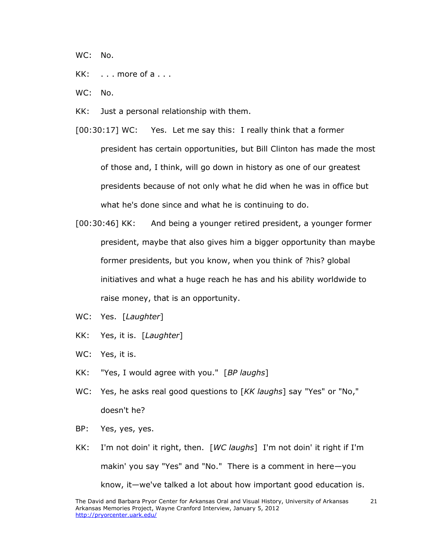WC: No.

- KK: ... more of a ...
- WC: No.
- KK: Just a personal relationship with them.
- [00:30:17] WC: Yes. Let me say this: I really think that a former president has certain opportunities, but Bill Clinton has made the most of those and, I think, will go down in history as one of our greatest presidents because of not only what he did when he was in office but what he's done since and what he is continuing to do.
- [00:30:46] KK: And being a younger retired president, a younger former president, maybe that also gives him a bigger opportunity than maybe former presidents, but you know, when you think of ?his? global initiatives and what a huge reach he has and his ability worldwide to raise money, that is an opportunity.
- WC: Yes. [*Laughter*]
- KK: Yes, it is. [*Laughter*]
- WC: Yes, it is.
- KK: "Yes, I would agree with you." [*BP laughs*]
- WC: Yes, he asks real good questions to [*KK laughs*] say "Yes" or "No," doesn't he?
- BP: Yes, yes, yes.
- KK: I'm not doin' it right, then. [*WC laughs*] I'm not doin' it right if I'm makin' you say "Yes" and "No." There is a comment in here—you know, it—we've talked a lot about how important good education is.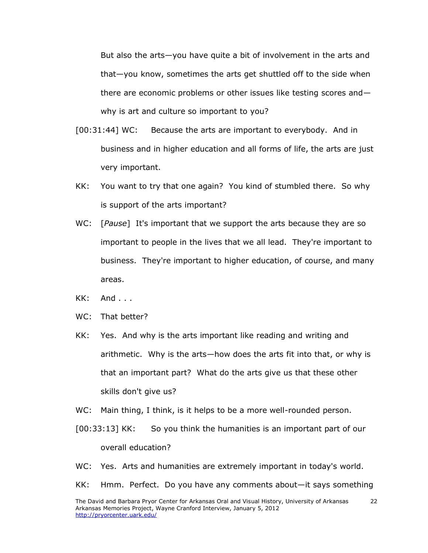But also the arts—you have quite a bit of involvement in the arts and that—you know, sometimes the arts get shuttled off to the side when there are economic problems or other issues like testing scores and why is art and culture so important to you?

- [00:31:44] WC: Because the arts are important to everybody. And in business and in higher education and all forms of life, the arts are just very important.
- KK: You want to try that one again? You kind of stumbled there. So why is support of the arts important?
- WC: [*Pause*] It's important that we support the arts because they are so important to people in the lives that we all lead. They're important to business. They're important to higher education, of course, and many areas.
- KK: And . . .
- WC: That better?
- KK: Yes. And why is the arts important like reading and writing and arithmetic. Why is the arts—how does the arts fit into that, or why is that an important part? What do the arts give us that these other skills don't give us?
- WC: Main thing, I think, is it helps to be a more well-rounded person.
- [00:33:13] KK: So you think the humanities is an important part of our overall education?
- WC: Yes. Arts and humanities are extremely important in today's world.
- KK: Hmm. Perfect. Do you have any comments about—it says something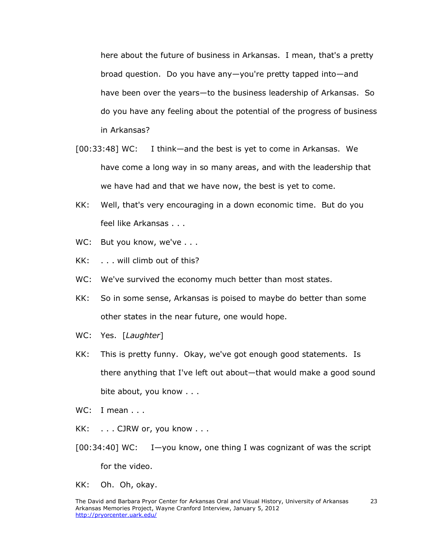here about the future of business in Arkansas. I mean, that's a pretty broad question. Do you have any—you're pretty tapped into—and have been over the years—to the business leadership of Arkansas. So do you have any feeling about the potential of the progress of business in Arkansas?

- [00:33:48] WC: I think—and the best is yet to come in Arkansas. We have come a long way in so many areas, and with the leadership that we have had and that we have now, the best is yet to come.
- KK: Well, that's very encouraging in a down economic time. But do you feel like Arkansas . . .
- WC: But you know, we've . . .
- KK: . . . will climb out of this?
- WC: We've survived the economy much better than most states.
- KK: So in some sense, Arkansas is poised to maybe do better than some other states in the near future, one would hope.
- WC: Yes. [*Laughter*]
- KK: This is pretty funny. Okay, we've got enough good statements. Is there anything that I've left out about—that would make a good sound bite about, you know . . .
- WC: I mean . . .
- KK: . . . CJRW or, you know . . .
- $[00:34:40]$  WC: I-you know, one thing I was cognizant of was the script for the video.
- KK: Oh. Oh, okay.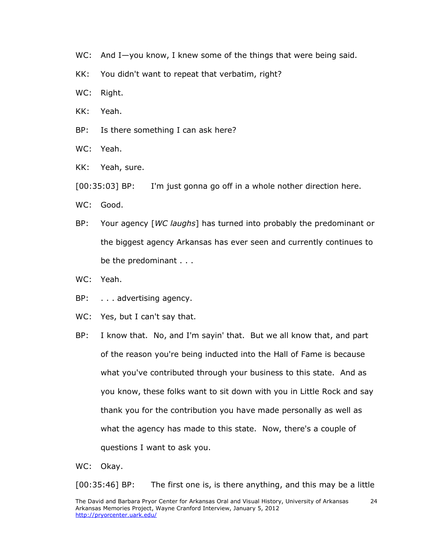- WC: And I-you know, I knew some of the things that were being said.
- KK: You didn't want to repeat that verbatim, right?
- WC: Right.
- KK: Yeah.
- BP: Is there something I can ask here?
- WC: Yeah.
- KK: Yeah, sure.
- [00:35:03] BP: I'm just gonna go off in a whole nother direction here.
- WC: Good.
- BP: Your agency [*WC laughs*] has turned into probably the predominant or the biggest agency Arkansas has ever seen and currently continues to be the predominant . . .
- WC: Yeah.
- BP: . . . advertising agency.
- WC: Yes, but I can't say that.
- BP: I know that. No, and I'm sayin' that. But we all know that, and part of the reason you're being inducted into the Hall of Fame is because what you've contributed through your business to this state. And as you know, these folks want to sit down with you in Little Rock and say thank you for the contribution you have made personally as well as what the agency has made to this state. Now, there's a couple of questions I want to ask you.
- WC: Okay.

[00:35:46] BP: The first one is, is there anything, and this may be a little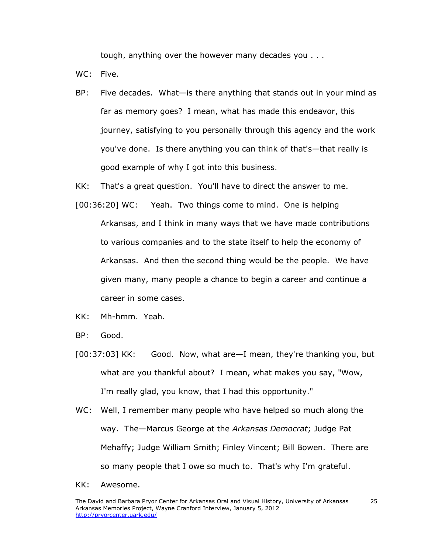tough, anything over the however many decades you . . .

WC: Five.

BP: Five decades. What—is there anything that stands out in your mind as far as memory goes? I mean, what has made this endeavor, this journey, satisfying to you personally through this agency and the work you've done. Is there anything you can think of that's—that really is good example of why I got into this business.

KK: That's a great question. You'll have to direct the answer to me.

- [00:36:20] WC: Yeah. Two things come to mind. One is helping Arkansas, and I think in many ways that we have made contributions to various companies and to the state itself to help the economy of Arkansas. And then the second thing would be the people. We have given many, many people a chance to begin a career and continue a career in some cases.
- KK: Mh-hmm. Yeah.
- BP: Good.
- [00:37:03] KK: Good. Now, what are—I mean, they're thanking you, but what are you thankful about? I mean, what makes you say, "Wow, I'm really glad, you know, that I had this opportunity."
- WC: Well, I remember many people who have helped so much along the way. The—Marcus George at the *Arkansas Democrat*; Judge Pat Mehaffy; Judge William Smith; Finley Vincent; Bill Bowen. There are so many people that I owe so much to. That's why I'm grateful.
- KK: Awesome.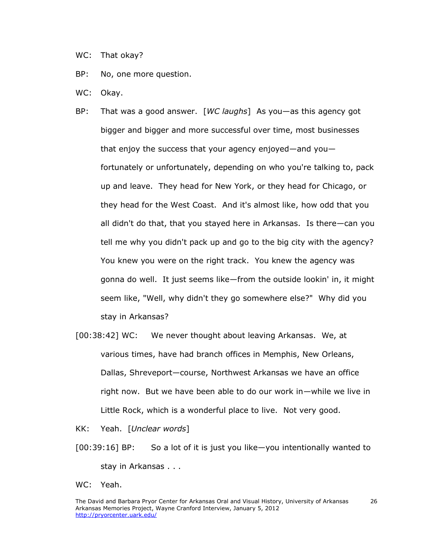- WC: That okay?
- BP: No, one more question.
- WC: Okay.
- BP: That was a good answer. [*WC laughs*] As you—as this agency got bigger and bigger and more successful over time, most businesses that enjoy the success that your agency enjoyed—and you fortunately or unfortunately, depending on who you're talking to, pack up and leave. They head for New York, or they head for Chicago, or they head for the West Coast. And it's almost like, how odd that you all didn't do that, that you stayed here in Arkansas. Is there—can you tell me why you didn't pack up and go to the big city with the agency? You knew you were on the right track. You knew the agency was gonna do well. It just seems like—from the outside lookin' in, it might seem like, "Well, why didn't they go somewhere else?" Why did you stay in Arkansas?
- [00:38:42] WC: We never thought about leaving Arkansas. We, at various times, have had branch offices in Memphis, New Orleans, Dallas, Shreveport—course, Northwest Arkansas we have an office right now. But we have been able to do our work in—while we live in Little Rock, which is a wonderful place to live. Not very good.
- KK: Yeah. [*Unclear words*]
- [00:39:16] BP: So a lot of it is just you like—you intentionally wanted to stay in Arkansas . . .
- WC: Yeah.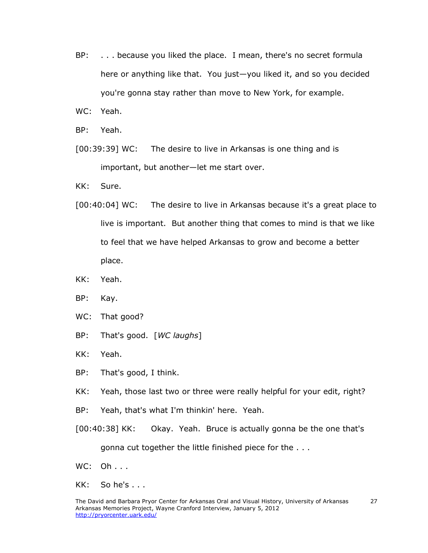BP: . . . because you liked the place. I mean, there's no secret formula here or anything like that. You just—you liked it, and so you decided you're gonna stay rather than move to New York, for example.

WC: Yeah.

BP: Yeah.

[00:39:39] WC: The desire to live in Arkansas is one thing and is important, but another—let me start over.

KK: Sure.

- [00:40:04] WC: The desire to live in Arkansas because it's a great place to live is important. But another thing that comes to mind is that we like to feel that we have helped Arkansas to grow and become a better place.
- KK: Yeah.
- BP: Kay.
- WC: That good?
- BP: That's good. [*WC laughs*]
- KK: Yeah.
- BP: That's good, I think.
- KK: Yeah, those last two or three were really helpful for your edit, right?
- BP: Yeah, that's what I'm thinkin' here. Yeah.
- [00:40:38] KK: Okay. Yeah. Bruce is actually gonna be the one that's gonna cut together the little finished piece for the . . .
- WC: Oh . . .
- KK: So he's . . .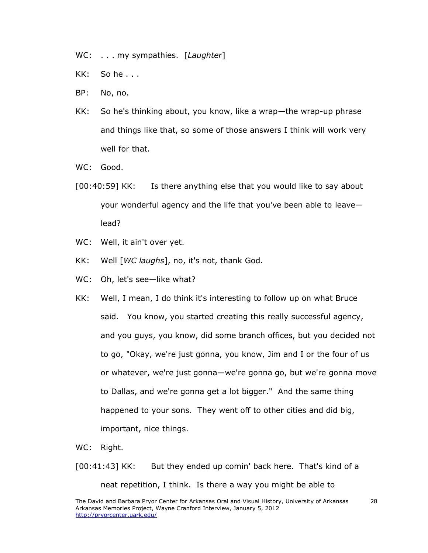- WC: . . . my sympathies. [*Laughter*]
- KK: So he . . .
- BP: No, no.
- KK: So he's thinking about, you know, like a wrap—the wrap-up phrase and things like that, so some of those answers I think will work very well for that.
- WC: Good.
- [00:40:59] KK: Is there anything else that you would like to say about your wonderful agency and the life that you've been able to leave lead?
- WC: Well, it ain't over yet.
- KK: Well [*WC laughs*], no, it's not, thank God.
- WC: Oh, let's see-like what?
- KK: Well, I mean, I do think it's interesting to follow up on what Bruce said. You know, you started creating this really successful agency, and you guys, you know, did some branch offices, but you decided not to go, "Okay, we're just gonna, you know, Jim and I or the four of us or whatever, we're just gonna—we're gonna go, but we're gonna move to Dallas, and we're gonna get a lot bigger." And the same thing happened to your sons. They went off to other cities and did big, important, nice things.
- WC: Right.

[00:41:43] KK: But they ended up comin' back here. That's kind of a neat repetition, I think. Is there a way you might be able to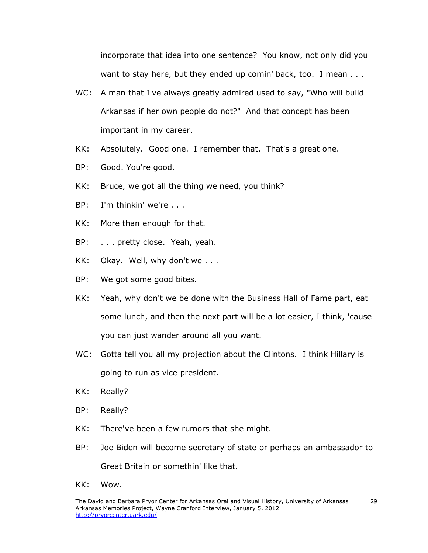incorporate that idea into one sentence? You know, not only did you want to stay here, but they ended up comin' back, too. I mean . . .

- WC: A man that I've always greatly admired used to say, "Who will build Arkansas if her own people do not?" And that concept has been important in my career.
- KK: Absolutely. Good one. I remember that. That's a great one.
- BP: Good. You're good.
- KK: Bruce, we got all the thing we need, you think?
- BP: I'm thinkin' we're . . .
- KK: More than enough for that.
- BP: . . . pretty close. Yeah, yeah.
- KK: Okay. Well, why don't we . . .
- BP: We got some good bites.
- KK: Yeah, why don't we be done with the Business Hall of Fame part, eat some lunch, and then the next part will be a lot easier, I think, 'cause you can just wander around all you want.
- WC: Gotta tell you all my projection about the Clintons. I think Hillary is going to run as vice president.
- KK: Really?
- BP: Really?
- KK: There've been a few rumors that she might.
- BP: Joe Biden will become secretary of state or perhaps an ambassador to Great Britain or somethin' like that.
- KK: Wow.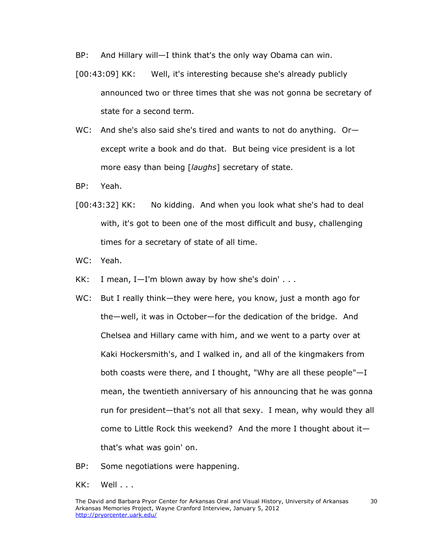BP: And Hillary will—I think that's the only way Obama can win.

- [00:43:09] KK: Well, it's interesting because she's already publicly announced two or three times that she was not gonna be secretary of state for a second term.
- WC: And she's also said she's tired and wants to not do anything. Or except write a book and do that. But being vice president is a lot more easy than being [*laughs*] secretary of state.
- BP: Yeah.
- [00:43:32] KK: No kidding. And when you look what she's had to deal with, it's got to been one of the most difficult and busy, challenging times for a secretary of state of all time.
- WC: Yeah.
- KK: I mean,  $I-I'm$  blown away by how she's doin'  $\ldots$
- WC: But I really think—they were here, you know, just a month ago for the—well, it was in October—for the dedication of the bridge. And Chelsea and Hillary came with him, and we went to a party over at Kaki Hockersmith's, and I walked in, and all of the kingmakers from both coasts were there, and I thought, "Why are all these people"—I mean, the twentieth anniversary of his announcing that he was gonna run for president—that's not all that sexy. I mean, why would they all come to Little Rock this weekend? And the more I thought about it that's what was goin' on.
- BP: Some negotiations were happening.
- KK: Well . . .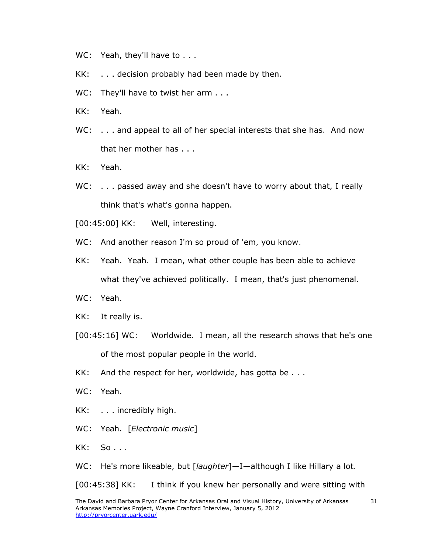- WC: Yeah, they'll have to . . .
- KK: . . . decision probably had been made by then.
- WC: They'll have to twist her arm . . .
- KK: Yeah.
- WC: . . . and appeal to all of her special interests that she has. And now that her mother has . . .
- KK: Yeah.
- WC: ... passed away and she doesn't have to worry about that, I really think that's what's gonna happen.
- [00:45:00] KK: Well, interesting.
- WC: And another reason I'm so proud of 'em, you know.
- KK: Yeah. Yeah. I mean, what other couple has been able to achieve what they've achieved politically. I mean, that's just phenomenal.
- WC: Yeah.
- KK: It really is.
- [00:45:16] WC: Worldwide. I mean, all the research shows that he's one of the most popular people in the world.
- KK: And the respect for her, worldwide, has gotta be . . .
- WC: Yeah.
- KK: . . . incredibly high.
- WC: Yeah. [*Electronic music*]
- KK: So . . .

WC: He's more likeable, but [*laughter*]—I—although I like Hillary a lot.

[00:45:38] KK: I think if you knew her personally and were sitting with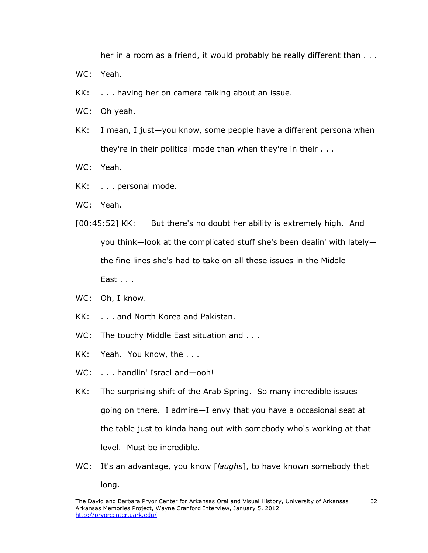her in a room as a friend, it would probably be really different than  $\dots$ 

- WC: Yeah.
- KK: . . . having her on camera talking about an issue.
- WC: Oh yeah.
- KK: I mean, I just—you know, some people have a different persona when they're in their political mode than when they're in their . . .
- WC: Yeah.
- KK: . . . personal mode.
- WC: Yeah.
- [00:45:52] KK: But there's no doubt her ability is extremely high. And you think—look at the complicated stuff she's been dealin' with lately the fine lines she's had to take on all these issues in the Middle East . . .
- WC: Oh, I know.
- KK: . . . and North Korea and Pakistan.
- WC: The touchy Middle East situation and . . .
- KK: Yeah. You know, the . . .
- WC: . . . handlin' Israel and-ooh!
- KK: The surprising shift of the Arab Spring. So many incredible issues going on there. I admire—I envy that you have a occasional seat at the table just to kinda hang out with somebody who's working at that level. Must be incredible.
- WC: It's an advantage, you know [*laughs*], to have known somebody that long.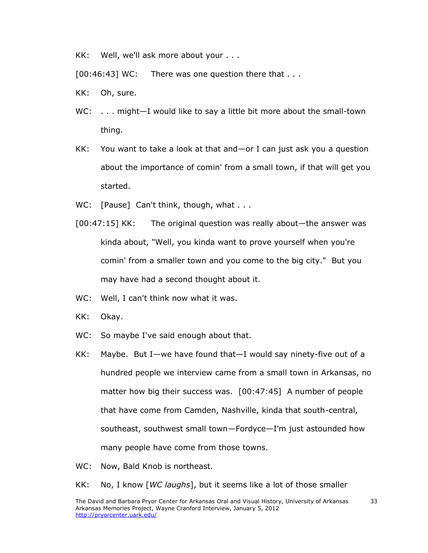KK: Well, we'll ask more about your . . .

 $[00:46:43]$  WC: There was one question there that  $\dots$ 

- KK: Oh, sure.
- WC: . . . might-I would like to say a little bit more about the small-town thing.
- KK: You want to take a look at that and—or I can just ask you a question about the importance of comin' from a small town, if that will get you started.
- WC: [Pause] Can't think, though, what . . .
- [00:47:15] KK: The original question was really about—the answer was kinda about, "Well, you kinda want to prove yourself when you're comin' from a smaller town and you come to the big city." But you may have had a second thought about it.
- WC: Well, I can't think now what it was.
- KK: Okay.
- WC: So maybe I've said enough about that.
- KK: Maybe. But I—we have found that—I would say ninety-five out of a hundred people we interview came from a small town in Arkansas, no matter how big their success was. [00:47:45] A number of people that have come from Camden, Nashville, kinda that south-central, southeast, southwest small town—Fordyce—I'm just astounded how many people have come from those towns.
- WC: Now, Bald Knob is northeast.

KK: No, I know [*WC laughs*], but it seems like a lot of those smaller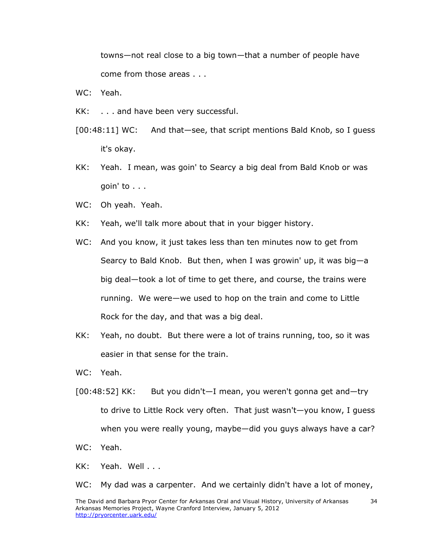towns—not real close to a big town—that a number of people have come from those areas . . .

- WC: Yeah.
- KK: . . . and have been very successful.
- [00:48:11] WC: And that—see, that script mentions Bald Knob, so I guess it's okay.
- KK: Yeah. I mean, was goin' to Searcy a big deal from Bald Knob or was goin' to . . .
- WC: Oh yeah. Yeah.
- KK: Yeah, we'll talk more about that in your bigger history.
- WC: And you know, it just takes less than ten minutes now to get from Searcy to Bald Knob. But then, when I was growin' up, it was big—a big deal—took a lot of time to get there, and course, the trains were running. We were—we used to hop on the train and come to Little Rock for the day, and that was a big deal.
- KK: Yeah, no doubt. But there were a lot of trains running, too, so it was easier in that sense for the train.
- WC: Yeah.
- [00:48:52] KK: But you didn't—I mean, you weren't gonna get and—try to drive to Little Rock very often. That just wasn't—you know, I guess when you were really young, maybe—did you guys always have a car?
- WC: Yeah.
- KK: Yeah. Well . . .

WC: My dad was a carpenter. And we certainly didn't have a lot of money,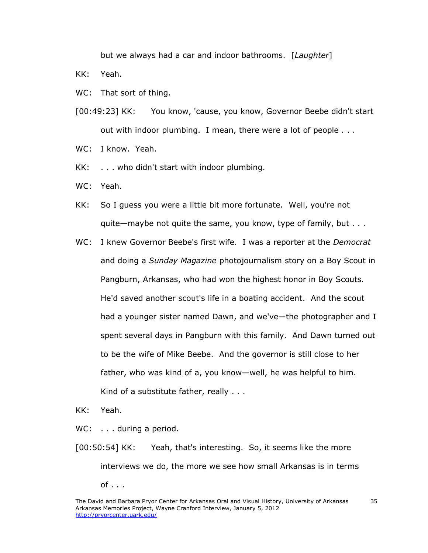but we always had a car and indoor bathrooms. [*Laughter*]

KK: Yeah.

- WC: That sort of thing.
- [00:49:23] KK: You know, 'cause, you know, Governor Beebe didn't start out with indoor plumbing. I mean, there were a lot of people . . .
- WC: I know. Yeah.
- KK: . . . who didn't start with indoor plumbing.
- WC: Yeah.
- KK: So I guess you were a little bit more fortunate. Well, you're not quite—maybe not quite the same, you know, type of family, but . . .
- WC: I knew Governor Beebe's first wife. I was a reporter at the *Democrat* and doing a *Sunday Magazine* photojournalism story on a Boy Scout in Pangburn, Arkansas, who had won the highest honor in Boy Scouts. He'd saved another scout's life in a boating accident. And the scout had a younger sister named Dawn, and we've—the photographer and I spent several days in Pangburn with this family. And Dawn turned out to be the wife of Mike Beebe. And the governor is still close to her father, who was kind of a, you know—well, he was helpful to him. Kind of a substitute father, really . . .

KK: Yeah.

WC: . . . during a period.

[00:50:54] KK: Yeah, that's interesting. So, it seems like the more interviews we do, the more we see how small Arkansas is in terms  $of \ldots$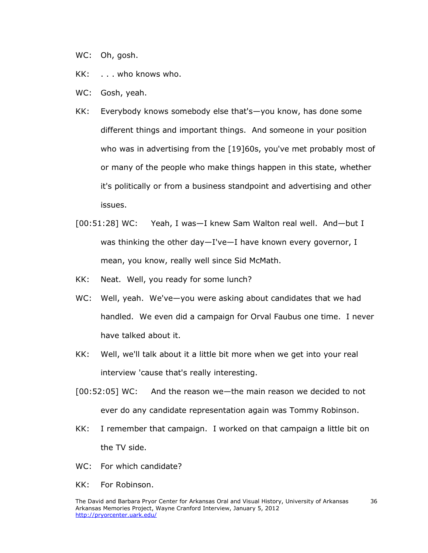- WC: Oh, gosh.
- KK: . . . who knows who.
- WC: Gosh, yeah.
- KK: Everybody knows somebody else that's—you know, has done some different things and important things. And someone in your position who was in advertising from the [19]60s, you've met probably most of or many of the people who make things happen in this state, whether it's politically or from a business standpoint and advertising and other issues.
- [00:51:28] WC: Yeah, I was—I knew Sam Walton real well. And—but I was thinking the other day—I've—I have known every governor, I mean, you know, really well since Sid McMath.
- KK: Neat. Well, you ready for some lunch?
- WC: Well, yeah. We've-you were asking about candidates that we had handled. We even did a campaign for Orval Faubus one time. I never have talked about it.
- KK: Well, we'll talk about it a little bit more when we get into your real interview 'cause that's really interesting.
- [00:52:05] WC: And the reason we—the main reason we decided to not ever do any candidate representation again was Tommy Robinson.
- KK: I remember that campaign. I worked on that campaign a little bit on the TV side.
- WC: For which candidate?
- KK: For Robinson.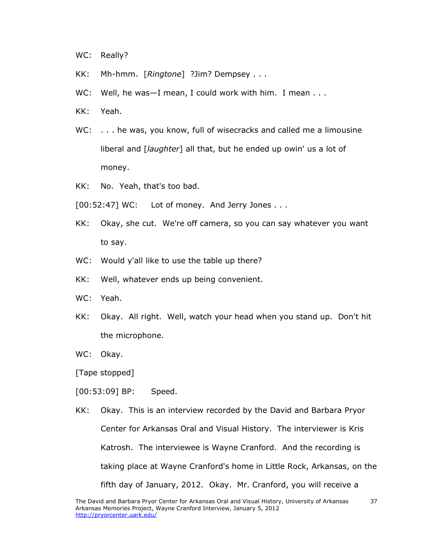- WC: Really?
- KK: Mh-hmm. [*Ringtone*] ?Jim? Dempsey . . .
- WC: Well, he was-I mean, I could work with him. I mean . . .
- KK: Yeah.
- WC: . . . he was, you know, full of wisecracks and called me a limousine liberal and [*laughter*] all that, but he ended up owin' us a lot of money.
- KK: No. Yeah, that's too bad.
- $[00:52:47]$  WC: Lot of money. And Jerry Jones . . .
- KK: Okay, she cut. We're off camera, so you can say whatever you want to say.
- WC: Would y'all like to use the table up there?
- KK: Well, whatever ends up being convenient.
- WC: Yeah.
- KK: Okay. All right. Well, watch your head when you stand up. Don't hit the microphone.
- WC: Okay.

[Tape stopped]

- [00:53:09] BP: Speed.
- KK: Okay. This is an interview recorded by the David and Barbara Pryor Center for Arkansas Oral and Visual History. The interviewer is Kris Katrosh. The interviewee is Wayne Cranford. And the recording is taking place at Wayne Cranford's home in Little Rock, Arkansas, on the fifth day of January, 2012. Okay. Mr. Cranford, you will receive a

37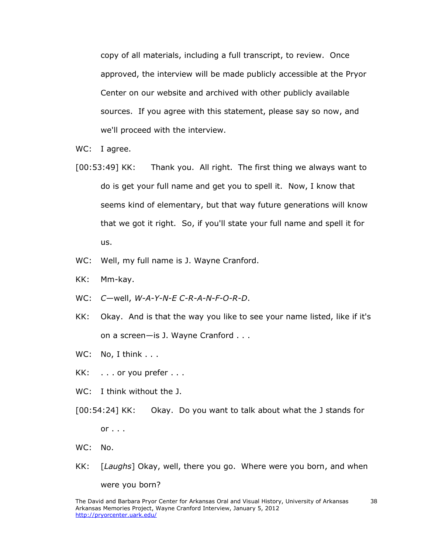copy of all materials, including a full transcript, to review. Once approved, the interview will be made publicly accessible at the Pryor Center on our website and archived with other publicly available sources. If you agree with this statement, please say so now, and we'll proceed with the interview.

WC: I agree.

- [00:53:49] KK: Thank you. All right. The first thing we always want to do is get your full name and get you to spell it. Now, I know that seems kind of elementary, but that way future generations will know that we got it right. So, if you'll state your full name and spell it for us.
- WC: Well, my full name is J. Wayne Cranford.
- KK: Mm-kay.
- WC: *C*—well, *W-A-Y-N-E C-R-A-N-F-O-R-D*.
- KK: Okay. And is that the way you like to see your name listed, like if it's on a screen—is J. Wayne Cranford . . .
- WC: No, I think . . .
- KK: . . . or you prefer . . .
- WC: I think without the J.
- [00:54:24] KK: Okay. Do you want to talk about what the J stands for  $or \ldots$
- WC: No.
- KK: [*Laughs*] Okay, well, there you go. Where were you born, and when were you born?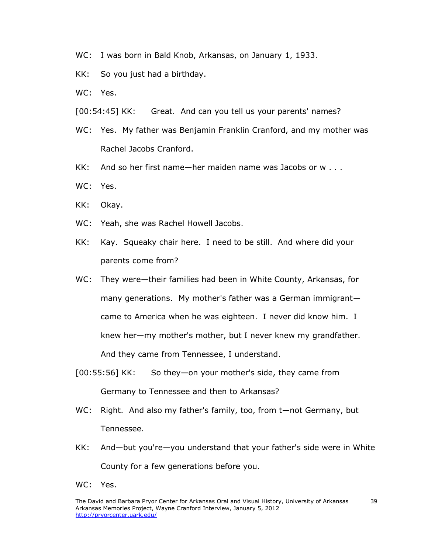- WC: I was born in Bald Knob, Arkansas, on January 1, 1933.
- KK: So you just had a birthday.
- WC: Yes.
- [00:54:45] KK: Great. And can you tell us your parents' names?
- WC: Yes. My father was Benjamin Franklin Cranford, and my mother was Rachel Jacobs Cranford.
- KK: And so her first name—her maiden name was Jacobs or w . . .
- WC: Yes.
- KK: Okay.
- WC: Yeah, she was Rachel Howell Jacobs.
- KK: Kay. Squeaky chair here. I need to be still. And where did your parents come from?
- WC: They were—their families had been in White County, Arkansas, for many generations. My mother's father was a German immigrant came to America when he was eighteen. I never did know him. I knew her—my mother's mother, but I never knew my grandfather. And they came from Tennessee, I understand.
- [00:55:56] KK: So they—on your mother's side, they came from Germany to Tennessee and then to Arkansas?
- WC: Right. And also my father's family, too, from t-not Germany, but Tennessee.
- KK: And—but you're—you understand that your father's side were in White County for a few generations before you.
- WC: Yes.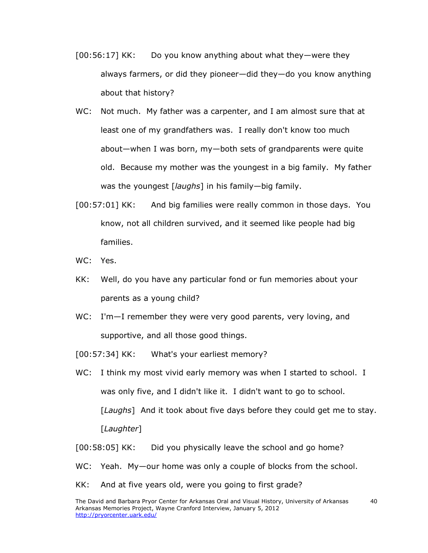- [00:56:17] KK: Do you know anything about what they—were they always farmers, or did they pioneer—did they—do you know anything about that history?
- WC: Not much. My father was a carpenter, and I am almost sure that at least one of my grandfathers was. I really don't know too much about—when I was born, my—both sets of grandparents were quite old. Because my mother was the youngest in a big family. My father was the youngest [*laughs*] in his family—big family.
- [00:57:01] KK: And big families were really common in those days. You know, not all children survived, and it seemed like people had big families.
- WC: Yes.
- KK: Well, do you have any particular fond or fun memories about your parents as a young child?
- WC: I'm-I remember they were very good parents, very loving, and supportive, and all those good things.
- [00:57:34] KK: What's your earliest memory?
- WC: I think my most vivid early memory was when I started to school. I was only five, and I didn't like it. I didn't want to go to school. [*Laughs*] And it took about five days before they could get me to stay. [*Laughter*]
- [00:58:05] KK: Did you physically leave the school and go home?
- WC: Yeah. My—our home was only a couple of blocks from the school.
- KK: And at five years old, were you going to first grade?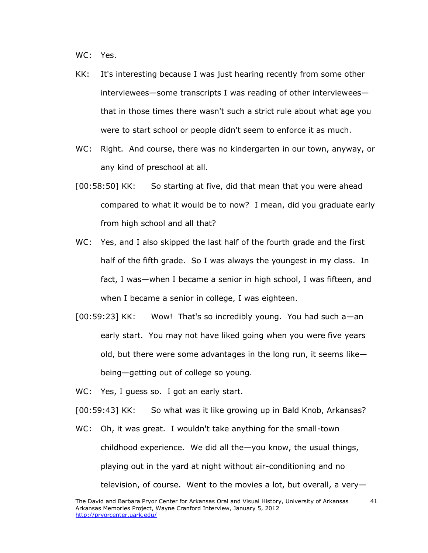WC: Yes.

- KK: It's interesting because I was just hearing recently from some other interviewees—some transcripts I was reading of other interviewees that in those times there wasn't such a strict rule about what age you were to start school or people didn't seem to enforce it as much.
- WC: Right. And course, there was no kindergarten in our town, anyway, or any kind of preschool at all.
- [00:58:50] KK: So starting at five, did that mean that you were ahead compared to what it would be to now? I mean, did you graduate early from high school and all that?
- WC: Yes, and I also skipped the last half of the fourth grade and the first half of the fifth grade. So I was always the youngest in my class. In fact, I was—when I became a senior in high school, I was fifteen, and when I became a senior in college, I was eighteen.
- [00:59:23] KK: Wow! That's so incredibly young. You had such a—an early start. You may not have liked going when you were five years old, but there were some advantages in the long run, it seems like being—getting out of college so young.
- WC: Yes, I guess so. I got an early start.

[00:59:43] KK: So what was it like growing up in Bald Knob, Arkansas?

WC: Oh, it was great. I wouldn't take anything for the small-town childhood experience. We did all the—you know, the usual things, playing out in the yard at night without air-conditioning and no television, of course. Went to the movies a lot, but overall, a very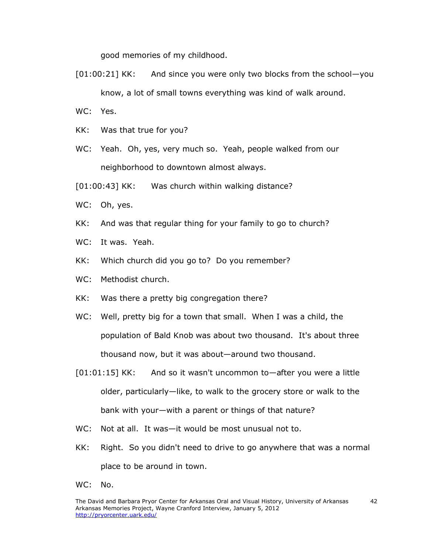good memories of my childhood.

- [01:00:21] KK: And since you were only two blocks from the school—you know, a lot of small towns everything was kind of walk around.
- WC: Yes.
- KK: Was that true for you?
- WC: Yeah. Oh, yes, very much so. Yeah, people walked from our neighborhood to downtown almost always.
- [01:00:43] KK: Was church within walking distance?
- WC: Oh, yes.
- KK: And was that regular thing for your family to go to church?
- WC: It was. Yeah.
- KK: Which church did you go to? Do you remember?
- WC: Methodist church.
- KK: Was there a pretty big congregation there?
- WC: Well, pretty big for a town that small. When I was a child, the population of Bald Knob was about two thousand. It's about three thousand now, but it was about—around two thousand.
- [01:01:15] KK: And so it wasn't uncommon to—after you were a little older, particularly—like, to walk to the grocery store or walk to the bank with your—with a parent or things of that nature?
- WC: Not at all. It was—it would be most unusual not to.
- KK: Right. So you didn't need to drive to go anywhere that was a normal place to be around in town.
- WC: No.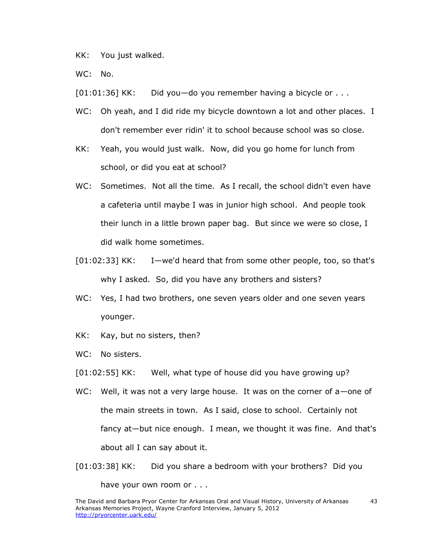KK: You just walked.

WC: No.

[01:01:36] KK: Did you—do you remember having a bicycle or . . .

- WC: Oh yeah, and I did ride my bicycle downtown a lot and other places. I don't remember ever ridin' it to school because school was so close.
- KK: Yeah, you would just walk. Now, did you go home for lunch from school, or did you eat at school?
- WC: Sometimes. Not all the time. As I recall, the school didn't even have a cafeteria until maybe I was in junior high school. And people took their lunch in a little brown paper bag. But since we were so close, I did walk home sometimes.
- [01:02:33] KK: I—we'd heard that from some other people, too, so that's why I asked. So, did you have any brothers and sisters?
- WC: Yes, I had two brothers, one seven years older and one seven years younger.
- KK: Kay, but no sisters, then?
- WC: No sisters.
- [01:02:55] KK: Well, what type of house did you have growing up?
- WC: Well, it was not a very large house. It was on the corner of a-one of the main streets in town. As I said, close to school. Certainly not fancy at—but nice enough. I mean, we thought it was fine. And that's about all I can say about it.
- [01:03:38] KK: Did you share a bedroom with your brothers? Did you have your own room or . . .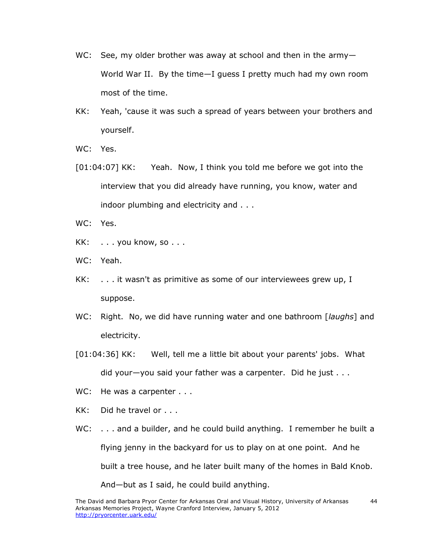- WC: See, my older brother was away at school and then in the army-World War II. By the time—I guess I pretty much had my own room most of the time.
- KK: Yeah, 'cause it was such a spread of years between your brothers and yourself.
- WC: Yes.
- [01:04:07] KK: Yeah. Now, I think you told me before we got into the interview that you did already have running, you know, water and indoor plumbing and electricity and . . .
- WC: Yes.
- KK: . . . you know, so . . .
- WC: Yeah.
- KK: . . . it wasn't as primitive as some of our interviewees grew up, I suppose.
- WC: Right. No, we did have running water and one bathroom [*laughs*] and electricity.
- [01:04:36] KK: Well, tell me a little bit about your parents' jobs. What did your—you said your father was a carpenter. Did he just . . .
- WC: He was a carpenter . . .
- KK: Did he travel or . . .
- WC: . . . and a builder, and he could build anything. I remember he built a flying jenny in the backyard for us to play on at one point. And he built a tree house, and he later built many of the homes in Bald Knob. And—but as I said, he could build anything.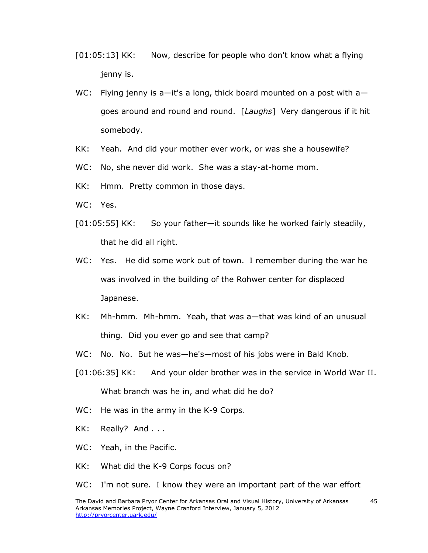- [01:05:13] KK: Now, describe for people who don't know what a flying jenny is.
- WC: Flying jenny is a—it's a long, thick board mounted on a post with a goes around and round and round. [*Laughs*] Very dangerous if it hit somebody.
- KK: Yeah. And did your mother ever work, or was she a housewife?
- WC: No, she never did work. She was a stay-at-home mom.
- KK: Hmm. Pretty common in those days.
- WC: Yes.
- [01:05:55] KK: So your father—it sounds like he worked fairly steadily, that he did all right.
- WC: Yes. He did some work out of town. I remember during the war he was involved in the building of the Rohwer center for displaced Japanese.
- KK: Mh-hmm. Mh-hmm. Yeah, that was a—that was kind of an unusual thing. Did you ever go and see that camp?
- WC: No. No. But he was—he's—most of his jobs were in Bald Knob.
- [01:06:35] KK: And your older brother was in the service in World War II. What branch was he in, and what did he do?
- WC: He was in the army in the K-9 Corps.
- KK: Really? And . . .
- WC: Yeah, in the Pacific.
- KK: What did the K-9 Corps focus on?

WC: I'm not sure. I know they were an important part of the war effort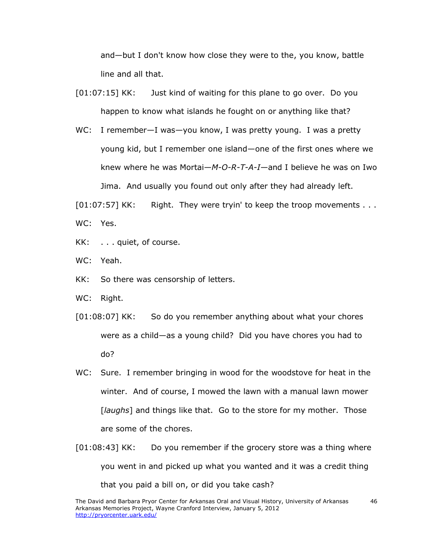and—but I don't know how close they were to the, you know, battle line and all that.

- [01:07:15] KK: Just kind of waiting for this plane to go over. Do you happen to know what islands he fought on or anything like that?
- WC: I remember—I was—you know, I was pretty young. I was a pretty young kid, but I remember one island—one of the first ones where we knew where he was Mortai—*M-O-R-T-A-I*—and I believe he was on Iwo Jima. And usually you found out only after they had already left.

[01:07:57] KK: Right. They were tryin' to keep the troop movements . . . WC: Yes.

- KK: . . . quiet, of course.
- WC: Yeah.
- KK: So there was censorship of letters.
- WC: Right.
- [01:08:07] KK: So do you remember anything about what your chores were as a child—as a young child? Did you have chores you had to do?
- WC: Sure. I remember bringing in wood for the woodstove for heat in the winter. And of course, I mowed the lawn with a manual lawn mower [*laughs*] and things like that. Go to the store for my mother. Those are some of the chores.
- [01:08:43] KK: Do you remember if the grocery store was a thing where you went in and picked up what you wanted and it was a credit thing that you paid a bill on, or did you take cash?

46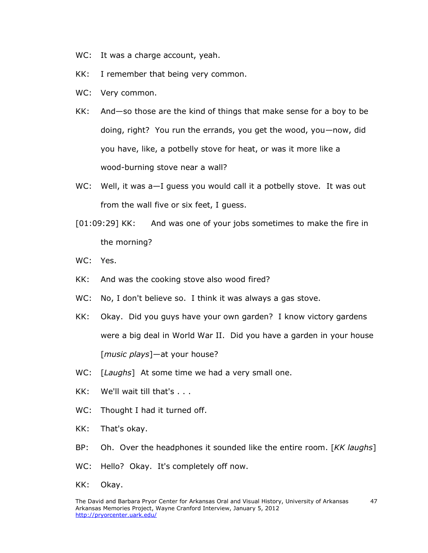- WC: It was a charge account, yeah.
- KK: I remember that being very common.
- WC: Very common.
- KK: And—so those are the kind of things that make sense for a boy to be doing, right? You run the errands, you get the wood, you—now, did you have, like, a potbelly stove for heat, or was it more like a wood-burning stove near a wall?
- WC: Well, it was a-I quess you would call it a potbelly stove. It was out from the wall five or six feet, I guess.
- [01:09:29] KK: And was one of your jobs sometimes to make the fire in the morning?
- WC: Yes.
- KK: And was the cooking stove also wood fired?
- WC: No, I don't believe so. I think it was always a gas stove.
- KK: Okay. Did you guys have your own garden? I know victory gardens were a big deal in World War II. Did you have a garden in your house [*music plays*]—at your house?
- WC: [*Laughs*] At some time we had a very small one.
- KK: We'll wait till that's . . .
- WC: Thought I had it turned off.
- KK: That's okay.
- BP: Oh. Over the headphones it sounded like the entire room. [*KK laughs*]
- WC: Hello? Okay. It's completely off now.
- KK: Okay.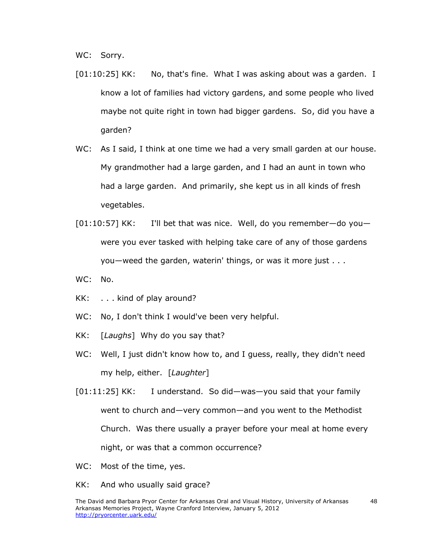WC: Sorry.

- [01:10:25] KK: No, that's fine. What I was asking about was a garden. I know a lot of families had victory gardens, and some people who lived maybe not quite right in town had bigger gardens. So, did you have a garden?
- WC: As I said, I think at one time we had a very small garden at our house. My grandmother had a large garden, and I had an aunt in town who had a large garden. And primarily, she kept us in all kinds of fresh vegetables.
- $[01:10:57]$  KK: I'll bet that was nice. Well, do you remember—do you were you ever tasked with helping take care of any of those gardens you—weed the garden, waterin' things, or was it more just . . .
- WC: No.
- KK: . . . kind of play around?
- WC: No, I don't think I would've been very helpful.
- KK: [*Laughs*] Why do you say that?
- WC: Well, I just didn't know how to, and I guess, really, they didn't need my help, either. [*Laughter*]
- [01:11:25] KK: I understand. So did—was—you said that your family went to church and—very common—and you went to the Methodist Church. Was there usually a prayer before your meal at home every night, or was that a common occurrence?
- WC: Most of the time, yes.
- KK: And who usually said grace?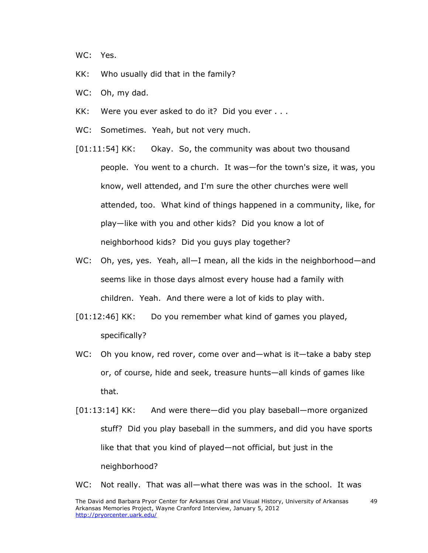WC: Yes.

- KK: Who usually did that in the family?
- WC: Oh, my dad.
- KK: Were you ever asked to do it? Did you ever . . .
- WC: Sometimes. Yeah, but not very much.
- [01:11:54] KK: Okay. So, the community was about two thousand people. You went to a church. It was—for the town's size, it was, you know, well attended, and I'm sure the other churches were well attended, too. What kind of things happened in a community, like, for play—like with you and other kids? Did you know a lot of neighborhood kids? Did you guys play together?
- WC: Oh, yes, yes. Yeah, all-I mean, all the kids in the neighborhood-and seems like in those days almost every house had a family with children. Yeah. And there were a lot of kids to play with.
- [01:12:46] KK: Do you remember what kind of games you played, specifically?
- WC: Oh you know, red rover, come over and—what is it—take a baby step or, of course, hide and seek, treasure hunts—all kinds of games like that.
- [01:13:14] KK: And were there—did you play baseball—more organized stuff? Did you play baseball in the summers, and did you have sports like that that you kind of played—not official, but just in the neighborhood?

WC: Not really. That was all—what there was was in the school. It was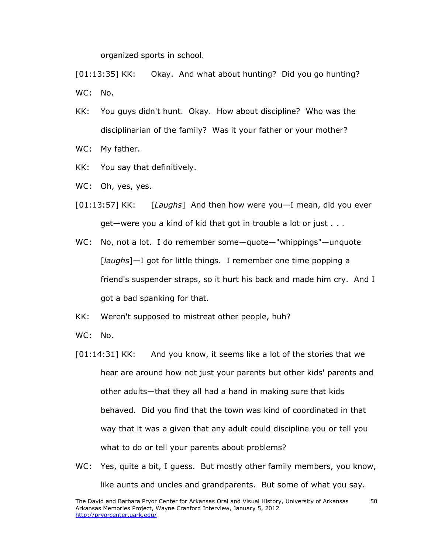organized sports in school.

[01:13:35] KK: Okay. And what about hunting? Did you go hunting? WC: No.

KK: You guys didn't hunt. Okay. How about discipline? Who was the disciplinarian of the family? Was it your father or your mother?

WC: My father.

- KK: You say that definitively.
- WC: Oh, yes, yes.
- [01:13:57] KK: [*Laughs*] And then how were you—I mean, did you ever get—were you a kind of kid that got in trouble a lot or just . . .
- WC: No, not a lot. I do remember some-quote-"whippings"-unquote [*laughs*]—I got for little things. I remember one time popping a friend's suspender straps, so it hurt his back and made him cry. And I got a bad spanking for that.
- KK: Weren't supposed to mistreat other people, huh?
- WC: No.
- [01:14:31] KK: And you know, it seems like a lot of the stories that we hear are around how not just your parents but other kids' parents and other adults—that they all had a hand in making sure that kids behaved. Did you find that the town was kind of coordinated in that way that it was a given that any adult could discipline you or tell you what to do or tell your parents about problems?
- WC: Yes, quite a bit, I guess. But mostly other family members, you know, like aunts and uncles and grandparents. But some of what you say.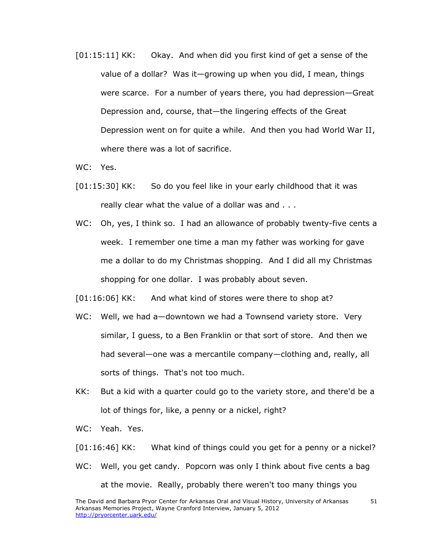[01:15:11] KK: Okay. And when did you first kind of get a sense of the value of a dollar? Was it—growing up when you did, I mean, things were scarce. For a number of years there, you had depression—Great Depression and, course, that—the lingering effects of the Great Depression went on for quite a while. And then you had World War II, where there was a lot of sacrifice.

WC: Yes.

- [01:15:30] KK: So do you feel like in your early childhood that it was really clear what the value of a dollar was and . . .
- WC: Oh, yes, I think so. I had an allowance of probably twenty-five cents a week. I remember one time a man my father was working for gave me a dollar to do my Christmas shopping. And I did all my Christmas shopping for one dollar. I was probably about seven.

[01:16:06] KK: And what kind of stores were there to shop at?

- WC: Well, we had a—downtown we had a Townsend variety store. Very similar, I guess, to a Ben Franklin or that sort of store. And then we had several—one was a mercantile company—clothing and, really, all sorts of things. That's not too much.
- KK: But a kid with a quarter could go to the variety store, and there'd be a lot of things for, like, a penny or a nickel, right?
- WC: Yeah. Yes.

[01:16:46] KK: What kind of things could you get for a penny or a nickel?

WC: Well, you get candy. Popcorn was only I think about five cents a bag at the movie. Really, probably there weren't too many things you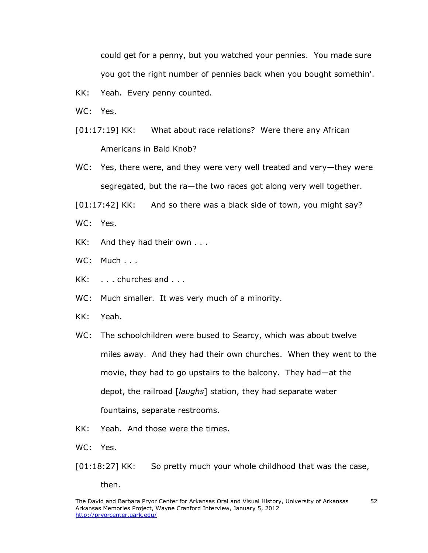could get for a penny, but you watched your pennies. You made sure you got the right number of pennies back when you bought somethin'.

- KK: Yeah. Every penny counted.
- WC: Yes.
- [01:17:19] KK: What about race relations? Were there any African Americans in Bald Knob?
- WC: Yes, there were, and they were very well treated and very—they were segregated, but the ra—the two races got along very well together.
- $[01:17:42]$  KK: And so there was a black side of town, you might say?
- WC: Yes.
- KK: And they had their own . . .
- WC: Much . . .
- KK: . . . churches and . . .
- WC: Much smaller. It was very much of a minority.
- KK: Yeah.
- WC: The schoolchildren were bused to Searcy, which was about twelve miles away. And they had their own churches. When they went to the movie, they had to go upstairs to the balcony. They had—at the depot, the railroad [*laughs*] station, they had separate water fountains, separate restrooms.
- KK: Yeah. And those were the times.
- WC: Yes.
- [01:18:27] KK: So pretty much your whole childhood that was the case,

then.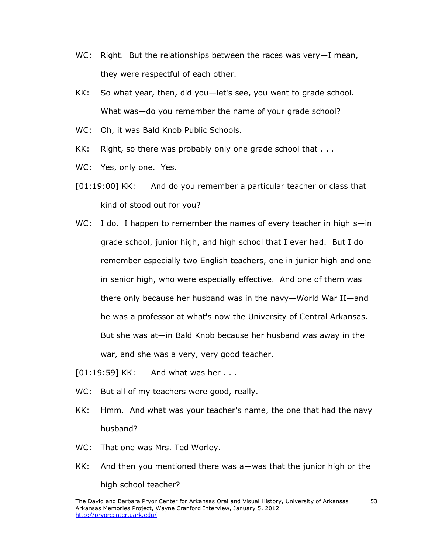- WC: Right. But the relationships between the races was very-I mean, they were respectful of each other.
- KK: So what year, then, did you—let's see, you went to grade school. What was—do you remember the name of your grade school?
- WC: Oh, it was Bald Knob Public Schools.
- KK: Right, so there was probably only one grade school that  $\dots$
- WC: Yes, only one. Yes.
- [01:19:00] KK: And do you remember a particular teacher or class that kind of stood out for you?
- WC: I do. I happen to remember the names of every teacher in high s-in grade school, junior high, and high school that I ever had. But I do remember especially two English teachers, one in junior high and one in senior high, who were especially effective. And one of them was there only because her husband was in the navy—World War II—and he was a professor at what's now the University of Central Arkansas. But she was at—in Bald Knob because her husband was away in the war, and she was a very, very good teacher.
- [01:19:59] KK: And what was her . . .
- WC: But all of my teachers were good, really.
- KK: Hmm. And what was your teacher's name, the one that had the navy husband?
- WC: That one was Mrs. Ted Worley.
- KK: And then you mentioned there was a—was that the junior high or the high school teacher?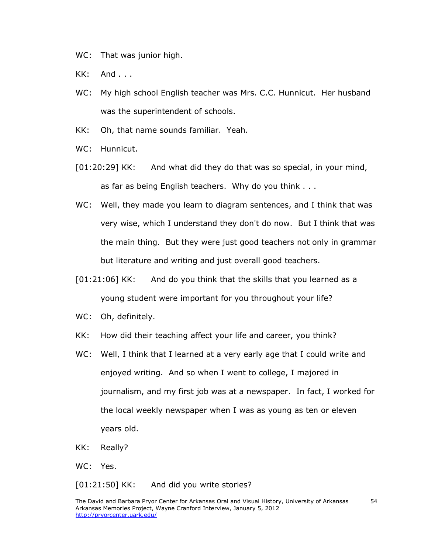WC: That was junior high.

KK: And . . .

- WC: My high school English teacher was Mrs. C.C. Hunnicut. Her husband was the superintendent of schools.
- KK: Oh, that name sounds familiar. Yeah.
- WC: Hunnicut.
- [01:20:29] KK: And what did they do that was so special, in your mind, as far as being English teachers. Why do you think . . .
- WC: Well, they made you learn to diagram sentences, and I think that was very wise, which I understand they don't do now. But I think that was the main thing. But they were just good teachers not only in grammar but literature and writing and just overall good teachers.
- [01:21:06] KK: And do you think that the skills that you learned as a young student were important for you throughout your life?
- WC: Oh, definitely.
- KK: How did their teaching affect your life and career, you think?
- WC: Well, I think that I learned at a very early age that I could write and enjoyed writing. And so when I went to college, I majored in journalism, and my first job was at a newspaper. In fact, I worked for the local weekly newspaper when I was as young as ten or eleven years old.
- KK: Really?

WC: Yes.

[01:21:50] KK: And did you write stories?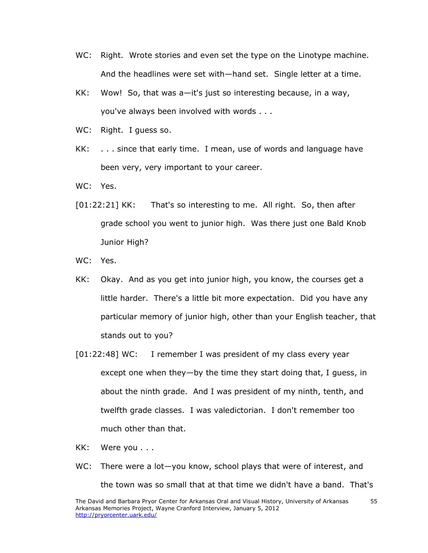- WC: Right. Wrote stories and even set the type on the Linotype machine. And the headlines were set with—hand set. Single letter at a time.
- KK: Wow! So, that was a—it's just so interesting because, in a way, you've always been involved with words . . .
- WC: Right. I guess so.
- KK: . . . since that early time. I mean, use of words and language have been very, very important to your career.
- WC: Yes.
- [01:22:21] KK: That's so interesting to me. All right. So, then after grade school you went to junior high. Was there just one Bald Knob Junior High?
- WC: Yes.
- KK: Okay. And as you get into junior high, you know, the courses get a little harder. There's a little bit more expectation. Did you have any particular memory of junior high, other than your English teacher, that stands out to you?
- [01:22:48] WC: I remember I was president of my class every year except one when they—by the time they start doing that, I guess, in about the ninth grade. And I was president of my ninth, tenth, and twelfth grade classes. I was valedictorian. I don't remember too much other than that.
- KK: Were you . . .
- WC: There were a lot-you know, school plays that were of interest, and the town was so small that at that time we didn't have a band. That's

55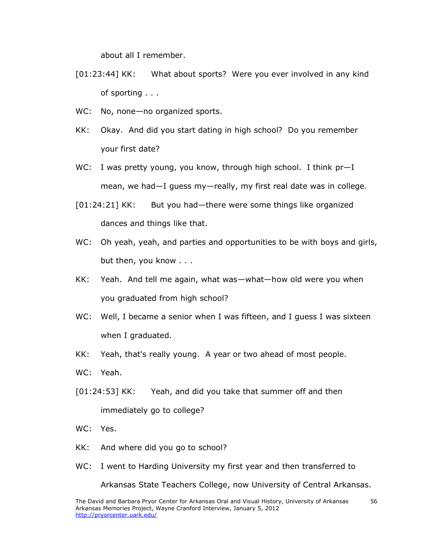about all I remember.

- [01:23:44] KK: What about sports? Were you ever involved in any kind of sporting . . .
- WC: No, none-no organized sports.
- KK: Okay. And did you start dating in high school? Do you remember your first date?
- WC: I was pretty young, you know, through high school. I think  $pr-I$ mean, we had—I guess my—really, my first real date was in college.
- [01:24:21] KK: But you had—there were some things like organized dances and things like that.
- WC: Oh yeah, yeah, and parties and opportunities to be with boys and girls, but then, you know . . .
- KK: Yeah. And tell me again, what was—what—how old were you when you graduated from high school?
- WC: Well, I became a senior when I was fifteen, and I guess I was sixteen when I graduated.
- KK: Yeah, that's really young. A year or two ahead of most people.
- WC: Yeah.
- [01:24:53] KK: Yeah, and did you take that summer off and then immediately go to college?
- WC: Yes.
- KK: And where did you go to school?
- WC: I went to Harding University my first year and then transferred to

Arkansas State Teachers College, now University of Central Arkansas.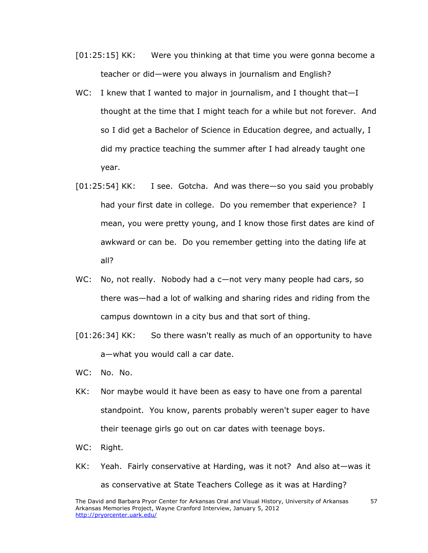- [01:25:15] KK: Were you thinking at that time you were gonna become a teacher or did—were you always in journalism and English?
- WC: I knew that I wanted to major in journalism, and I thought that-I thought at the time that I might teach for a while but not forever. And so I did get a Bachelor of Science in Education degree, and actually, I did my practice teaching the summer after I had already taught one year.
- [01:25:54] KK: I see. Gotcha. And was there—so you said you probably had your first date in college. Do you remember that experience? I mean, you were pretty young, and I know those first dates are kind of awkward or can be. Do you remember getting into the dating life at all?
- WC: No, not really. Nobody had a c—not very many people had cars, so there was—had a lot of walking and sharing rides and riding from the campus downtown in a city bus and that sort of thing.
- [01:26:34] KK: So there wasn't really as much of an opportunity to have a—what you would call a car date.
- WC: No. No.
- KK: Nor maybe would it have been as easy to have one from a parental standpoint. You know, parents probably weren't super eager to have their teenage girls go out on car dates with teenage boys.
- WC: Right.
- KK: Yeah. Fairly conservative at Harding, was it not? And also at—was it as conservative at State Teachers College as it was at Harding?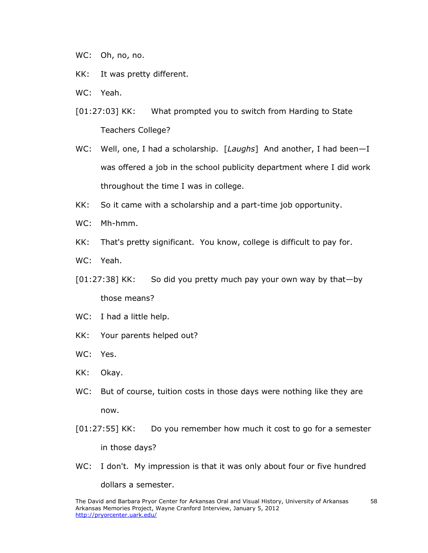WC: Oh, no, no.

- KK: It was pretty different.
- WC: Yeah.
- [01:27:03] KK: What prompted you to switch from Harding to State Teachers College?
- WC: Well, one, I had a scholarship. [*Laughs*] And another, I had been—I was offered a job in the school publicity department where I did work throughout the time I was in college.
- KK: So it came with a scholarship and a part-time job opportunity.
- WC: Mh-hmm.
- KK: That's pretty significant. You know, college is difficult to pay for.
- WC: Yeah.
- [01:27:38] KK: So did you pretty much pay your own way by that—by those means?
- WC: I had a little help.
- KK: Your parents helped out?
- WC: Yes.
- KK: Okay.
- WC: But of course, tuition costs in those days were nothing like they are now.
- [01:27:55] KK: Do you remember how much it cost to go for a semester in those days?
- WC: I don't. My impression is that it was only about four or five hundred dollars a semester.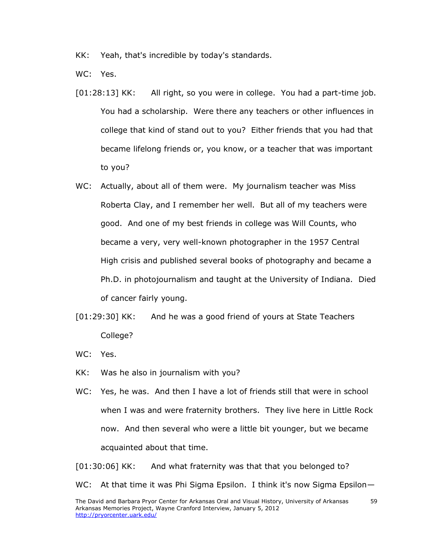KK: Yeah, that's incredible by today's standards.

WC: Yes.

- [01:28:13] KK: All right, so you were in college. You had a part-time job. You had a scholarship. Were there any teachers or other influences in college that kind of stand out to you? Either friends that you had that became lifelong friends or, you know, or a teacher that was important to you?
- WC: Actually, about all of them were. My journalism teacher was Miss Roberta Clay, and I remember her well. But all of my teachers were good. And one of my best friends in college was Will Counts, who became a very, very well-known photographer in the 1957 Central High crisis and published several books of photography and became a Ph.D. in photojournalism and taught at the University of Indiana. Died of cancer fairly young.
- [01:29:30] KK: And he was a good friend of yours at State Teachers College?
- WC: Yes.
- KK: Was he also in journalism with you?
- WC: Yes, he was. And then I have a lot of friends still that were in school when I was and were fraternity brothers. They live here in Little Rock now. And then several who were a little bit younger, but we became acquainted about that time.

[01:30:06] KK: And what fraternity was that that you belonged to?

WC: At that time it was Phi Sigma Epsilon. I think it's now Sigma Epsilon-

59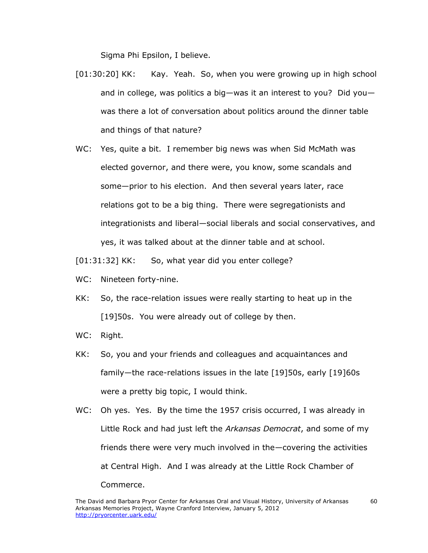Sigma Phi Epsilon, I believe.

- [01:30:20] KK: Kay. Yeah. So, when you were growing up in high school and in college, was politics a big—was it an interest to you? Did you was there a lot of conversation about politics around the dinner table and things of that nature?
- WC: Yes, quite a bit. I remember big news was when Sid McMath was elected governor, and there were, you know, some scandals and some—prior to his election. And then several years later, race relations got to be a big thing. There were segregationists and integrationists and liberal—social liberals and social conservatives, and yes, it was talked about at the dinner table and at school.

[01:31:32] KK: So, what year did you enter college?

- WC: Nineteen forty-nine.
- KK: So, the race-relation issues were really starting to heat up in the [19]50s. You were already out of college by then.
- WC: Right.
- KK: So, you and your friends and colleagues and acquaintances and family—the race-relations issues in the late [19]50s, early [19]60s were a pretty big topic, I would think.
- WC: Oh yes. Yes. By the time the 1957 crisis occurred, I was already in Little Rock and had just left the *Arkansas Democrat*, and some of my friends there were very much involved in the—covering the activities at Central High. And I was already at the Little Rock Chamber of Commerce.

60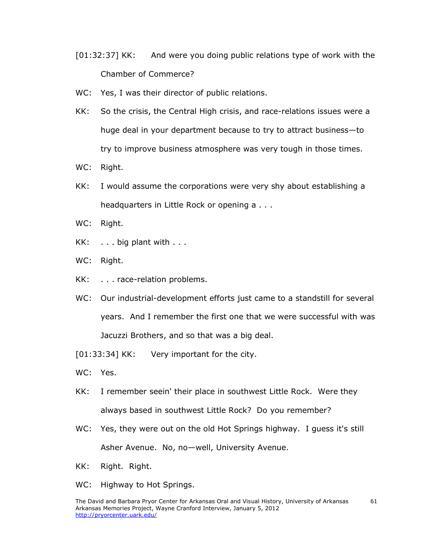- [01:32:37] KK: And were you doing public relations type of work with the Chamber of Commerce?
- WC: Yes, I was their director of public relations.
- KK: So the crisis, the Central High crisis, and race-relations issues were a huge deal in your department because to try to attract business—to try to improve business atmosphere was very tough in those times.
- WC: Right.
- KK: I would assume the corporations were very shy about establishing a headquarters in Little Rock or opening a . . .
- WC: Right.
- KK: . . . big plant with . . .
- WC: Right.
- KK: . . . race-relation problems.
- WC: Our industrial-development efforts just came to a standstill for several years. And I remember the first one that we were successful with was Jacuzzi Brothers, and so that was a big deal.
- [01:33:34] KK: Very important for the city.
- WC: Yes.
- KK: I remember seein' their place in southwest Little Rock. Were they always based in southwest Little Rock? Do you remember?
- WC: Yes, they were out on the old Hot Springs highway. I quess it's still Asher Avenue. No, no—well, University Avenue.
- KK: Right. Right.
- WC: Highway to Hot Springs.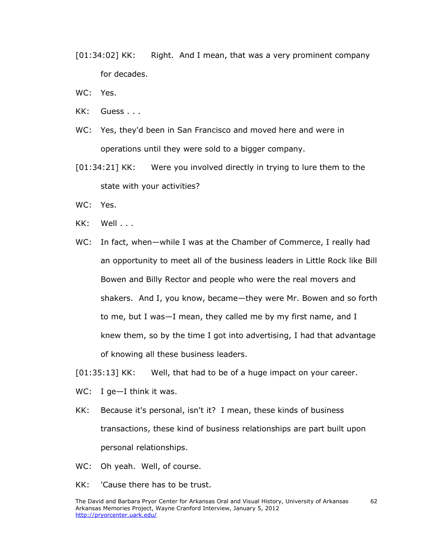- [01:34:02] KK: Right. And I mean, that was a very prominent company for decades.
- WC: Yes.
- KK: Guess . . .
- WC: Yes, they'd been in San Francisco and moved here and were in operations until they were sold to a bigger company.
- [01:34:21] KK: Were you involved directly in trying to lure them to the state with your activities?
- WC: Yes.
- KK: Well...
- WC: In fact, when-while I was at the Chamber of Commerce, I really had an opportunity to meet all of the business leaders in Little Rock like Bill Bowen and Billy Rector and people who were the real movers and shakers. And I, you know, became—they were Mr. Bowen and so forth to me, but I was—I mean, they called me by my first name, and I knew them, so by the time I got into advertising, I had that advantage of knowing all these business leaders.

[01:35:13] KK: Well, that had to be of a huge impact on your career.

- WC: I ge-I think it was.
- KK: Because it's personal, isn't it? I mean, these kinds of business transactions, these kind of business relationships are part built upon personal relationships.
- WC: Oh yeah. Well, of course.
- KK: 'Cause there has to be trust.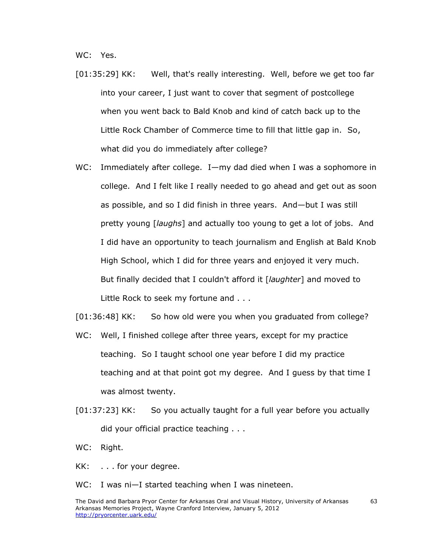WC: Yes.

- [01:35:29] KK: Well, that's really interesting. Well, before we get too far into your career, I just want to cover that segment of postcollege when you went back to Bald Knob and kind of catch back up to the Little Rock Chamber of Commerce time to fill that little gap in. So, what did you do immediately after college?
- WC: Immediately after college. I—my dad died when I was a sophomore in college. And I felt like I really needed to go ahead and get out as soon as possible, and so I did finish in three years. And—but I was still pretty young [*laughs*] and actually too young to get a lot of jobs. And I did have an opportunity to teach journalism and English at Bald Knob High School, which I did for three years and enjoyed it very much. But finally decided that I couldn't afford it [*laughter*] and moved to Little Rock to seek my fortune and . . .
- [01:36:48] KK: So how old were you when you graduated from college?
- WC: Well, I finished college after three years, except for my practice teaching. So I taught school one year before I did my practice teaching and at that point got my degree. And I guess by that time I was almost twenty.
- [01:37:23] KK: So you actually taught for a full year before you actually did your official practice teaching . . .
- WC: Right.
- KK: . . . for your degree.
- WC: I was ni-I started teaching when I was nineteen.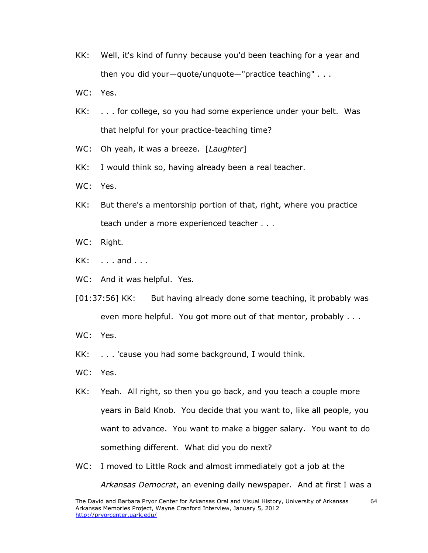- KK: Well, it's kind of funny because you'd been teaching for a year and then you did your—quote/unquote—"practice teaching" . . .
- WC: Yes.
- KK: . . . for college, so you had some experience under your belt. Was that helpful for your practice-teaching time?
- WC: Oh yeah, it was a breeze. [*Laughter*]
- KK: I would think so, having already been a real teacher.
- WC: Yes.
- KK: But there's a mentorship portion of that, right, where you practice teach under a more experienced teacher . . .
- WC: Right.
- KK: . . . and . . .
- WC: And it was helpful. Yes.
- [01:37:56] KK: But having already done some teaching, it probably was even more helpful. You got more out of that mentor, probably . . .
- WC: Yes.
- KK: . . . 'cause you had some background, I would think.
- WC: Yes.
- KK: Yeah. All right, so then you go back, and you teach a couple more years in Bald Knob. You decide that you want to, like all people, you want to advance. You want to make a bigger salary. You want to do something different. What did you do next?
- WC: I moved to Little Rock and almost immediately got a job at the *Arkansas Democrat*, an evening daily newspaper. And at first I was a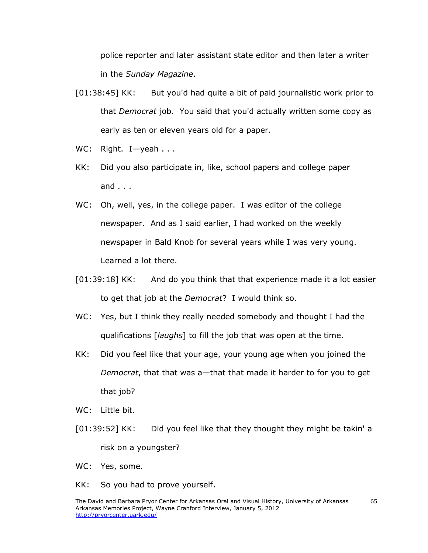police reporter and later assistant state editor and then later a writer in the *Sunday Magazine*.

- [01:38:45] KK: But you'd had quite a bit of paid journalistic work prior to that *Democrat* job. You said that you'd actually written some copy as early as ten or eleven years old for a paper.
- WC: Right. I-yeah . . .
- KK: Did you also participate in, like, school papers and college paper and  $\ldots$
- WC: Oh, well, yes, in the college paper. I was editor of the college newspaper. And as I said earlier, I had worked on the weekly newspaper in Bald Knob for several years while I was very young. Learned a lot there.
- [01:39:18] KK: And do you think that that experience made it a lot easier to get that job at the *Democrat*? I would think so.
- WC: Yes, but I think they really needed somebody and thought I had the qualifications [*laughs*] to fill the job that was open at the time.
- KK: Did you feel like that your age, your young age when you joined the *Democrat*, that that was a—that that made it harder to for you to get that job?
- WC: Little bit.
- [01:39:52] KK: Did you feel like that they thought they might be takin' a risk on a youngster?
- WC: Yes, some.
- KK: So you had to prove yourself.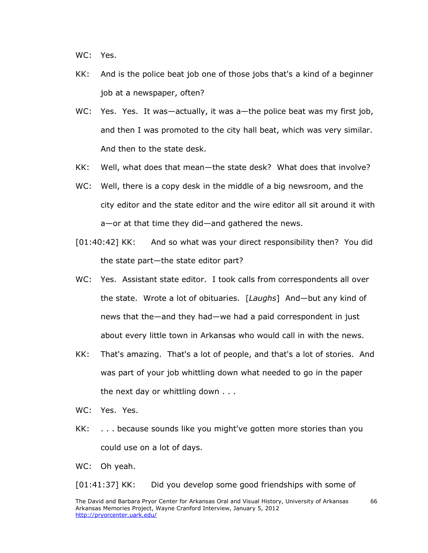WC: Yes.

- KK: And is the police beat job one of those jobs that's a kind of a beginner job at a newspaper, often?
- WC: Yes. Yes. It was—actually, it was a—the police beat was my first job, and then I was promoted to the city hall beat, which was very similar. And then to the state desk.
- KK: Well, what does that mean—the state desk? What does that involve?
- WC: Well, there is a copy desk in the middle of a big newsroom, and the city editor and the state editor and the wire editor all sit around it with a—or at that time they did—and gathered the news.
- [01:40:42] KK: And so what was your direct responsibility then? You did the state part—the state editor part?
- WC: Yes. Assistant state editor. I took calls from correspondents all over the state. Wrote a lot of obituaries. [*Laughs*] And—but any kind of news that the—and they had—we had a paid correspondent in just about every little town in Arkansas who would call in with the news.
- KK: That's amazing. That's a lot of people, and that's a lot of stories. And was part of your job whittling down what needed to go in the paper the next day or whittling down . . .
- WC: Yes. Yes.
- KK: . . . because sounds like you might've gotten more stories than you could use on a lot of days.

WC: Oh yeah.

[01:41:37] KK: Did you develop some good friendships with some of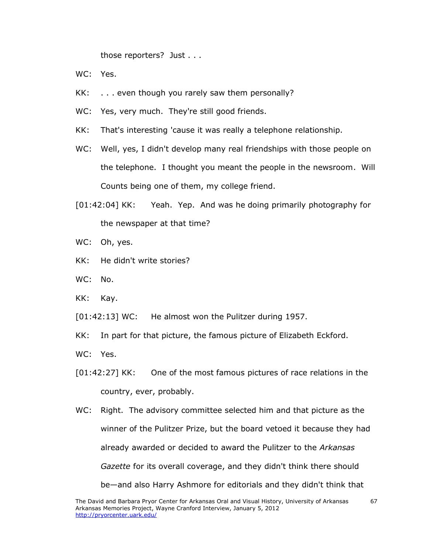those reporters? Just . . .

- WC: Yes.
- KK: . . . even though you rarely saw them personally?
- WC: Yes, very much. They're still good friends.
- KK: That's interesting 'cause it was really a telephone relationship.
- WC: Well, yes, I didn't develop many real friendships with those people on the telephone. I thought you meant the people in the newsroom. Will Counts being one of them, my college friend.
- [01:42:04] KK: Yeah. Yep. And was he doing primarily photography for the newspaper at that time?
- WC: Oh, yes.
- KK: He didn't write stories?
- WC: No.
- KK: Kay.
- [01:42:13] WC: He almost won the Pulitzer during 1957.
- KK: In part for that picture, the famous picture of Elizabeth Eckford.
- WC: Yes.
- [01:42:27] KK: One of the most famous pictures of race relations in the country, ever, probably.
- WC: Right. The advisory committee selected him and that picture as the winner of the Pulitzer Prize, but the board vetoed it because they had already awarded or decided to award the Pulitzer to the *Arkansas Gazette* for its overall coverage, and they didn't think there should be—and also Harry Ashmore for editorials and they didn't think that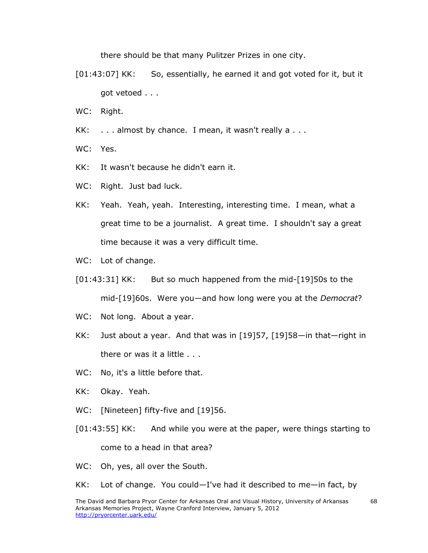there should be that many Pulitzer Prizes in one city.

- [01:43:07] KK: So, essentially, he earned it and got voted for it, but it got vetoed . . .
- WC: Right.
- KK: . . . almost by chance. I mean, it wasn't really a . . .
- WC: Yes.
- KK: It wasn't because he didn't earn it.
- WC: Right. Just bad luck.
- KK: Yeah. Yeah, yeah. Interesting, interesting time. I mean, what a great time to be a journalist. A great time. I shouldn't say a great time because it was a very difficult time.
- WC: Lot of change.
- [01:43:31] KK: But so much happened from the mid-[19]50s to the mid-[19]60s. Were you—and how long were you at the *Democrat*?
- WC: Not long. About a year.
- KK: Just about a year. And that was in [19]57, [19]58—in that—right in there or was it a little . . .
- WC: No, it's a little before that.
- KK: Okay. Yeah.
- WC: [Nineteen] fifty-five and [19]56.
- [01:43:55] KK: And while you were at the paper, were things starting to come to a head in that area?
- WC: Oh, yes, all over the South.
- KK: Lot of change. You could—I've had it described to me—in fact, by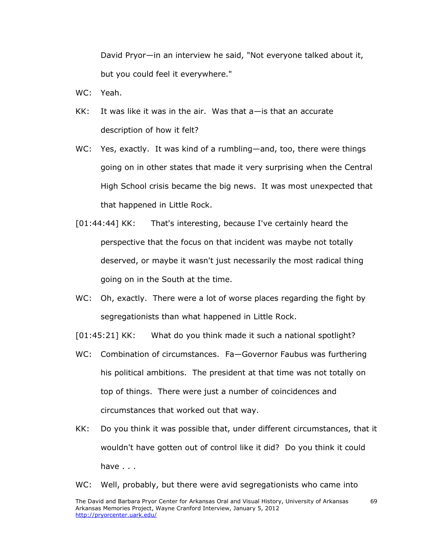David Pryor—in an interview he said, "Not everyone talked about it, but you could feel it everywhere."

- WC: Yeah.
- KK: It was like it was in the air. Was that a—is that an accurate description of how it felt?
- WC: Yes, exactly. It was kind of a rumbling—and, too, there were things going on in other states that made it very surprising when the Central High School crisis became the big news. It was most unexpected that that happened in Little Rock.
- [01:44:44] KK: That's interesting, because I've certainly heard the perspective that the focus on that incident was maybe not totally deserved, or maybe it wasn't just necessarily the most radical thing going on in the South at the time.
- WC: Oh, exactly. There were a lot of worse places regarding the fight by segregationists than what happened in Little Rock.

[01:45:21] KK: What do you think made it such a national spotlight?

- WC: Combination of circumstances. Fa—Governor Faubus was furthering his political ambitions. The president at that time was not totally on top of things. There were just a number of coincidences and circumstances that worked out that way.
- KK: Do you think it was possible that, under different circumstances, that it wouldn't have gotten out of control like it did? Do you think it could have . . .

## WC: Well, probably, but there were avid segregationists who came into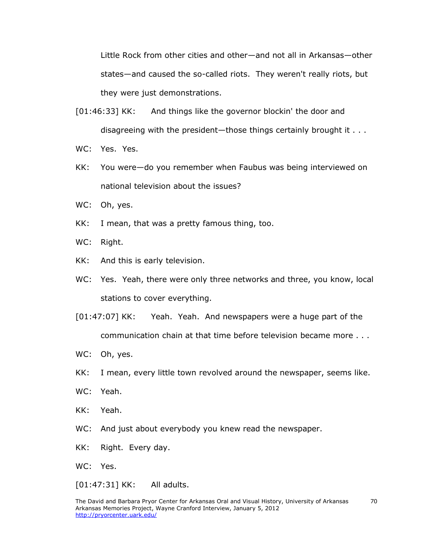Little Rock from other cities and other—and not all in Arkansas—other states—and caused the so-called riots. They weren't really riots, but they were just demonstrations.

- [01:46:33] KK: And things like the governor blockin' the door and disagreeing with the president—those things certainly brought it . . .
- WC: Yes. Yes.
- KK: You were—do you remember when Faubus was being interviewed on national television about the issues?
- WC: Oh, yes.
- KK: I mean, that was a pretty famous thing, too.
- WC: Right.
- KK: And this is early television.
- WC: Yes. Yeah, there were only three networks and three, you know, local stations to cover everything.
- [01:47:07] KK: Yeah. Yeah. And newspapers were a huge part of the communication chain at that time before television became more . . .
- WC: Oh, yes.
- KK: I mean, every little town revolved around the newspaper, seems like.
- WC: Yeah.
- KK: Yeah.
- WC: And just about everybody you knew read the newspaper.
- KK: Right. Every day.

WC: Yes.

[01:47:31] KK: All adults.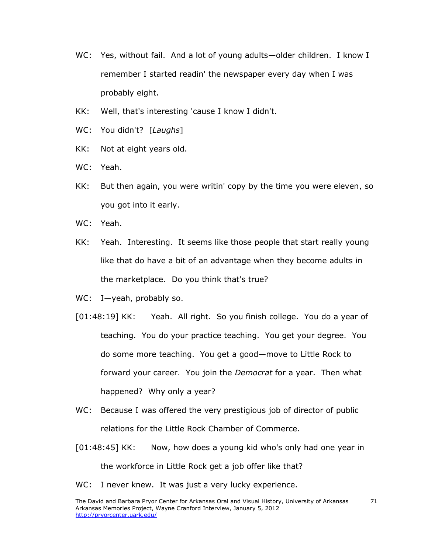- WC: Yes, without fail. And a lot of young adults—older children. I know I remember I started readin' the newspaper every day when I was probably eight.
- KK: Well, that's interesting 'cause I know I didn't.
- WC: You didn't? [*Laughs*]
- KK: Not at eight years old.
- WC: Yeah.
- KK: But then again, you were writin' copy by the time you were eleven, so you got into it early.
- WC: Yeah.
- KK: Yeah. Interesting. It seems like those people that start really young like that do have a bit of an advantage when they become adults in the marketplace. Do you think that's true?
- WC: I—yeah, probably so.
- [01:48:19] KK: Yeah. All right. So you finish college. You do a year of teaching. You do your practice teaching. You get your degree. You do some more teaching. You get a good—move to Little Rock to forward your career. You join the *Democrat* for a year. Then what happened? Why only a year?
- WC: Because I was offered the very prestigious job of director of public relations for the Little Rock Chamber of Commerce.
- [01:48:45] KK: Now, how does a young kid who's only had one year in the workforce in Little Rock get a job offer like that?
- WC: I never knew. It was just a very lucky experience.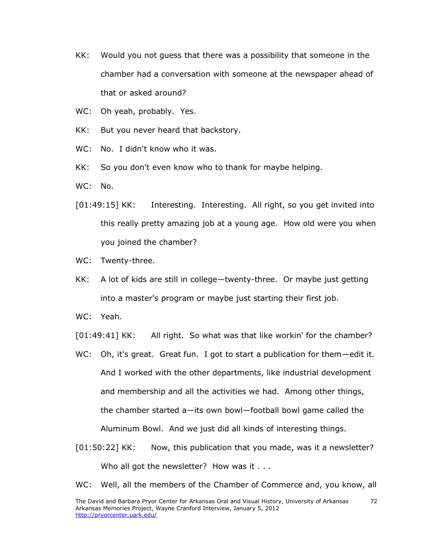- KK: Would you not guess that there was a possibility that someone in the chamber had a conversation with someone at the newspaper ahead of that or asked around?
- WC: Oh yeah, probably. Yes.
- KK: But you never heard that backstory.
- WC: No. I didn't know who it was.
- KK: So you don't even know who to thank for maybe helping.
- WC: No.
- [01:49:15] KK: Interesting. Interesting. All right, so you get invited into this really pretty amazing job at a young age. How old were you when you joined the chamber?
- WC: Twenty-three.
- KK: A lot of kids are still in college—twenty-three. Or maybe just getting into a master's program or maybe just starting their first job.
- WC: Yeah.

[01:49:41] KK: All right. So what was that like workin' for the chamber?

- WC: Oh, it's great. Great fun. I got to start a publication for them—edit it. And I worked with the other departments, like industrial development and membership and all the activities we had. Among other things, the chamber started a—its own bowl—football bowl game called the Aluminum Bowl. And we just did all kinds of interesting things.
- [01:50:22] KK: Now, this publication that you made, was it a newsletter? Who all got the newsletter? How was it . . .
- WC: Well, all the members of the Chamber of Commerce and, you know, all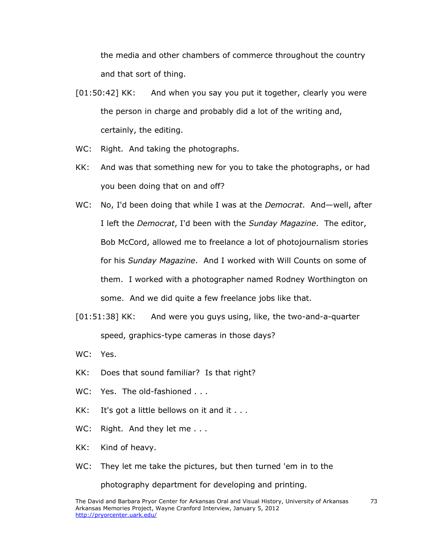the media and other chambers of commerce throughout the country and that sort of thing.

- [01:50:42] KK: And when you say you put it together, clearly you were the person in charge and probably did a lot of the writing and, certainly, the editing.
- WC: Right. And taking the photographs.
- KK: And was that something new for you to take the photographs, or had you been doing that on and off?
- WC: No, I'd been doing that while I was at the *Democrat*. And—well, after I left the *Democrat*, I'd been with the *Sunday Magazine*. The editor, Bob McCord, allowed me to freelance a lot of photojournalism stories for his *Sunday Magazine*. And I worked with Will Counts on some of them. I worked with a photographer named Rodney Worthington on some. And we did quite a few freelance jobs like that.
- [01:51:38] KK: And were you guys using, like, the two-and-a-quarter speed, graphics-type cameras in those days?
- WC: Yes.
- KK: Does that sound familiar? Is that right?
- WC: Yes. The old-fashioned . . .
- KK: It's got a little bellows on it and it  $\dots$
- WC: Right. And they let me . . .
- KK: Kind of heavy.
- WC: They let me take the pictures, but then turned 'em in to the

photography department for developing and printing.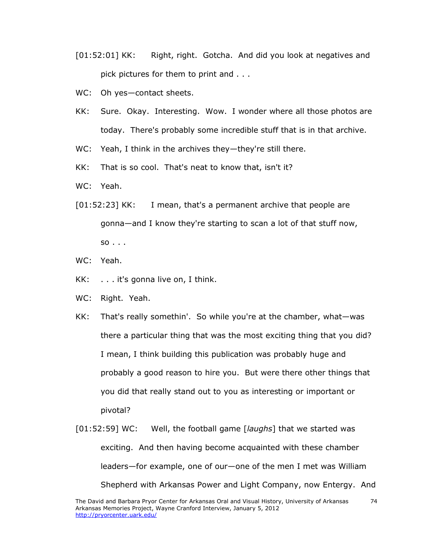- [01:52:01] KK: Right, right. Gotcha. And did you look at negatives and pick pictures for them to print and . . .
- WC: Oh yes-contact sheets.
- KK: Sure. Okay. Interesting. Wow. I wonder where all those photos are today. There's probably some incredible stuff that is in that archive.
- WC: Yeah, I think in the archives they-they're still there.
- KK: That is so cool. That's neat to know that, isn't it?
- WC: Yeah.
- [01:52:23] KK: I mean, that's a permanent archive that people are gonna—and I know they're starting to scan a lot of that stuff now,  $so \dots$
- WC: Yeah.
- KK: . . . it's gonna live on, I think.
- WC: Right. Yeah.
- KK: That's really somethin'. So while you're at the chamber, what—was there a particular thing that was the most exciting thing that you did? I mean, I think building this publication was probably huge and probably a good reason to hire you. But were there other things that you did that really stand out to you as interesting or important or pivotal?
- [01:52:59] WC: Well, the football game [*laughs*] that we started was exciting. And then having become acquainted with these chamber leaders—for example, one of our—one of the men I met was William Shepherd with Arkansas Power and Light Company, now Entergy. And

74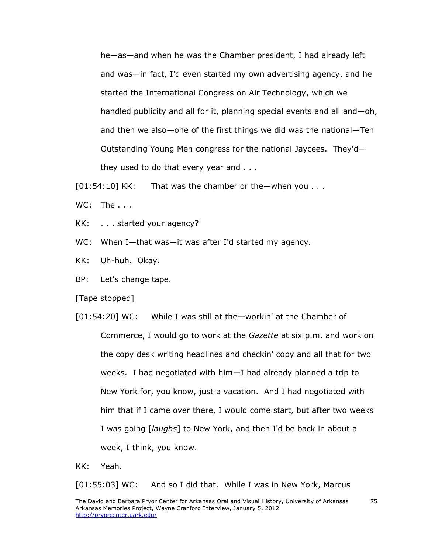he—as—and when he was the Chamber president, I had already left and was—in fact, I'd even started my own advertising agency, and he started the International Congress on Air Technology, which we handled publicity and all for it, planning special events and all and—oh, and then we also—one of the first things we did was the national—Ten Outstanding Young Men congress for the national Jaycees. They'd they used to do that every year and . . .

 $[01:54:10]$  KK: That was the chamber or the —when you . . .

WC: The ...

KK: . . . started your agency?

WC: When I-that was-it was after I'd started my agency.

KK: Uh-huh. Okay.

BP: Let's change tape.

[Tape stopped]

[01:54:20] WC: While I was still at the—workin' at the Chamber of Commerce, I would go to work at the *Gazette* at six p.m. and work on the copy desk writing headlines and checkin' copy and all that for two weeks. I had negotiated with him—I had already planned a trip to New York for, you know, just a vacation. And I had negotiated with him that if I came over there, I would come start, but after two weeks I was going [*laughs*] to New York, and then I'd be back in about a week, I think, you know.

KK: Yeah.

[01:55:03] WC: And so I did that. While I was in New York, Marcus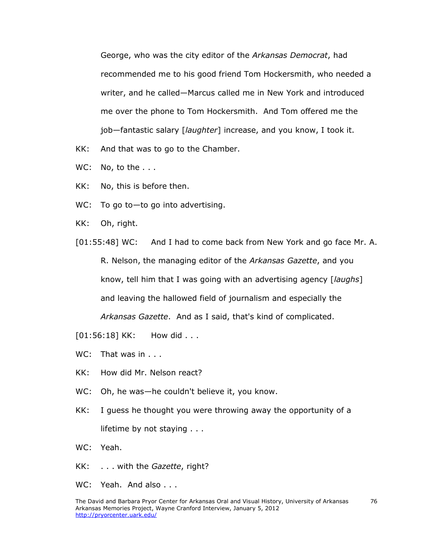George, who was the city editor of the *Arkansas Democrat*, had recommended me to his good friend Tom Hockersmith, who needed a writer, and he called—Marcus called me in New York and introduced me over the phone to Tom Hockersmith. And Tom offered me the job—fantastic salary [*laughter*] increase, and you know, I took it.

- KK: And that was to go to the Chamber.
- WC: No, to the . . .
- KK: No, this is before then.
- WC: To go to-to go into advertising.
- KK: Oh, right.
- [01:55:48] WC: And I had to come back from New York and go face Mr. A. R. Nelson, the managing editor of the *Arkansas Gazette*, and you know, tell him that I was going with an advertising agency [*laughs*] and leaving the hallowed field of journalism and especially the *Arkansas Gazette*. And as I said, that's kind of complicated.

[01:56:18] KK: How did . . .

- WC: That was in . . .
- KK: How did Mr. Nelson react?
- WC: Oh, he was—he couldn't believe it, you know.
- KK: I guess he thought you were throwing away the opportunity of a lifetime by not staying . . .

WC: Yeah.

- KK: . . . with the *Gazette*, right?
- WC: Yeah. And also . . .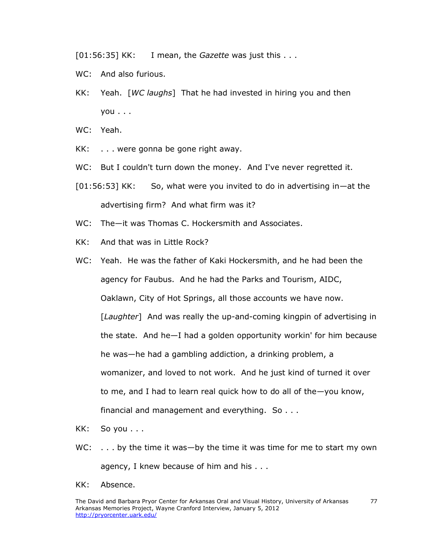[01:56:35] KK: I mean, the *Gazette* was just this . . .

- WC: And also furious.
- KK: Yeah. [*WC laughs*] That he had invested in hiring you and then you . . .
- WC: Yeah.
- KK: . . . were gonna be gone right away.
- WC: But I couldn't turn down the money. And I've never regretted it.
- [01:56:53] KK: So, what were you invited to do in advertising in—at the advertising firm? And what firm was it?
- WC: The—it was Thomas C. Hockersmith and Associates.
- KK: And that was in Little Rock?
- WC: Yeah. He was the father of Kaki Hockersmith, and he had been the agency for Faubus. And he had the Parks and Tourism, AIDC, Oaklawn, City of Hot Springs, all those accounts we have now. [*Laughter*] And was really the up-and-coming kingpin of advertising in the state. And he—I had a golden opportunity workin' for him because he was—he had a gambling addiction, a drinking problem, a womanizer, and loved to not work. And he just kind of turned it over to me, and I had to learn real quick how to do all of the—you know, financial and management and everything. So . . .
- KK: So you . . .
- WC: ... by the time it was—by the time it was time for me to start my own agency, I knew because of him and his . . .
- KK: Absence.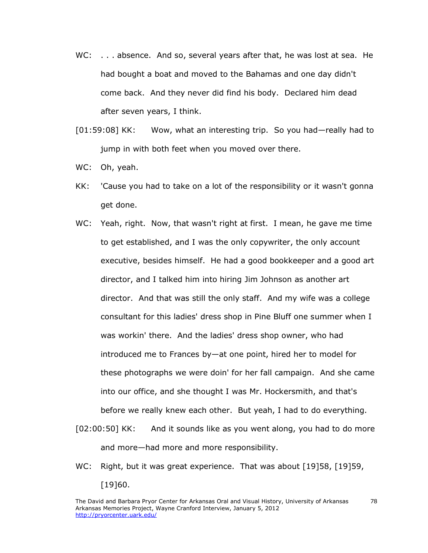- WC: . . . absence. And so, several years after that, he was lost at sea. He had bought a boat and moved to the Bahamas and one day didn't come back. And they never did find his body. Declared him dead after seven years, I think.
- [01:59:08] KK: Wow, what an interesting trip. So you had—really had to jump in with both feet when you moved over there.
- WC: Oh, yeah.
- KK: 'Cause you had to take on a lot of the responsibility or it wasn't gonna get done.
- WC: Yeah, right. Now, that wasn't right at first. I mean, he gave me time to get established, and I was the only copywriter, the only account executive, besides himself. He had a good bookkeeper and a good art director, and I talked him into hiring Jim Johnson as another art director. And that was still the only staff. And my wife was a college consultant for this ladies' dress shop in Pine Bluff one summer when I was workin' there. And the ladies' dress shop owner, who had introduced me to Frances by—at one point, hired her to model for these photographs we were doin' for her fall campaign. And she came into our office, and she thought I was Mr. Hockersmith, and that's before we really knew each other. But yeah, I had to do everything.
- [02:00:50] KK: And it sounds like as you went along, you had to do more and more—had more and more responsibility.
- WC: Right, but it was great experience. That was about [19]58, [19]59, [19]60.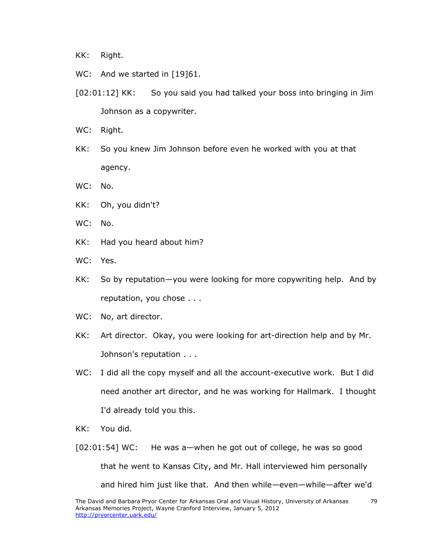KK: Right.

- WC: And we started in [19]61.
- [02:01:12] KK: So you said you had talked your boss into bringing in Jim Johnson as a copywriter.
- WC: Right.
- KK: So you knew Jim Johnson before even he worked with you at that agency.
- WC: No.
- KK: Oh, you didn't?
- WC: No.
- KK: Had you heard about him?
- WC: Yes.
- KK: So by reputation—you were looking for more copywriting help. And by reputation, you chose . . .
- WC: No, art director.
- KK: Art director. Okay, you were looking for art-direction help and by Mr. Johnson's reputation . . .
- WC: I did all the copy myself and all the account-executive work. But I did need another art director, and he was working for Hallmark. I thought I'd already told you this.
- KK: You did.
- $[02:01:54]$  WC: He was a—when he got out of college, he was so good that he went to Kansas City, and Mr. Hall interviewed him personally and hired him just like that. And then while—even—while—after we'd

79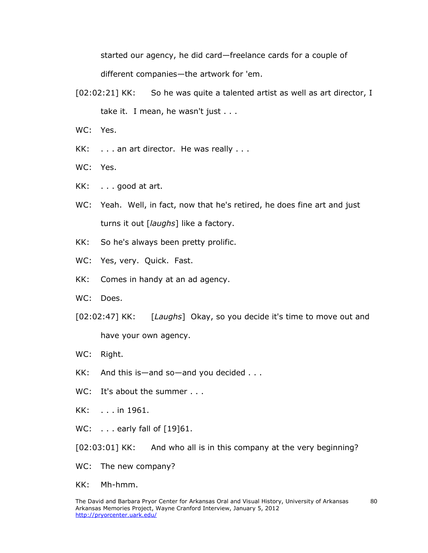started our agency, he did card—freelance cards for a couple of different companies—the artwork for 'em.

- [02:02:21] KK: So he was quite a talented artist as well as art director, I take it. I mean, he wasn't just . . .
- WC: Yes.
- KK: . . . an art director. He was really . . .
- WC: Yes.
- KK: . . . good at art.
- WC: Yeah. Well, in fact, now that he's retired, he does fine art and just turns it out [*laughs*] like a factory.
- KK: So he's always been pretty prolific.
- WC: Yes, very. Quick. Fast.
- KK: Comes in handy at an ad agency.
- WC: Does.
- [02:02:47] KK: [*Laughs*] Okay, so you decide it's time to move out and have your own agency.
- WC: Right.
- KK: And this is—and so—and you decided . . .
- WC: It's about the summer . . .
- KK: . . . in 1961.
- WC: . . . early fall of [19]61.

[02:03:01] KK: And who all is in this company at the very beginning?

- WC: The new company?
- KK: Mh-hmm.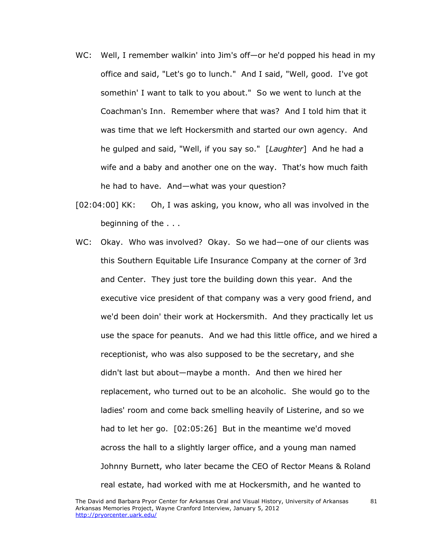- WC: Well, I remember walkin' into Jim's off—or he'd popped his head in my office and said, "Let's go to lunch." And I said, "Well, good. I've got somethin' I want to talk to you about." So we went to lunch at the Coachman's Inn. Remember where that was? And I told him that it was time that we left Hockersmith and started our own agency. And he gulped and said, "Well, if you say so." [*Laughter*] And he had a wife and a baby and another one on the way. That's how much faith he had to have. And—what was your question?
- [02:04:00] KK: Oh, I was asking, you know, who all was involved in the beginning of the . . .
- WC: Okay. Who was involved? Okay. So we had—one of our clients was this Southern Equitable Life Insurance Company at the corner of 3rd and Center. They just tore the building down this year. And the executive vice president of that company was a very good friend, and we'd been doin' their work at Hockersmith. And they practically let us use the space for peanuts. And we had this little office, and we hired a receptionist, who was also supposed to be the secretary, and she didn't last but about—maybe a month. And then we hired her replacement, who turned out to be an alcoholic. She would go to the ladies' room and come back smelling heavily of Listerine, and so we had to let her go. [02:05:26] But in the meantime we'd moved across the hall to a slightly larger office, and a young man named Johnny Burnett, who later became the CEO of Rector Means & Roland real estate, had worked with me at Hockersmith, and he wanted to

81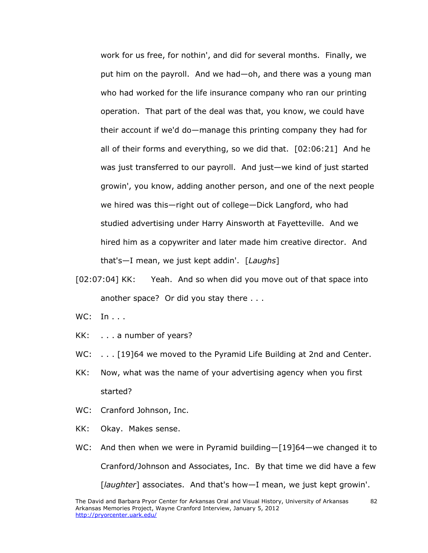work for us free, for nothin', and did for several months. Finally, we put him on the payroll. And we had—oh, and there was a young man who had worked for the life insurance company who ran our printing operation. That part of the deal was that, you know, we could have their account if we'd do—manage this printing company they had for all of their forms and everything, so we did that. [02:06:21] And he was just transferred to our payroll. And just—we kind of just started growin', you know, adding another person, and one of the next people we hired was this—right out of college—Dick Langford, who had studied advertising under Harry Ainsworth at Fayetteville. And we hired him as a copywriter and later made him creative director. And that's—I mean, we just kept addin'. [*Laughs*]

- [02:07:04] KK: Yeah. And so when did you move out of that space into another space? Or did you stay there . . .
- WC: In . . .
- KK: . . . a number of years?
- WC: ... [19]64 we moved to the Pyramid Life Building at 2nd and Center.
- KK: Now, what was the name of your advertising agency when you first started?
- WC: Cranford Johnson, Inc.
- KK: Okay. Makes sense.
- WC: And then when we were in Pyramid building—[19]64—we changed it to Cranford/Johnson and Associates, Inc. By that time we did have a few [*laughter*] associates. And that's how—I mean, we just kept growin'.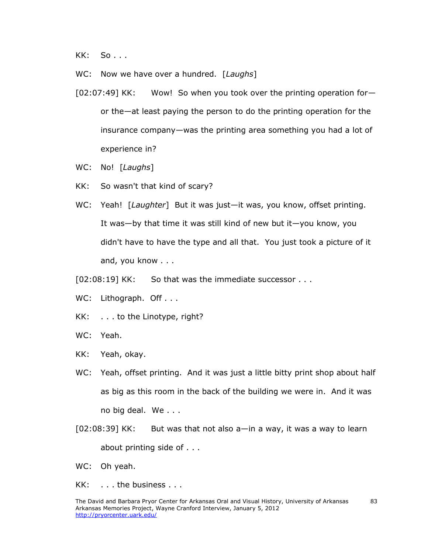KK: So . . .

WC: Now we have over a hundred. [*Laughs*]

- [02:07:49] KK: Wow! So when you took over the printing operation for or the—at least paying the person to do the printing operation for the insurance company—was the printing area something you had a lot of experience in?
- WC: No! [*Laughs*]
- KK: So wasn't that kind of scary?
- WC: Yeah! [*Laughter*] But it was just—it was, you know, offset printing. It was—by that time it was still kind of new but it—you know, you didn't have to have the type and all that. You just took a picture of it and, you know . . .

[02:08:19] KK: So that was the immediate successor . . .

- WC: Lithograph. Off . . .
- KK: . . . to the Linotype, right?
- WC: Yeah.
- KK: Yeah, okay.
- WC: Yeah, offset printing. And it was just a little bitty print shop about half as big as this room in the back of the building we were in. And it was no big deal. We . . .
- $[02:08:39]$  KK: But was that not also a—in a way, it was a way to learn about printing side of . . .
- WC: Oh yeah.
- KK: . . . the business . . .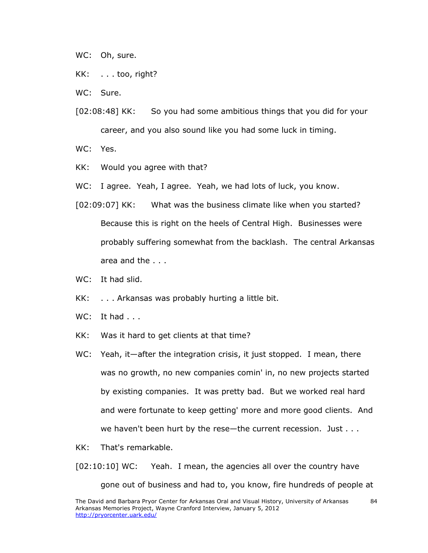WC: Oh, sure.

- KK: . . . too, right?
- WC: Sure.
- [02:08:48] KK: So you had some ambitious things that you did for your career, and you also sound like you had some luck in timing.

WC: Yes.

- KK: Would you agree with that?
- WC: I agree. Yeah, I agree. Yeah, we had lots of luck, you know.
- [02:09:07] KK: What was the business climate like when you started? Because this is right on the heels of Central High. Businesses were probably suffering somewhat from the backlash. The central Arkansas area and the . . .
- WC: It had slid.
- KK: . . . Arkansas was probably hurting a little bit.
- WC: It had . . .
- KK: Was it hard to get clients at that time?
- WC: Yeah, it—after the integration crisis, it just stopped. I mean, there was no growth, no new companies comin' in, no new projects started by existing companies. It was pretty bad. But we worked real hard and were fortunate to keep getting' more and more good clients. And we haven't been hurt by the rese-the current recession. Just . . .
- KK: That's remarkable.

[02:10:10] WC: Yeah. I mean, the agencies all over the country have

gone out of business and had to, you know, fire hundreds of people at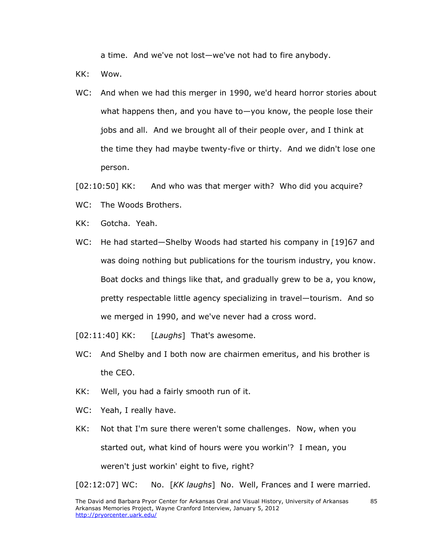a time. And we've not lost—we've not had to fire anybody.

KK: Wow.

WC: And when we had this merger in 1990, we'd heard horror stories about what happens then, and you have to—you know, the people lose their jobs and all. And we brought all of their people over, and I think at the time they had maybe twenty-five or thirty. And we didn't lose one person.

[02:10:50] KK: And who was that merger with? Who did you acquire?

- WC: The Woods Brothers.
- KK: Gotcha. Yeah.
- WC: He had started—Shelby Woods had started his company in [19]67 and was doing nothing but publications for the tourism industry, you know. Boat docks and things like that, and gradually grew to be a, you know, pretty respectable little agency specializing in travel—tourism. And so we merged in 1990, and we've never had a cross word.
- [02:11:40] KK: [*Laughs*] That's awesome.
- WC: And Shelby and I both now are chairmen emeritus, and his brother is the CEO.
- KK: Well, you had a fairly smooth run of it.
- WC: Yeah, I really have.
- KK: Not that I'm sure there weren't some challenges. Now, when you started out, what kind of hours were you workin'? I mean, you weren't just workin' eight to five, right?

[02:12:07] WC: No. [*KK laughs*] No. Well, Frances and I were married.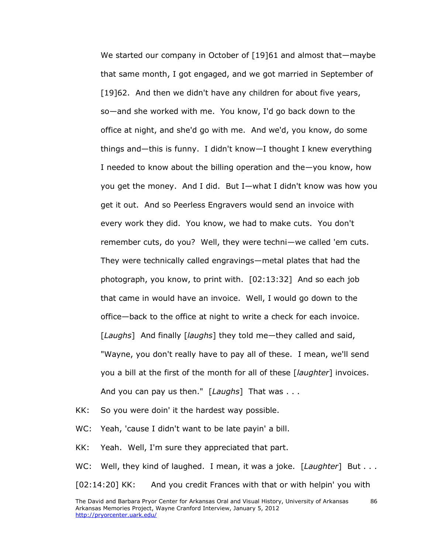We started our company in October of [19]61 and almost that—maybe that same month, I got engaged, and we got married in September of [19]62. And then we didn't have any children for about five years, so—and she worked with me. You know, I'd go back down to the office at night, and she'd go with me. And we'd, you know, do some things and—this is funny. I didn't know—I thought I knew everything I needed to know about the billing operation and the—you know, how you get the money. And I did. But I—what I didn't know was how you get it out. And so Peerless Engravers would send an invoice with every work they did. You know, we had to make cuts. You don't remember cuts, do you? Well, they were techni—we called 'em cuts. They were technically called engravings—metal plates that had the photograph, you know, to print with. [02:13:32] And so each job that came in would have an invoice. Well, I would go down to the office—back to the office at night to write a check for each invoice. [*Laughs*] And finally [*laughs*] they told me—they called and said, "Wayne, you don't really have to pay all of these. I mean, we'll send you a bill at the first of the month for all of these [*laughter*] invoices. And you can pay us then." [*Laughs*] That was . . .

KK: So you were doin' it the hardest way possible.

WC: Yeah, 'cause I didn't want to be late payin' a bill.

KK: Yeah. Well, I'm sure they appreciated that part.

WC: Well, they kind of laughed. I mean, it was a joke. [*Laughter*] But . . . [02:14:20] KK: And you credit Frances with that or with helpin' you with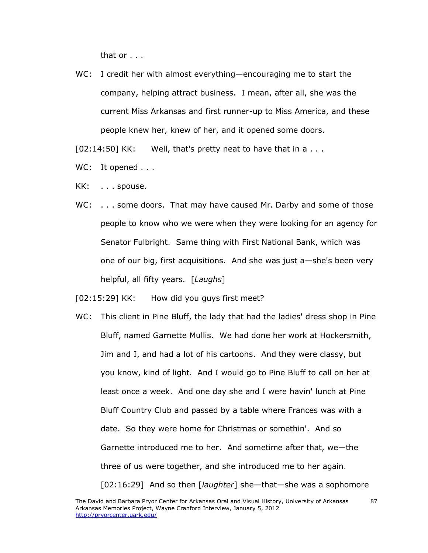that or . . .

WC: I credit her with almost everything—encouraging me to start the company, helping attract business. I mean, after all, she was the current Miss Arkansas and first runner-up to Miss America, and these people knew her, knew of her, and it opened some doors.

 $[02:14:50]$  KK: Well, that's pretty neat to have that in a  $\dots$ 

- WC: It opened . . .
- KK: . . . spouse.
- WC: ... some doors. That may have caused Mr. Darby and some of those people to know who we were when they were looking for an agency for Senator Fulbright. Same thing with First National Bank, which was one of our big, first acquisitions. And she was just a—she's been very helpful, all fifty years. [*Laughs*]

[02:15:29] KK: How did you guys first meet?

WC: This client in Pine Bluff, the lady that had the ladies' dress shop in Pine Bluff, named Garnette Mullis. We had done her work at Hockersmith, Jim and I, and had a lot of his cartoons. And they were classy, but you know, kind of light. And I would go to Pine Bluff to call on her at least once a week. And one day she and I were havin' lunch at Pine Bluff Country Club and passed by a table where Frances was with a date. So they were home for Christmas or somethin'. And so Garnette introduced me to her. And sometime after that, we—the three of us were together, and she introduced me to her again. [02:16:29] And so then [*laughter*] she—that—she was a sophomore

87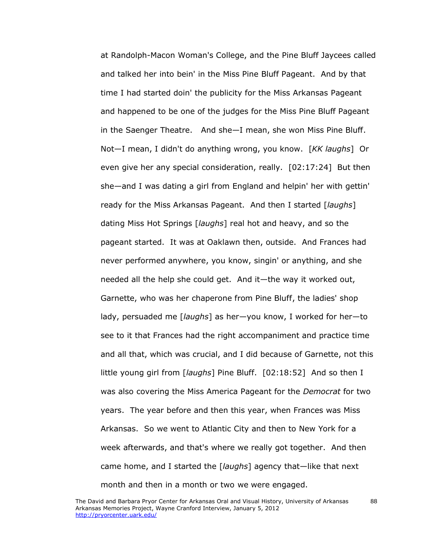at Randolph-Macon Woman's College, and the Pine Bluff Jaycees called and talked her into bein' in the Miss Pine Bluff Pageant. And by that time I had started doin' the publicity for the Miss Arkansas Pageant and happened to be one of the judges for the Miss Pine Bluff Pageant in the Saenger Theatre. And she—I mean, she won Miss Pine Bluff. Not—I mean, I didn't do anything wrong, you know. [*KK laughs*] Or even give her any special consideration, really. [02:17:24] But then she—and I was dating a girl from England and helpin' her with gettin' ready for the Miss Arkansas Pageant. And then I started [*laughs*] dating Miss Hot Springs [*laughs*] real hot and heavy, and so the pageant started. It was at Oaklawn then, outside. And Frances had never performed anywhere, you know, singin' or anything, and she needed all the help she could get. And it—the way it worked out, Garnette, who was her chaperone from Pine Bluff, the ladies' shop lady, persuaded me [*laughs*] as her—you know, I worked for her—to see to it that Frances had the right accompaniment and practice time and all that, which was crucial, and I did because of Garnette, not this little young girl from [*laughs*] Pine Bluff. [02:18:52] And so then I was also covering the Miss America Pageant for the *Democrat* for two years. The year before and then this year, when Frances was Miss Arkansas. So we went to Atlantic City and then to New York for a week afterwards, and that's where we really got together. And then came home, and I started the [*laughs*] agency that—like that next month and then in a month or two we were engaged.

88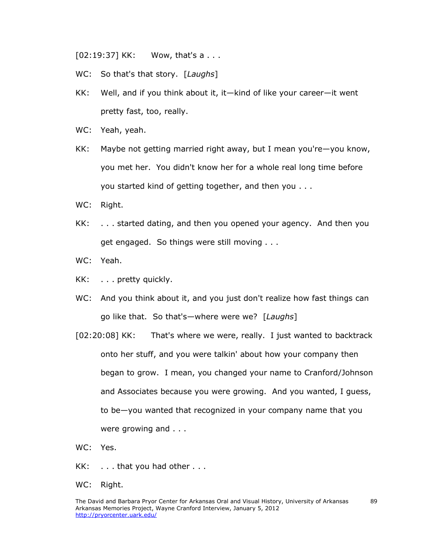[02:19:37] KK: Wow, that's a . . .

- WC: So that's that story. [*Laughs*]
- KK: Well, and if you think about it, it—kind of like your career—it went pretty fast, too, really.
- WC: Yeah, yeah.
- KK: Maybe not getting married right away, but I mean you're—you know, you met her. You didn't know her for a whole real long time before you started kind of getting together, and then you . . .
- WC: Right.
- KK: . . . started dating, and then you opened your agency. And then you get engaged. So things were still moving . . .
- WC: Yeah.
- KK: . . . pretty quickly.
- WC: And you think about it, and you just don't realize how fast things can go like that. So that's—where were we? [*Laughs*]
- [02:20:08] KK: That's where we were, really. I just wanted to backtrack onto her stuff, and you were talkin' about how your company then began to grow. I mean, you changed your name to Cranford/Johnson and Associates because you were growing. And you wanted, I guess, to be—you wanted that recognized in your company name that you were growing and . . .
- WC: Yes.
- KK: . . . that you had other . . .
- WC: Right.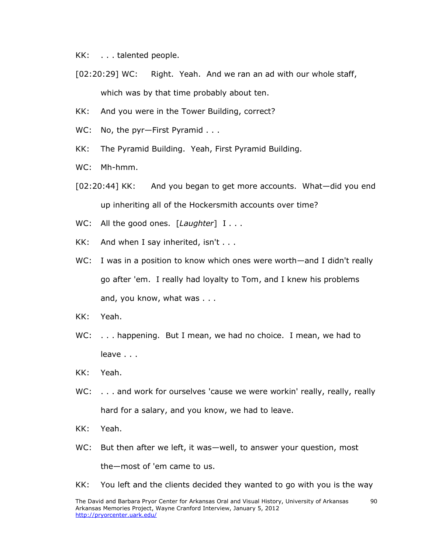KK: . . . talented people.

- [02:20:29] WC: Right. Yeah. And we ran an ad with our whole staff, which was by that time probably about ten.
- KK: And you were in the Tower Building, correct?
- WC: No, the pyr-First Pyramid . . .
- KK: The Pyramid Building. Yeah, First Pyramid Building.
- WC: Mh-hmm.
- [02:20:44] KK: And you began to get more accounts. What—did you end up inheriting all of the Hockersmith accounts over time?
- WC: All the good ones. [*Laughter*] I . . .
- KK: And when I say inherited, isn't . . .
- WC: I was in a position to know which ones were worth—and I didn't really go after 'em. I really had loyalty to Tom, and I knew his problems and, you know, what was . . .
- KK: Yeah.
- WC: ... happening. But I mean, we had no choice. I mean, we had to leave . . .
- KK: Yeah.
- WC: . . . and work for ourselves 'cause we were workin' really, really, really hard for a salary, and you know, we had to leave.
- KK: Yeah.
- WC: But then after we left, it was—well, to answer your question, most the—most of 'em came to us.
- KK: You left and the clients decided they wanted to go with you is the way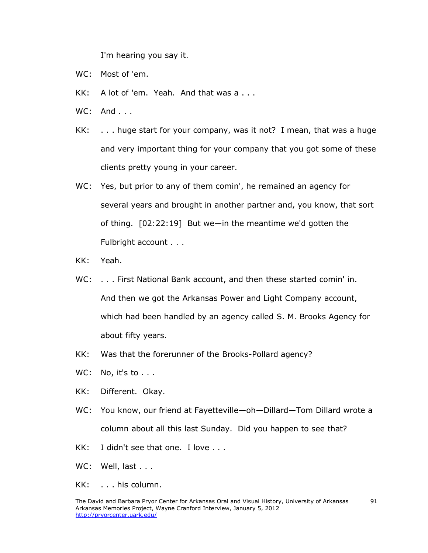I'm hearing you say it.

- WC: Most of 'em.
- KK: A lot of 'em. Yeah. And that was a . . .
- WC: And . . .
- KK: . . . huge start for your company, was it not? I mean, that was a huge and very important thing for your company that you got some of these clients pretty young in your career.
- WC: Yes, but prior to any of them comin', he remained an agency for several years and brought in another partner and, you know, that sort of thing. [02:22:19] But we—in the meantime we'd gotten the Fulbright account . . .
- KK: Yeah.
- WC: . . . First National Bank account, and then these started comin' in. And then we got the Arkansas Power and Light Company account, which had been handled by an agency called S. M. Brooks Agency for about fifty years.
- KK: Was that the forerunner of the Brooks-Pollard agency?
- WC: No, it's to . . .
- KK: Different. Okay.
- WC: You know, our friend at Fayetteville—oh—Dillard—Tom Dillard wrote a column about all this last Sunday. Did you happen to see that?
- KK: I didn't see that one. I love . . .
- WC: Well, last . . .
- KK: . . . his column.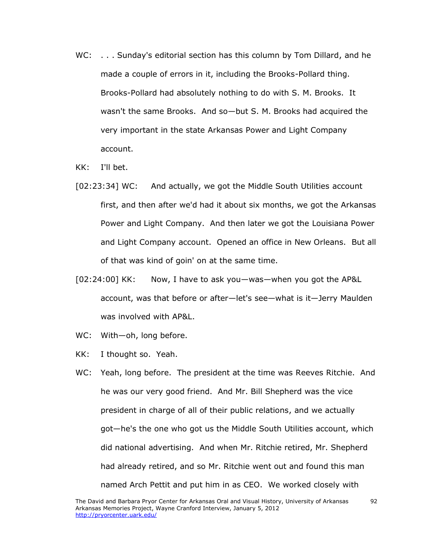- WC: ... Sunday's editorial section has this column by Tom Dillard, and he made a couple of errors in it, including the Brooks-Pollard thing. Brooks-Pollard had absolutely nothing to do with S. M. Brooks. It wasn't the same Brooks. And so—but S. M. Brooks had acquired the very important in the state Arkansas Power and Light Company account.
- KK: I'll bet.
- [02:23:34] WC: And actually, we got the Middle South Utilities account first, and then after we'd had it about six months, we got the Arkansas Power and Light Company. And then later we got the Louisiana Power and Light Company account. Opened an office in New Orleans. But all of that was kind of goin' on at the same time.
- [02:24:00] KK: Now, I have to ask you—was—when you got the AP&L account, was that before or after—let's see—what is it—Jerry Maulden was involved with AP&L.
- WC: With-oh, long before.
- KK: I thought so. Yeah.
- WC: Yeah, long before. The president at the time was Reeves Ritchie. And he was our very good friend. And Mr. Bill Shepherd was the vice president in charge of all of their public relations, and we actually got—he's the one who got us the Middle South Utilities account, which did national advertising. And when Mr. Ritchie retired, Mr. Shepherd had already retired, and so Mr. Ritchie went out and found this man named Arch Pettit and put him in as CEO. We worked closely with

92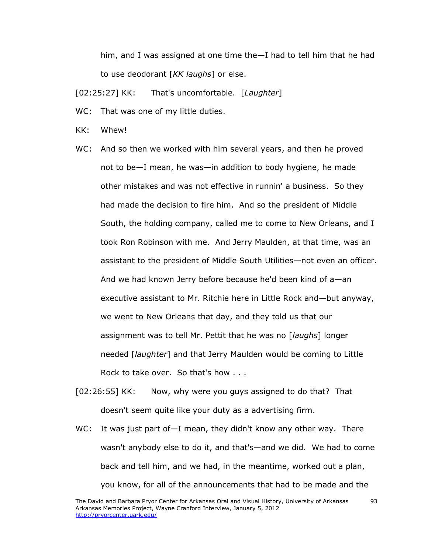him, and I was assigned at one time the—I had to tell him that he had to use deodorant [*KK laughs*] or else.

[02:25:27] KK: That's uncomfortable. [*Laughter*]

- WC: That was one of my little duties.
- KK: Whew!
- WC: And so then we worked with him several years, and then he proved not to be—I mean, he was—in addition to body hygiene, he made other mistakes and was not effective in runnin' a business. So they had made the decision to fire him. And so the president of Middle South, the holding company, called me to come to New Orleans, and I took Ron Robinson with me. And Jerry Maulden, at that time, was an assistant to the president of Middle South Utilities—not even an officer. And we had known Jerry before because he'd been kind of a—an executive assistant to Mr. Ritchie here in Little Rock and—but anyway, we went to New Orleans that day, and they told us that our assignment was to tell Mr. Pettit that he was no [*laughs*] longer needed [*laughter*] and that Jerry Maulden would be coming to Little Rock to take over. So that's how . . .
- [02:26:55] KK: Now, why were you guys assigned to do that? That doesn't seem quite like your duty as a advertising firm.
- WC: It was just part of—I mean, they didn't know any other way. There wasn't anybody else to do it, and that's—and we did. We had to come back and tell him, and we had, in the meantime, worked out a plan, you know, for all of the announcements that had to be made and the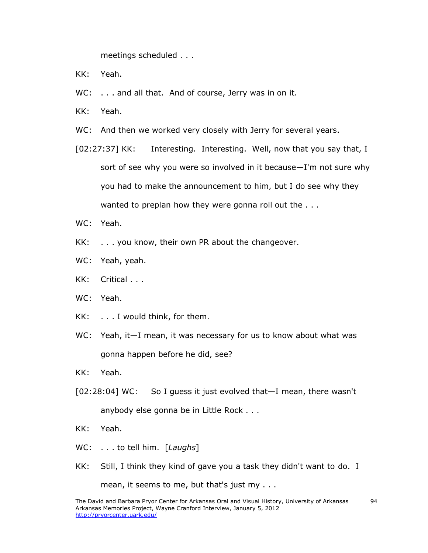meetings scheduled . . .

- KK: Yeah.
- WC: . . . and all that. And of course, Jerry was in on it.
- KK: Yeah.
- WC: And then we worked very closely with Jerry for several years.
- [02:27:37] KK: Interesting. Interesting. Well, now that you say that, I sort of see why you were so involved in it because—I'm not sure why you had to make the announcement to him, but I do see why they wanted to preplan how they were gonna roll out the . . .
- WC: Yeah.
- KK: . . . you know, their own PR about the changeover.
- WC: Yeah, yeah.
- KK: Critical . . .
- WC: Yeah.
- KK: . . . I would think, for them.
- WC: Yeah, it-I mean, it was necessary for us to know about what was gonna happen before he did, see?
- KK: Yeah.
- [02:28:04] WC: So I guess it just evolved that—I mean, there wasn't anybody else gonna be in Little Rock . . .
- KK: Yeah.
- WC: . . . to tell him. [*Laughs*]
- KK: Still, I think they kind of gave you a task they didn't want to do. I

mean, it seems to me, but that's just my . . .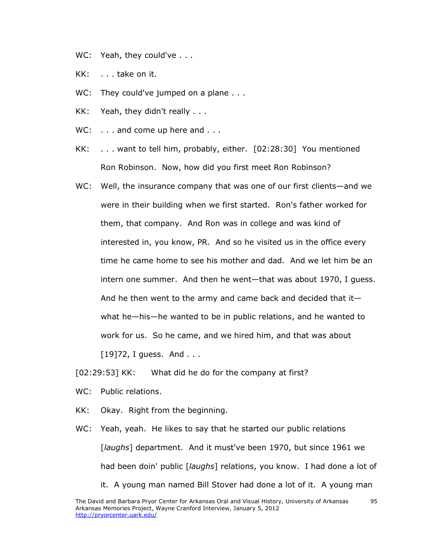- WC: Yeah, they could've . . .
- KK: . . . take on it.
- WC: They could've jumped on a plane . . .
- KK: Yeah, they didn't really . . .
- WC: . . . and come up here and . . .
- KK: . . . want to tell him, probably, either. [02:28:30] You mentioned Ron Robinson. Now, how did you first meet Ron Robinson?
- WC: Well, the insurance company that was one of our first clients—and we were in their building when we first started. Ron's father worked for them, that company. And Ron was in college and was kind of interested in, you know, PR. And so he visited us in the office every time he came home to see his mother and dad. And we let him be an intern one summer. And then he went—that was about 1970, I guess. And he then went to the army and came back and decided that it what he—his—he wanted to be in public relations, and he wanted to work for us. So he came, and we hired him, and that was about  $[19]72$ , I guess. And . . .

[02:29:53] KK: What did he do for the company at first?

- WC: Public relations.
- KK: Okay. Right from the beginning.
- WC: Yeah, yeah. He likes to say that he started our public relations [*laughs*] department. And it must've been 1970, but since 1961 we had been doin' public [*laughs*] relations, you know. I had done a lot of
	- it. A young man named Bill Stover had done a lot of it. A young man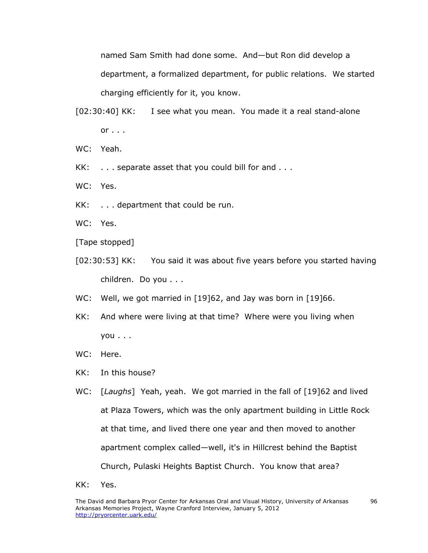named Sam Smith had done some. And—but Ron did develop a department, a formalized department, for public relations. We started charging efficiently for it, you know.

- [02:30:40] KK: I see what you mean. You made it a real stand-alone  $or \ldots$
- WC: Yeah.
- KK: . . . separate asset that you could bill for and . . .
- WC: Yes.
- KK: . . . department that could be run.
- WC: Yes.

[Tape stopped]

- [02:30:53] KK: You said it was about five years before you started having children. Do you . . .
- WC: Well, we got married in [19]62, and Jay was born in [19]66.
- KK: And where were living at that time? Where were you living when you . . .
- WC: Here.
- KK: In this house?
- WC: [*Laughs*] Yeah, yeah. We got married in the fall of [19]62 and lived at Plaza Towers, which was the only apartment building in Little Rock at that time, and lived there one year and then moved to another apartment complex called—well, it's in Hillcrest behind the Baptist Church, Pulaski Heights Baptist Church. You know that area?
- KK: Yes.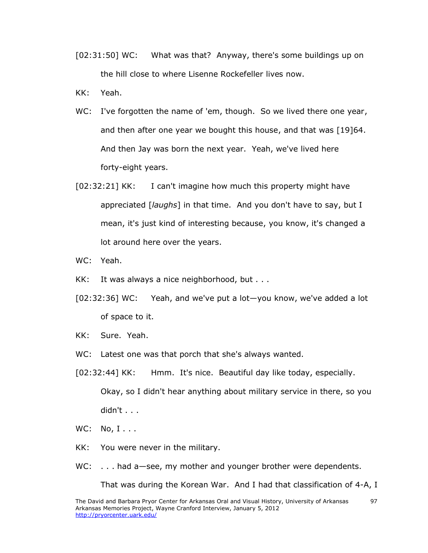- [02:31:50] WC: What was that? Anyway, there's some buildings up on the hill close to where Lisenne Rockefeller lives now.
- KK: Yeah.
- WC: I've forgotten the name of 'em, though. So we lived there one year, and then after one year we bought this house, and that was [19]64. And then Jay was born the next year. Yeah, we've lived here forty-eight years.
- [02:32:21] KK: I can't imagine how much this property might have appreciated [*laughs*] in that time. And you don't have to say, but I mean, it's just kind of interesting because, you know, it's changed a lot around here over the years.

WC: Yeah.

- KK: It was always a nice neighborhood, but . . .
- [02:32:36] WC: Yeah, and we've put a lot—you know, we've added a lot of space to it.
- KK: Sure. Yeah.
- WC: Latest one was that porch that she's always wanted.
- [02:32:44] KK: Hmm. It's nice. Beautiful day like today, especially. Okay, so I didn't hear anything about military service in there, so you didn't . . .
- WC: No, I...
- KK: You were never in the military.
- WC: ... had a see, my mother and younger brother were dependents.

That was during the Korean War. And I had that classification of 4-A, I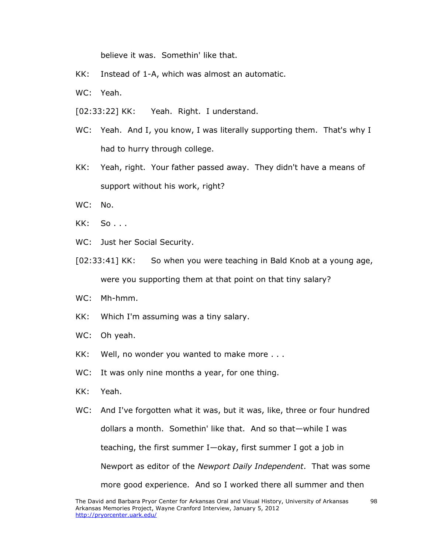believe it was. Somethin' like that.

- KK: Instead of 1-A, which was almost an automatic.
- WC: Yeah.
- [02:33:22] KK: Yeah. Right. I understand.
- WC: Yeah. And I, you know, I was literally supporting them. That's why I had to hurry through college.
- KK: Yeah, right. Your father passed away. They didn't have a means of support without his work, right?
- WC: No.
- KK: So . . .
- WC: Just her Social Security.
- [02:33:41] KK: So when you were teaching in Bald Knob at a young age, were you supporting them at that point on that tiny salary?
- WC: Mh-hmm.
- KK: Which I'm assuming was a tiny salary.
- WC: Oh yeah.
- KK: Well, no wonder you wanted to make more . . .
- WC: It was only nine months a year, for one thing.
- KK: Yeah.
- WC: And I've forgotten what it was, but it was, like, three or four hundred dollars a month. Somethin' like that. And so that—while I was teaching, the first summer I—okay, first summer I got a job in Newport as editor of the *Newport Daily Independent*. That was some more good experience. And so I worked there all summer and then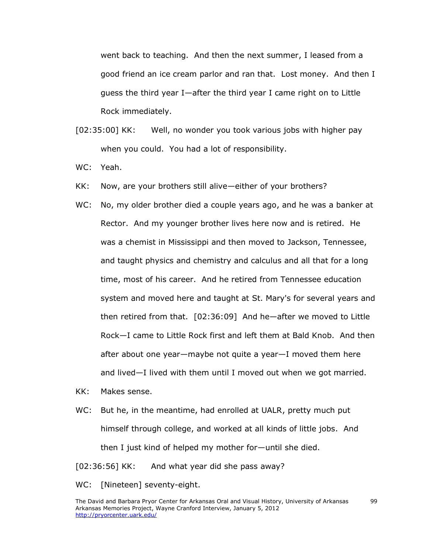went back to teaching. And then the next summer, I leased from a good friend an ice cream parlor and ran that. Lost money. And then I guess the third year I—after the third year I came right on to Little Rock immediately.

- [02:35:00] KK: Well, no wonder you took various jobs with higher pay when you could. You had a lot of responsibility.
- WC: Yeah.
- KK: Now, are your brothers still alive—either of your brothers?
- WC: No, my older brother died a couple years ago, and he was a banker at Rector. And my younger brother lives here now and is retired. He was a chemist in Mississippi and then moved to Jackson, Tennessee, and taught physics and chemistry and calculus and all that for a long time, most of his career. And he retired from Tennessee education system and moved here and taught at St. Mary's for several years and then retired from that. [02:36:09] And he—after we moved to Little Rock—I came to Little Rock first and left them at Bald Knob. And then after about one year—maybe not quite a year—I moved them here and lived—I lived with them until I moved out when we got married.
- KK: Makes sense.
- WC: But he, in the meantime, had enrolled at UALR, pretty much put himself through college, and worked at all kinds of little jobs. And then I just kind of helped my mother for—until she died.
- [02:36:56] KK: And what year did she pass away?
- WC: [Nineteen] seventy-eight.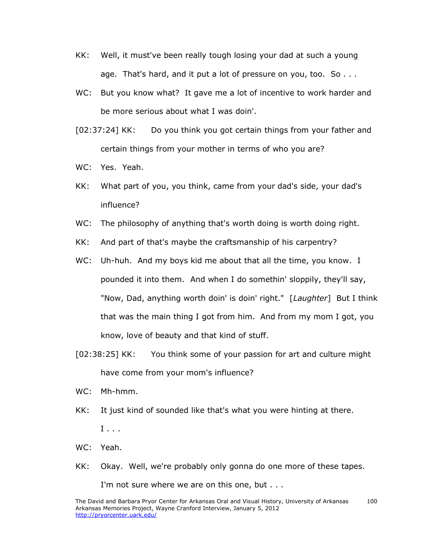- KK: Well, it must've been really tough losing your dad at such a young age. That's hard, and it put a lot of pressure on you, too. So . . .
- WC: But you know what? It gave me a lot of incentive to work harder and be more serious about what I was doin'.
- [02:37:24] KK: Do you think you got certain things from your father and certain things from your mother in terms of who you are?
- WC: Yes. Yeah.
- KK: What part of you, you think, came from your dad's side, your dad's influence?
- WC: The philosophy of anything that's worth doing is worth doing right.
- KK: And part of that's maybe the craftsmanship of his carpentry?
- WC: Uh-huh. And my boys kid me about that all the time, you know. I pounded it into them. And when I do somethin' sloppily, they'll say, "Now, Dad, anything worth doin' is doin' right." [*Laughter*] But I think that was the main thing I got from him. And from my mom I got, you know, love of beauty and that kind of stuff.
- [02:38:25] KK: You think some of your passion for art and culture might have come from your mom's influence?
- WC: Mh-hmm.
- KK: It just kind of sounded like that's what you were hinting at there. I . . .
- WC: Yeah.
- KK: Okay. Well, we're probably only gonna do one more of these tapes.

I'm not sure where we are on this one, but . . .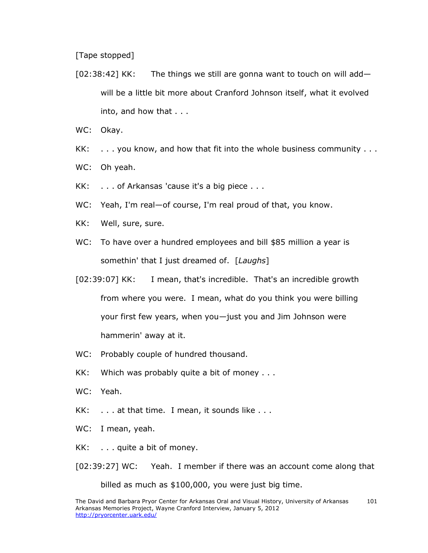[Tape stopped]

- [02:38:42] KK: The things we still are gonna want to touch on will add will be a little bit more about Cranford Johnson itself, what it evolved into, and how that . . .
- WC: Okay.
- KK: . . . you know, and how that fit into the whole business community . . .
- WC: Oh yeah.
- KK: . . . of Arkansas 'cause it's a big piece . . .
- WC: Yeah, I'm real—of course, I'm real proud of that, you know.
- KK: Well, sure, sure.
- WC: To have over a hundred employees and bill \$85 million a year is somethin' that I just dreamed of. [*Laughs*]
- [02:39:07] KK: I mean, that's incredible. That's an incredible growth from where you were. I mean, what do you think you were billing your first few years, when you—just you and Jim Johnson were hammerin' away at it.
- WC: Probably couple of hundred thousand.
- KK: Which was probably quite a bit of money . . .
- WC: Yeah.
- KK: . . . at that time. I mean, it sounds like . . .
- WC: I mean, yeah.
- KK: . . . quite a bit of money.
- [02:39:27] WC: Yeah. I member if there was an account come along that

billed as much as \$100,000, you were just big time.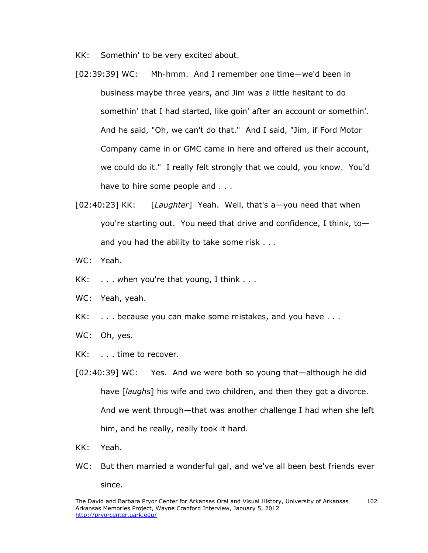KK: Somethin' to be very excited about.

- [02:39:39] WC: Mh-hmm. And I remember one time—we'd been in business maybe three years, and Jim was a little hesitant to do somethin' that I had started, like goin' after an account or somethin'. And he said, "Oh, we can't do that." And I said, "Jim, if Ford Motor Company came in or GMC came in here and offered us their account, we could do it." I really felt strongly that we could, you know. You'd have to hire some people and . . .
- [02:40:23] KK: [*Laughter*] Yeah. Well, that's a—you need that when you're starting out. You need that drive and confidence, I think, to and you had the ability to take some risk . . .
- WC: Yeah.
- $KK:$  ... when you're that young, I think ...
- WC: Yeah, yeah.
- KK: . . . because you can make some mistakes, and you have . . .
- WC: Oh, yes.
- KK: . . . time to recover.
- [02:40:39] WC: Yes. And we were both so young that—although he did have [*laughs*] his wife and two children, and then they got a divorce. And we went through—that was another challenge I had when she left him, and he really, really took it hard.
- KK: Yeah.
- WC: But then married a wonderful gal, and we've all been best friends ever since.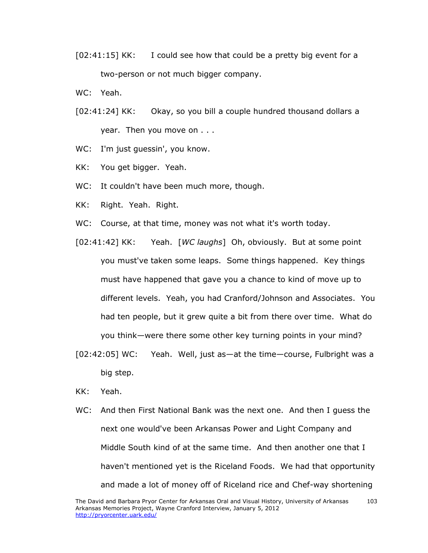- [02:41:15] KK: I could see how that could be a pretty big event for a two-person or not much bigger company.
- WC: Yeah.
- [02:41:24] KK: Okay, so you bill a couple hundred thousand dollars a year. Then you move on . . .
- WC: I'm just guessin', you know.
- KK: You get bigger. Yeah.
- WC: It couldn't have been much more, though.
- KK: Right. Yeah. Right.
- WC: Course, at that time, money was not what it's worth today.
- [02:41:42] KK: Yeah. [*WC laughs*] Oh, obviously. But at some point you must've taken some leaps. Some things happened. Key things must have happened that gave you a chance to kind of move up to different levels. Yeah, you had Cranford/Johnson and Associates. You had ten people, but it grew quite a bit from there over time. What do you think—were there some other key turning points in your mind?
- [02:42:05] WC: Yeah. Well, just as—at the time—course, Fulbright was a big step.
- KK: Yeah.
- WC: And then First National Bank was the next one. And then I guess the next one would've been Arkansas Power and Light Company and Middle South kind of at the same time. And then another one that I haven't mentioned yet is the Riceland Foods. We had that opportunity and made a lot of money off of Riceland rice and Chef-way shortening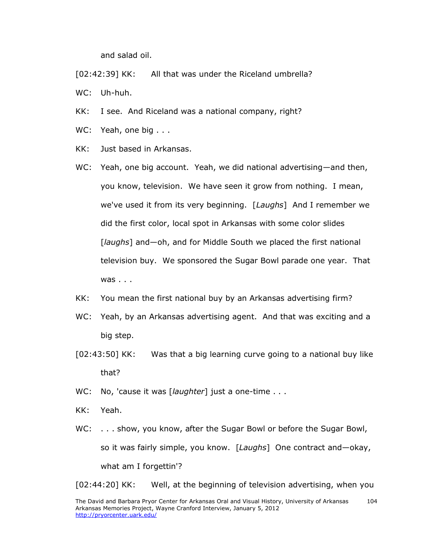and salad oil.

[02:42:39] KK: All that was under the Riceland umbrella?

WC: Uh-huh.

- KK: I see. And Riceland was a national company, right?
- WC: Yeah, one big . . .
- KK: Just based in Arkansas.
- WC: Yeah, one big account. Yeah, we did national advertising—and then, you know, television. We have seen it grow from nothing. I mean, we've used it from its very beginning. [*Laughs*] And I remember we did the first color, local spot in Arkansas with some color slides [*laughs*] and—oh, and for Middle South we placed the first national television buy. We sponsored the Sugar Bowl parade one year. That was . . .
- KK: You mean the first national buy by an Arkansas advertising firm?
- WC: Yeah, by an Arkansas advertising agent. And that was exciting and a big step.
- [02:43:50] KK: Was that a big learning curve going to a national buy like that?
- WC: No, 'cause it was [*laughter*] just a one-time . . .
- KK: Yeah.
- WC: . . . show, you know, after the Sugar Bowl or before the Sugar Bowl, so it was fairly simple, you know. [*Laughs*] One contract and—okay, what am I forgettin'?

[02:44:20] KK: Well, at the beginning of television advertising, when you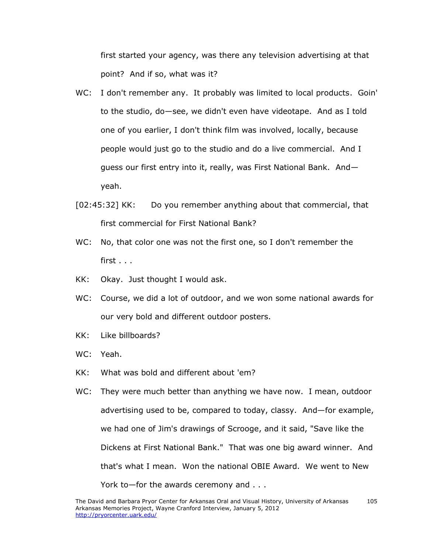first started your agency, was there any television advertising at that point? And if so, what was it?

- WC: I don't remember any. It probably was limited to local products. Goin' to the studio, do—see, we didn't even have videotape. And as I told one of you earlier, I don't think film was involved, locally, because people would just go to the studio and do a live commercial. And I guess our first entry into it, really, was First National Bank. And yeah.
- [02:45:32] KK: Do you remember anything about that commercial, that first commercial for First National Bank?
- WC: No, that color one was not the first one, so I don't remember the first . . .
- KK: Okay. Just thought I would ask.
- WC: Course, we did a lot of outdoor, and we won some national awards for our very bold and different outdoor posters.
- KK: Like billboards?
- WC: Yeah.
- KK: What was bold and different about 'em?
- WC: They were much better than anything we have now. I mean, outdoor advertising used to be, compared to today, classy. And—for example, we had one of Jim's drawings of Scrooge, and it said, "Save like the Dickens at First National Bank." That was one big award winner. And that's what I mean. Won the national OBIE Award. We went to New York to—for the awards ceremony and . . .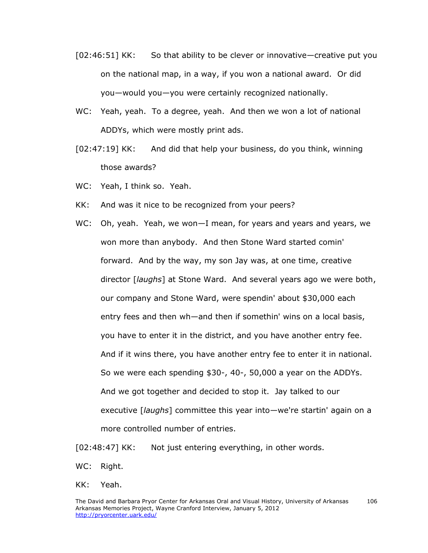- [02:46:51] KK: So that ability to be clever or innovative—creative put you on the national map, in a way, if you won a national award. Or did you—would you—you were certainly recognized nationally.
- WC: Yeah, yeah. To a degree, yeah. And then we won a lot of national ADDYs, which were mostly print ads.
- [02:47:19] KK: And did that help your business, do you think, winning those awards?
- WC: Yeah, I think so. Yeah.
- KK: And was it nice to be recognized from your peers?
- WC: Oh, yeah. Yeah, we won—I mean, for years and years and years, we won more than anybody. And then Stone Ward started comin' forward. And by the way, my son Jay was, at one time, creative director [*laughs*] at Stone Ward. And several years ago we were both, our company and Stone Ward, were spendin' about \$30,000 each entry fees and then wh—and then if somethin' wins on a local basis, you have to enter it in the district, and you have another entry fee. And if it wins there, you have another entry fee to enter it in national. So we were each spending \$30-, 40-, 50,000 a year on the ADDYs. And we got together and decided to stop it. Jay talked to our executive [*laughs*] committee this year into—we're startin' again on a more controlled number of entries.

[02:48:47] KK: Not just entering everything, in other words.

- WC: Right.
- KK: Yeah.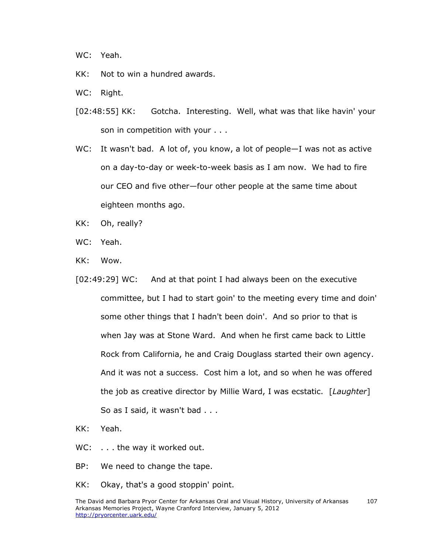WC: Yeah.

- KK: Not to win a hundred awards.
- WC: Right.
- [02:48:55] KK: Gotcha. Interesting. Well, what was that like havin' your son in competition with your . . .
- WC: It wasn't bad. A lot of, you know, a lot of people-I was not as active on a day-to-day or week-to-week basis as I am now. We had to fire our CEO and five other—four other people at the same time about eighteen months ago.
- KK: Oh, really?
- WC: Yeah.
- KK: Wow.
- [02:49:29] WC: And at that point I had always been on the executive committee, but I had to start goin' to the meeting every time and doin' some other things that I hadn't been doin'. And so prior to that is when Jay was at Stone Ward. And when he first came back to Little Rock from California, he and Craig Douglass started their own agency. And it was not a success. Cost him a lot, and so when he was offered the job as creative director by Millie Ward, I was ecstatic. [*Laughter*] So as I said, it wasn't bad . . .
- KK: Yeah.
- WC: . . . the way it worked out.
- BP: We need to change the tape.
- KK: Okay, that's a good stoppin' point.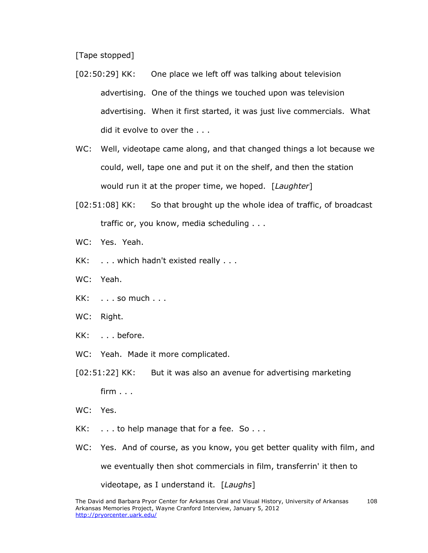[Tape stopped]

- [02:50:29] KK: One place we left off was talking about television advertising. One of the things we touched upon was television advertising. When it first started, it was just live commercials. What did it evolve to over the . . .
- WC: Well, videotape came along, and that changed things a lot because we could, well, tape one and put it on the shelf, and then the station would run it at the proper time, we hoped. [*Laughter*]
- [02:51:08] KK: So that brought up the whole idea of traffic, of broadcast traffic or, you know, media scheduling . . .
- WC: Yes. Yeah.
- KK: . . . which hadn't existed really . . .
- WC: Yeah.
- $KK:$   $\ldots$  so much  $\ldots$
- WC: Right.
- KK: . . . before.
- WC: Yeah. Made it more complicated.
- [02:51:22] KK: But it was also an avenue for advertising marketing  $f$ irm  $\ldots$
- WC: Yes.
- $KK:$   $\ldots$  to help manage that for a fee. So  $\ldots$
- WC: Yes. And of course, as you know, you get better quality with film, and we eventually then shot commercials in film, transferrin' it then to videotape, as I understand it. [*Laughs*]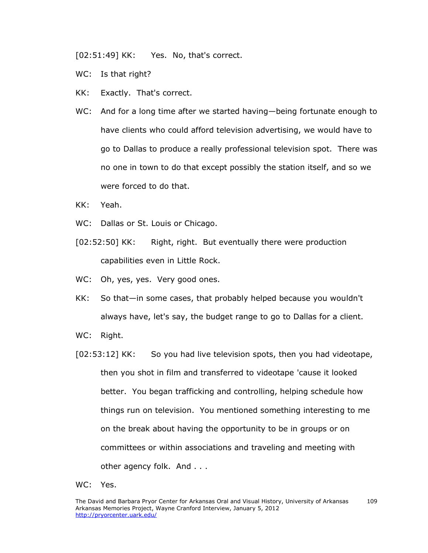[02:51:49] KK: Yes. No, that's correct.

- WC: Is that right?
- KK: Exactly. That's correct.
- WC: And for a long time after we started having—being fortunate enough to have clients who could afford television advertising, we would have to go to Dallas to produce a really professional television spot. There was no one in town to do that except possibly the station itself, and so we were forced to do that.
- KK: Yeah.
- WC: Dallas or St. Louis or Chicago.
- [02:52:50] KK: Right, right. But eventually there were production capabilities even in Little Rock.
- WC: Oh, yes, yes. Very good ones.
- KK: So that—in some cases, that probably helped because you wouldn't always have, let's say, the budget range to go to Dallas for a client.
- WC: Right.
- [02:53:12] KK: So you had live television spots, then you had videotape, then you shot in film and transferred to videotape 'cause it looked better. You began trafficking and controlling, helping schedule how things run on television. You mentioned something interesting to me on the break about having the opportunity to be in groups or on committees or within associations and traveling and meeting with other agency folk. And . . .
- WC: Yes.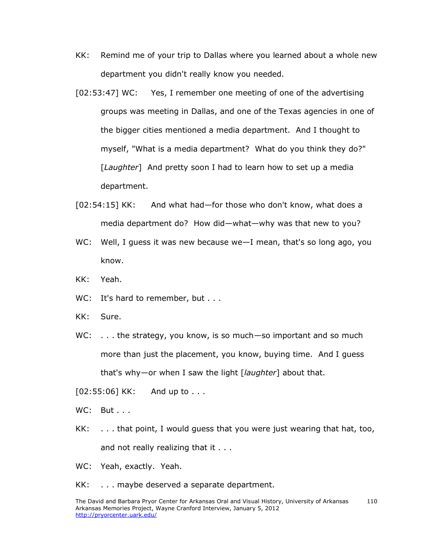- KK: Remind me of your trip to Dallas where you learned about a whole new department you didn't really know you needed.
- [02:53:47] WC: Yes, I remember one meeting of one of the advertising groups was meeting in Dallas, and one of the Texas agencies in one of the bigger cities mentioned a media department. And I thought to myself, "What is a media department? What do you think they do?" [*Laughter*] And pretty soon I had to learn how to set up a media department.
- [02:54:15] KK: And what had—for those who don't know, what does a media department do? How did—what—why was that new to you?
- WC: Well, I guess it was new because we-I mean, that's so long ago, you know.
- KK: Yeah.
- WC: It's hard to remember, but . . .
- KK: Sure.
- WC: ... the strategy, you know, is so much—so important and so much more than just the placement, you know, buying time. And I guess that's why—or when I saw the light [*laughter*] about that.
- [02:55:06] KK: And up to . . .
- WC: But . . .
- KK: . . . that point, I would guess that you were just wearing that hat, too, and not really realizing that it . . .
- WC: Yeah, exactly. Yeah.
- KK: . . . maybe deserved a separate department.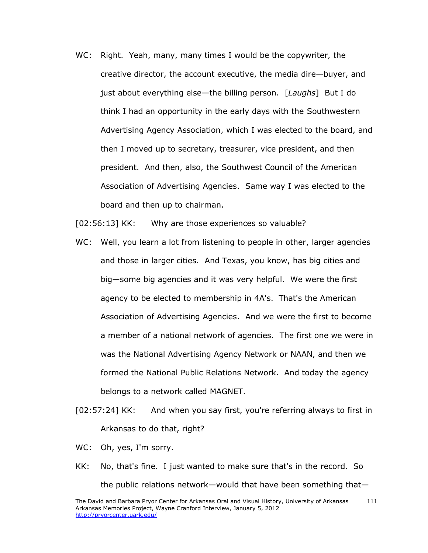WC: Right. Yeah, many, many times I would be the copywriter, the creative director, the account executive, the media dire—buyer, and just about everything else—the billing person. [*Laughs*] But I do think I had an opportunity in the early days with the Southwestern Advertising Agency Association, which I was elected to the board, and then I moved up to secretary, treasurer, vice president, and then president. And then, also, the Southwest Council of the American Association of Advertising Agencies. Same way I was elected to the board and then up to chairman.

[02:56:13] KK: Why are those experiences so valuable?

- WC: Well, you learn a lot from listening to people in other, larger agencies and those in larger cities. And Texas, you know, has big cities and big—some big agencies and it was very helpful. We were the first agency to be elected to membership in 4A's. That's the American Association of Advertising Agencies. And we were the first to become a member of a national network of agencies. The first one we were in was the National Advertising Agency Network or NAAN, and then we formed the National Public Relations Network. And today the agency belongs to a network called MAGNET.
- [02:57:24] KK: And when you say first, you're referring always to first in Arkansas to do that, right?
- WC: Oh, yes, I'm sorry.
- KK: No, that's fine. I just wanted to make sure that's in the record. So the public relations network—would that have been something that—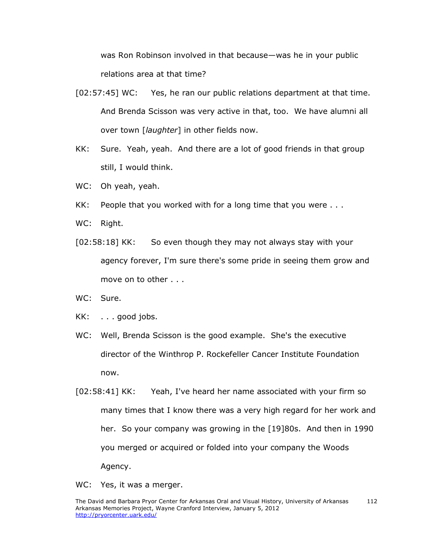was Ron Robinson involved in that because—was he in your public relations area at that time?

- [02:57:45] WC: Yes, he ran our public relations department at that time. And Brenda Scisson was very active in that, too. We have alumni all over town [*laughter*] in other fields now.
- KK: Sure. Yeah, yeah. And there are a lot of good friends in that group still, I would think.
- WC: Oh yeah, yeah.
- KK: People that you worked with for a long time that you were . . .
- WC: Right.
- [02:58:18] KK: So even though they may not always stay with your agency forever, I'm sure there's some pride in seeing them grow and move on to other . . .
- WC: Sure.
- KK: . . . good jobs.
- WC: Well, Brenda Scisson is the good example. She's the executive director of the Winthrop P. Rockefeller Cancer Institute Foundation now.
- [02:58:41] KK: Yeah, I've heard her name associated with your firm so many times that I know there was a very high regard for her work and her. So your company was growing in the [19]80s. And then in 1990 you merged or acquired or folded into your company the Woods Agency.
- WC: Yes, it was a merger.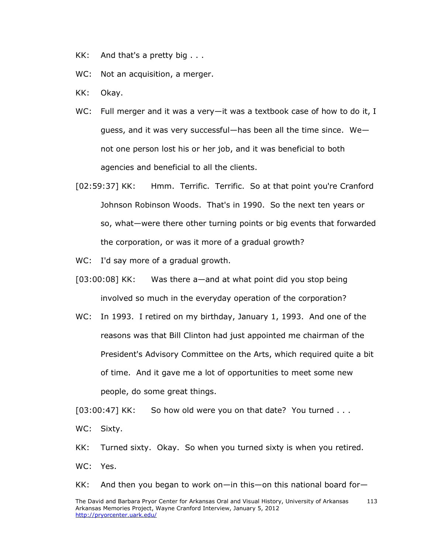- KK: And that's a pretty big . . .
- WC: Not an acquisition, a merger.
- KK: Okay.
- WC: Full merger and it was a very-it was a textbook case of how to do it, I guess, and it was very successful—has been all the time since. We not one person lost his or her job, and it was beneficial to both agencies and beneficial to all the clients.
- [02:59:37] KK: Hmm. Terrific. Terrific. So at that point you're Cranford Johnson Robinson Woods. That's in 1990. So the next ten years or so, what—were there other turning points or big events that forwarded the corporation, or was it more of a gradual growth?
- WC: I'd say more of a gradual growth.
- [03:00:08] KK: Was there a—and at what point did you stop being involved so much in the everyday operation of the corporation?
- WC: In 1993. I retired on my birthday, January 1, 1993. And one of the reasons was that Bill Clinton had just appointed me chairman of the President's Advisory Committee on the Arts, which required quite a bit of time. And it gave me a lot of opportunities to meet some new people, do some great things.

[03:00:47] KK: So how old were you on that date? You turned . . .

WC: Sixty.

KK: Turned sixty. Okay. So when you turned sixty is when you retired.

WC: Yes.

KK: And then you began to work on—in this—on this national board for—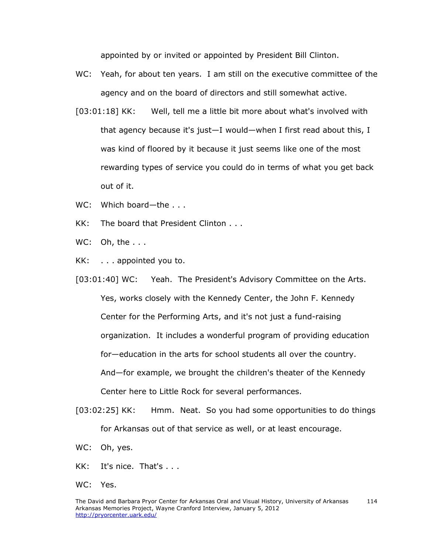appointed by or invited or appointed by President Bill Clinton.

- WC: Yeah, for about ten years. I am still on the executive committee of the agency and on the board of directors and still somewhat active.
- [03:01:18] KK: Well, tell me a little bit more about what's involved with that agency because it's just—I would—when I first read about this, I was kind of floored by it because it just seems like one of the most rewarding types of service you could do in terms of what you get back out of it.
- WC: Which board—the . . .
- KK: The board that President Clinton . . .
- WC: Oh, the ...
- KK: . . . appointed you to.
- [03:01:40] WC: Yeah. The President's Advisory Committee on the Arts. Yes, works closely with the Kennedy Center, the John F. Kennedy Center for the Performing Arts, and it's not just a fund-raising organization. It includes a wonderful program of providing education for—education in the arts for school students all over the country. And—for example, we brought the children's theater of the Kennedy Center here to Little Rock for several performances.
- [03:02:25] KK: Hmm. Neat. So you had some opportunities to do things for Arkansas out of that service as well, or at least encourage.
- WC: Oh, yes.
- KK: It's nice. That's . . .
- WC: Yes.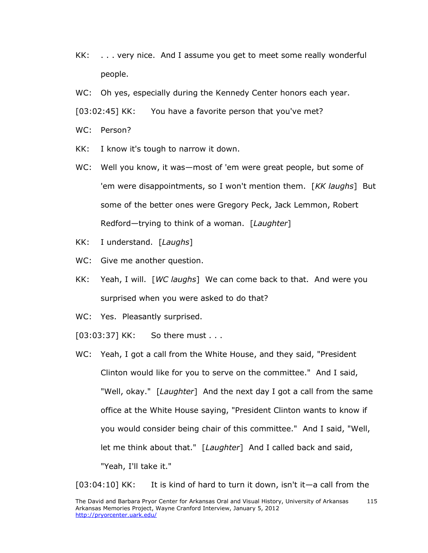- KK: . . . very nice. And I assume you get to meet some really wonderful people.
- WC: Oh yes, especially during the Kennedy Center honors each year.
- [03:02:45] KK: You have a favorite person that you've met?
- WC: Person?
- KK: I know it's tough to narrow it down.
- WC: Well you know, it was—most of 'em were great people, but some of 'em were disappointments, so I won't mention them. [*KK laughs*] But some of the better ones were Gregory Peck, Jack Lemmon, Robert Redford—trying to think of a woman. [*Laughter*]
- KK: I understand. [*Laughs*]
- WC: Give me another question.
- KK: Yeah, I will. [*WC laughs*] We can come back to that. And were you surprised when you were asked to do that?
- WC: Yes. Pleasantly surprised.
- [03:03:37] KK: So there must . . .
- WC: Yeah, I got a call from the White House, and they said, "President Clinton would like for you to serve on the committee." And I said, "Well, okay." [*Laughter*] And the next day I got a call from the same office at the White House saying, "President Clinton wants to know if you would consider being chair of this committee." And I said, "Well, let me think about that." [*Laughter*] And I called back and said, "Yeah, I'll take it."

[03:04:10] KK: It is kind of hard to turn it down, isn't it—a call from the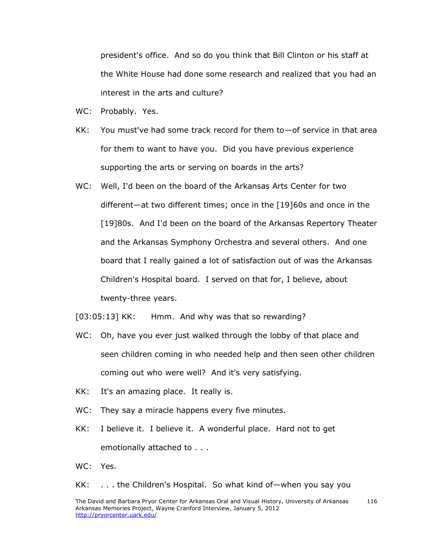president's office. And so do you think that Bill Clinton or his staff at the White House had done some research and realized that you had an interest in the arts and culture?

- WC: Probably. Yes.
- KK: You must've had some track record for them to—of service in that area for them to want to have you. Did you have previous experience supporting the arts or serving on boards in the arts?
- WC: Well, I'd been on the board of the Arkansas Arts Center for two different—at two different times; once in the [19]60s and once in the [19]80s. And I'd been on the board of the Arkansas Repertory Theater and the Arkansas Symphony Orchestra and several others. And one board that I really gained a lot of satisfaction out of was the Arkansas Children's Hospital board. I served on that for, I believe, about twenty-three years.
- [03:05:13] KK: Hmm. And why was that so rewarding?
- WC: Oh, have you ever just walked through the lobby of that place and seen children coming in who needed help and then seen other children coming out who were well? And it's very satisfying.
- KK: It's an amazing place. It really is.
- WC: They say a miracle happens every five minutes.
- KK: I believe it. I believe it. A wonderful place. Hard not to get emotionally attached to . . .
- WC: Yes.

KK: . . . the Children's Hospital. So what kind of—when you say you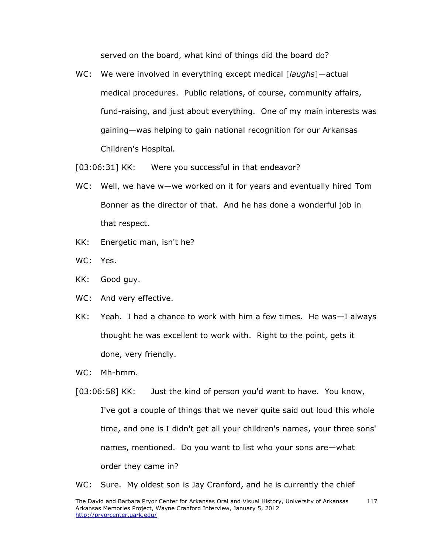served on the board, what kind of things did the board do?

- WC: We were involved in everything except medical [*laughs*]—actual medical procedures. Public relations, of course, community affairs, fund-raising, and just about everything. One of my main interests was gaining—was helping to gain national recognition for our Arkansas Children's Hospital.
- [03:06:31] KK: Were you successful in that endeavor?
- WC: Well, we have w—we worked on it for years and eventually hired Tom Bonner as the director of that. And he has done a wonderful job in that respect.
- KK: Energetic man, isn't he?
- WC: Yes.
- KK: Good guy.
- WC: And very effective.
- KK: Yeah. I had a chance to work with him a few times. He was—I always thought he was excellent to work with. Right to the point, gets it done, very friendly.
- WC: Mh-hmm.
- [03:06:58] KK: Just the kind of person you'd want to have. You know, I've got a couple of things that we never quite said out loud this whole time, and one is I didn't get all your children's names, your three sons' names, mentioned. Do you want to list who your sons are—what order they came in?

WC: Sure. My oldest son is Jay Cranford, and he is currently the chief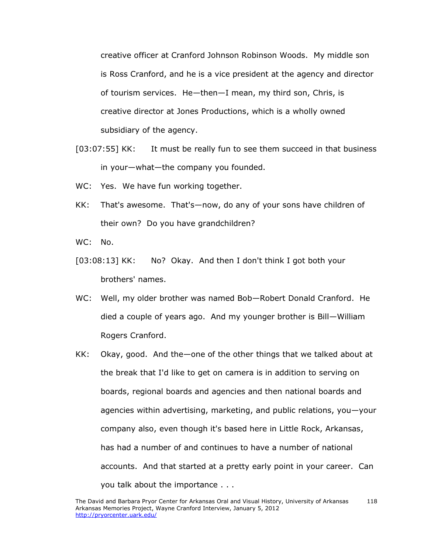creative officer at Cranford Johnson Robinson Woods. My middle son is Ross Cranford, and he is a vice president at the agency and director of tourism services. He—then—I mean, my third son, Chris, is creative director at Jones Productions, which is a wholly owned subsidiary of the agency.

- [03:07:55] KK: It must be really fun to see them succeed in that business in your—what—the company you founded.
- WC: Yes. We have fun working together.
- KK: That's awesome. That's—now, do any of your sons have children of their own? Do you have grandchildren?
- WC: No.
- [03:08:13] KK: No? Okay. And then I don't think I got both your brothers' names.
- WC: Well, my older brother was named Bob—Robert Donald Cranford. He died a couple of years ago. And my younger brother is Bill—William Rogers Cranford.
- KK: Okay, good. And the—one of the other things that we talked about at the break that I'd like to get on camera is in addition to serving on boards, regional boards and agencies and then national boards and agencies within advertising, marketing, and public relations, you—your company also, even though it's based here in Little Rock, Arkansas, has had a number of and continues to have a number of national accounts. And that started at a pretty early point in your career. Can you talk about the importance . . .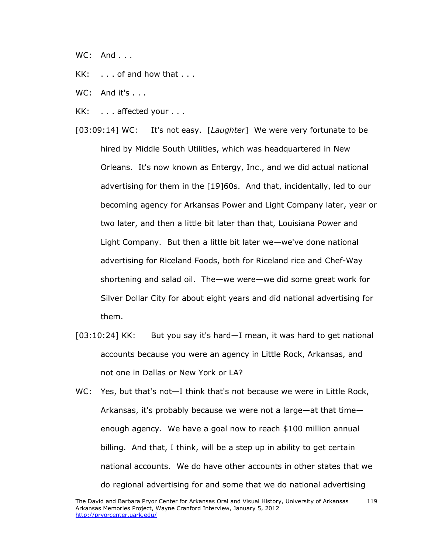- WC: And . . .
- KK: . . . of and how that . . .
- WC: And it's . . .
- KK: . . . affected your . . .
- [03:09:14] WC: It's not easy. [*Laughter*] We were very fortunate to be hired by Middle South Utilities, which was headquartered in New Orleans. It's now known as Entergy, Inc., and we did actual national advertising for them in the [19]60s. And that, incidentally, led to our becoming agency for Arkansas Power and Light Company later, year or two later, and then a little bit later than that, Louisiana Power and Light Company. But then a little bit later we—we've done national advertising for Riceland Foods, both for Riceland rice and Chef-Way shortening and salad oil. The—we were—we did some great work for Silver Dollar City for about eight years and did national advertising for them.
- [03:10:24] KK: But you say it's hard—I mean, it was hard to get national accounts because you were an agency in Little Rock, Arkansas, and not one in Dallas or New York or LA?
- WC: Yes, but that's not-I think that's not because we were in Little Rock, Arkansas, it's probably because we were not a large—at that time enough agency. We have a goal now to reach \$100 million annual billing. And that, I think, will be a step up in ability to get certain national accounts. We do have other accounts in other states that we do regional advertising for and some that we do national advertising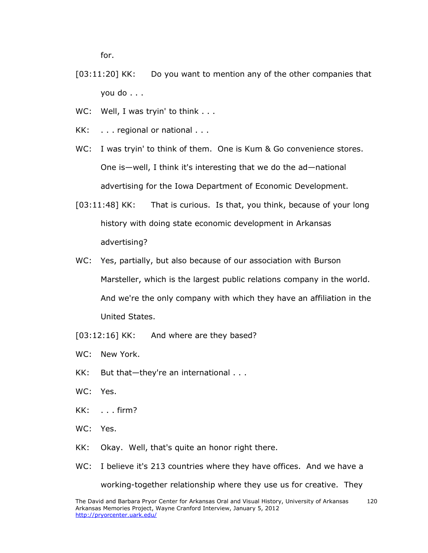for.

- [03:11:20] KK: Do you want to mention any of the other companies that you do . . .
- WC: Well, I was tryin' to think . . .
- KK: . . . regional or national . . .
- WC: I was tryin' to think of them. One is Kum & Go convenience stores. One is—well, I think it's interesting that we do the ad—national advertising for the Iowa Department of Economic Development.
- [03:11:48] KK: That is curious. Is that, you think, because of your long history with doing state economic development in Arkansas advertising?
- WC: Yes, partially, but also because of our association with Burson Marsteller, which is the largest public relations company in the world. And we're the only company with which they have an affiliation in the United States.
- [03:12:16] KK: And where are they based?
- WC: New York.
- KK: But that—they're an international . . .
- WC: Yes.
- KK: . . . firm?
- WC: Yes.
- KK: Okay. Well, that's quite an honor right there.
- WC: I believe it's 213 countries where they have offices. And we have a

working-together relationship where they use us for creative. They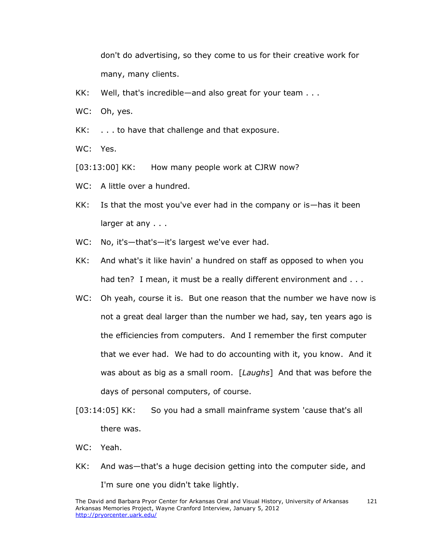don't do advertising, so they come to us for their creative work for many, many clients.

- KK: Well, that's incredible—and also great for your team . . .
- WC: Oh, yes.
- KK: . . . to have that challenge and that exposure.

WC: Yes.

[03:13:00] KK: How many people work at CJRW now?

- WC: A little over a hundred.
- KK: Is that the most you've ever had in the company or is—has it been larger at any . . .
- WC: No, it's-that's-it's largest we've ever had.
- KK: And what's it like havin' a hundred on staff as opposed to when you had ten? I mean, it must be a really different environment and . . .
- WC: Oh yeah, course it is. But one reason that the number we have now is not a great deal larger than the number we had, say, ten years ago is the efficiencies from computers. And I remember the first computer that we ever had. We had to do accounting with it, you know. And it was about as big as a small room. [*Laughs*] And that was before the days of personal computers, of course.
- [03:14:05] KK: So you had a small mainframe system 'cause that's all there was.
- WC: Yeah.
- KK: And was—that's a huge decision getting into the computer side, and I'm sure one you didn't take lightly.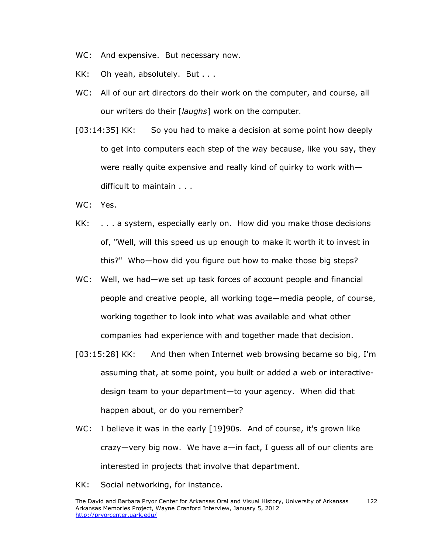- WC: And expensive. But necessary now.
- KK: Oh yeah, absolutely. But . . .
- WC: All of our art directors do their work on the computer, and course, all our writers do their [*laughs*] work on the computer.
- [03:14:35] KK: So you had to make a decision at some point how deeply to get into computers each step of the way because, like you say, they were really quite expensive and really kind of quirky to work with difficult to maintain . . .
- WC: Yes.
- KK: . . . a system, especially early on. How did you make those decisions of, "Well, will this speed us up enough to make it worth it to invest in this?" Who—how did you figure out how to make those big steps?
- WC: Well, we had—we set up task forces of account people and financial people and creative people, all working toge—media people, of course, working together to look into what was available and what other companies had experience with and together made that decision.
- [03:15:28] KK: And then when Internet web browsing became so big, I'm assuming that, at some point, you built or added a web or interactivedesign team to your department—to your agency. When did that happen about, or do you remember?
- WC: I believe it was in the early [19]90s. And of course, it's grown like crazy—very big now. We have a—in fact, I guess all of our clients are interested in projects that involve that department.
- KK: Social networking, for instance.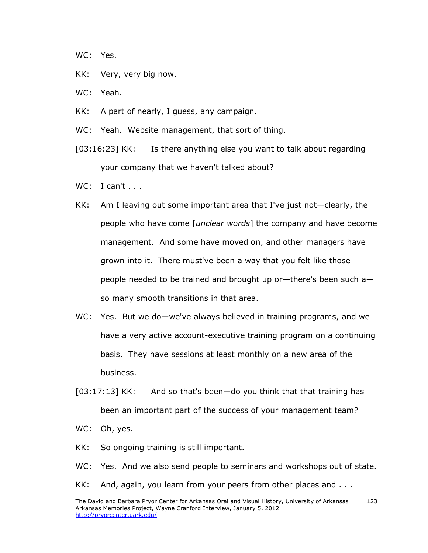- WC: Yes.
- KK: Very, very big now.
- WC: Yeah.
- KK: A part of nearly, I guess, any campaign.
- WC: Yeah. Website management, that sort of thing.
- [03:16:23] KK: Is there anything else you want to talk about regarding your company that we haven't talked about?
- $WC: I can't \ldots$
- KK: Am I leaving out some important area that I've just not—clearly, the people who have come [*unclear words*] the company and have become management. And some have moved on, and other managers have grown into it. There must've been a way that you felt like those people needed to be trained and brought up or—there's been such a so many smooth transitions in that area.
- WC: Yes. But we do—we've always believed in training programs, and we have a very active account-executive training program on a continuing basis. They have sessions at least monthly on a new area of the business.
- [03:17:13] KK: And so that's been—do you think that that training has been an important part of the success of your management team?
- WC: Oh, yes.
- KK: So ongoing training is still important.
- WC: Yes. And we also send people to seminars and workshops out of state.
- KK: And, again, you learn from your peers from other places and . . .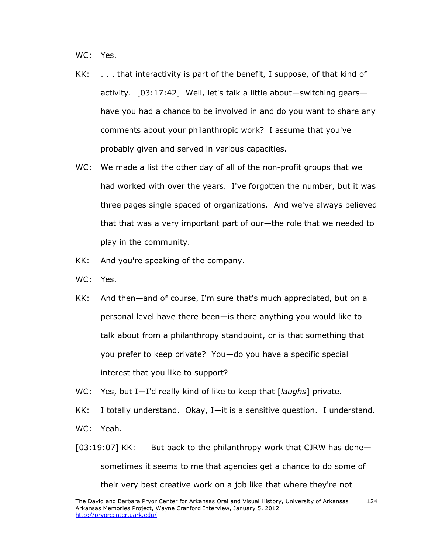WC: Yes.

- KK: . . . that interactivity is part of the benefit, I suppose, of that kind of activity. [03:17:42] Well, let's talk a little about—switching gears have you had a chance to be involved in and do you want to share any comments about your philanthropic work? I assume that you've probably given and served in various capacities.
- WC: We made a list the other day of all of the non-profit groups that we had worked with over the years. I've forgotten the number, but it was three pages single spaced of organizations. And we've always believed that that was a very important part of our—the role that we needed to play in the community.
- KK: And you're speaking of the company.
- WC: Yes.
- KK: And then—and of course, I'm sure that's much appreciated, but on a personal level have there been—is there anything you would like to talk about from a philanthropy standpoint, or is that something that you prefer to keep private? You—do you have a specific special interest that you like to support?
- WC: Yes, but I—I'd really kind of like to keep that [*laughs*] private.

KK: I totally understand. Okay, I—it is a sensitive question. I understand. WC: Yeah.

 $[03:19:07]$  KK: But back to the philanthropy work that CJRW has donesometimes it seems to me that agencies get a chance to do some of their very best creative work on a job like that where they're not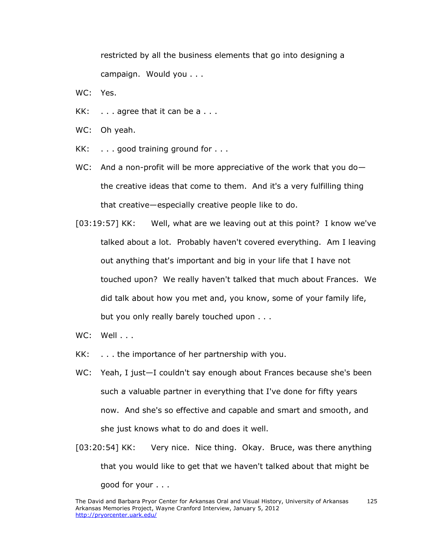restricted by all the business elements that go into designing a campaign. Would you . . .

- WC: Yes.
- KK:  $\ldots$  agree that it can be a  $\ldots$
- WC: Oh yeah.
- KK: . . . . good training ground for . . .
- WC: And a non-profit will be more appreciative of the work that you dothe creative ideas that come to them. And it's a very fulfilling thing that creative—especially creative people like to do.
- [03:19:57] KK: Well, what are we leaving out at this point? I know we've talked about a lot. Probably haven't covered everything. Am I leaving out anything that's important and big in your life that I have not touched upon? We really haven't talked that much about Frances. We did talk about how you met and, you know, some of your family life, but you only really barely touched upon . . .
- WC: Well . . .
- KK: . . . the importance of her partnership with you.
- WC: Yeah, I just—I couldn't say enough about Frances because she's been such a valuable partner in everything that I've done for fifty years now. And she's so effective and capable and smart and smooth, and she just knows what to do and does it well.
- [03:20:54] KK: Very nice. Nice thing. Okay. Bruce, was there anything that you would like to get that we haven't talked about that might be good for your . . .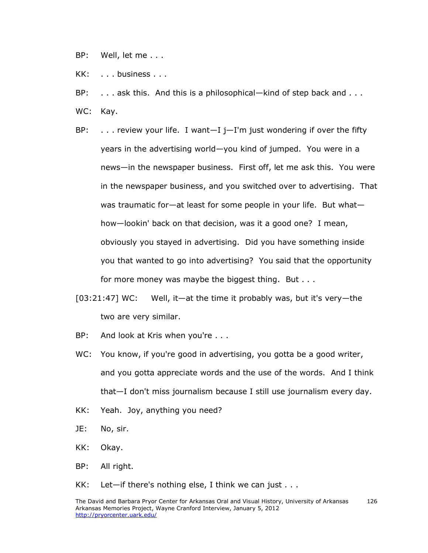- BP: Well, let me . . .
- KK: . . . business . . .
- BP: . . . . ask this. And this is a philosophical—kind of step back and . . .
- WC: Kay.
- BP:  $\dots$  review your life. I want  $-I I'm$  just wondering if over the fifty years in the advertising world—you kind of jumped. You were in a news—in the newspaper business. First off, let me ask this. You were in the newspaper business, and you switched over to advertising. That was traumatic for—at least for some people in your life. But what how—lookin' back on that decision, was it a good one? I mean, obviously you stayed in advertising. Did you have something inside you that wanted to go into advertising? You said that the opportunity for more money was maybe the biggest thing. But . . .
- [03:21:47] WC: Well, it—at the time it probably was, but it's very—the two are very similar.
- BP: And look at Kris when you're . . .
- WC: You know, if you're good in advertising, you gotta be a good writer, and you gotta appreciate words and the use of the words. And I think that—I don't miss journalism because I still use journalism every day.
- KK: Yeah. Joy, anything you need?
- JE: No, sir.
- KK: Okay.
- BP: All right.
- $KK:$  Let-if there's nothing else, I think we can just  $\ldots$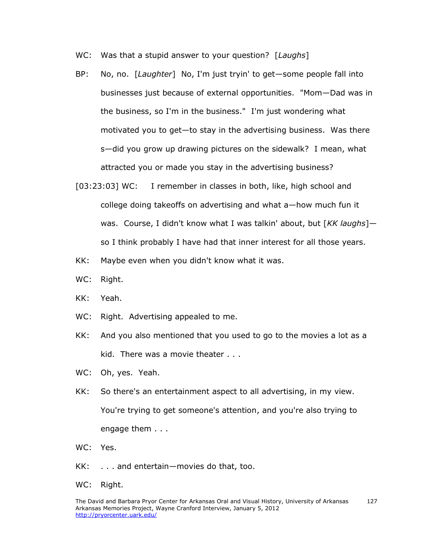- WC: Was that a stupid answer to your question? [*Laughs*]
- BP: No, no. [*Laughter*] No, I'm just tryin' to get—some people fall into businesses just because of external opportunities. "Mom—Dad was in the business, so I'm in the business." I'm just wondering what motivated you to get—to stay in the advertising business. Was there s—did you grow up drawing pictures on the sidewalk? I mean, what attracted you or made you stay in the advertising business?
- [03:23:03] WC: I remember in classes in both, like, high school and college doing takeoffs on advertising and what a—how much fun it was. Course, I didn't know what I was talkin' about, but [*KK laughs*] so I think probably I have had that inner interest for all those years.
- KK: Maybe even when you didn't know what it was.
- WC: Right.
- KK: Yeah.
- WC: Right. Advertising appealed to me.
- KK: And you also mentioned that you used to go to the movies a lot as a kid. There was a movie theater . . .
- WC: Oh, yes. Yeah.
- KK: So there's an entertainment aspect to all advertising, in my view. You're trying to get someone's attention, and you're also trying to engage them . . .
- WC: Yes.
- KK: . . . and entertain—movies do that, too.
- WC: Right.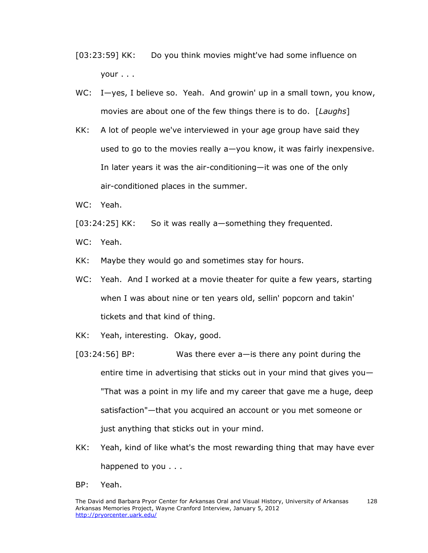- [03:23:59] KK: Do you think movies might've had some influence on your . . .
- WC: I—yes, I believe so. Yeah. And growin' up in a small town, you know, movies are about one of the few things there is to do. [*Laughs*]
- KK: A lot of people we've interviewed in your age group have said they used to go to the movies really a—you know, it was fairly inexpensive. In later years it was the air-conditioning—it was one of the only air-conditioned places in the summer.
- WC: Yeah.
- [03:24:25] KK: So it was really a-something they frequented.

WC: Yeah.

- KK: Maybe they would go and sometimes stay for hours.
- WC: Yeah. And I worked at a movie theater for quite a few years, starting when I was about nine or ten years old, sellin' popcorn and takin' tickets and that kind of thing.
- KK: Yeah, interesting. Okay, good.
- [03:24:56] BP: Was there ever a—is there any point during the entire time in advertising that sticks out in your mind that gives you— "That was a point in my life and my career that gave me a huge, deep satisfaction"—that you acquired an account or you met someone or just anything that sticks out in your mind.
- KK: Yeah, kind of like what's the most rewarding thing that may have ever happened to you . . .
- BP: Yeah.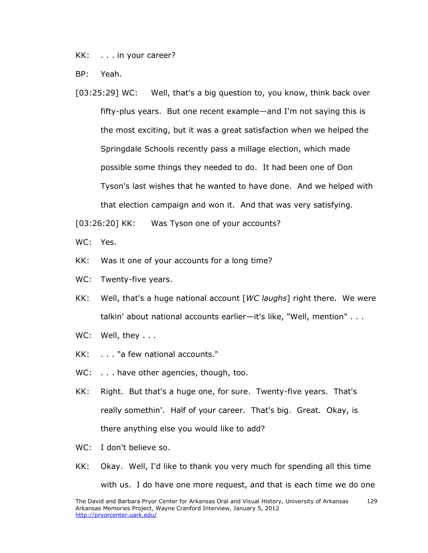KK: . . . in your career?

BP: Yeah.

[03:25:29] WC: Well, that's a big question to, you know, think back over fifty-plus years. But one recent example—and I'm not saying this is the most exciting, but it was a great satisfaction when we helped the Springdale Schools recently pass a millage election, which made possible some things they needed to do. It had been one of Don Tyson's last wishes that he wanted to have done. And we helped with that election campaign and won it. And that was very satisfying.

[03:26:20] KK: Was Tyson one of your accounts?

WC: Yes.

- KK: Was it one of your accounts for a long time?
- WC: Twenty-five years.
- KK: Well, that's a huge national account [*WC laughs*] right there. We were talkin' about national accounts earlier—it's like, "Well, mention" . . .
- WC: Well, they . . .
- KK: . . . "a few national accounts."
- WC: . . . have other agencies, though, too.
- KK: Right. But that's a huge one, for sure. Twenty-five years. That's really somethin'. Half of your career. That's big. Great. Okay, is there anything else you would like to add?
- WC: I don't believe so.
- KK: Okay. Well, I'd like to thank you very much for spending all this time with us. I do have one more request, and that is each time we do one